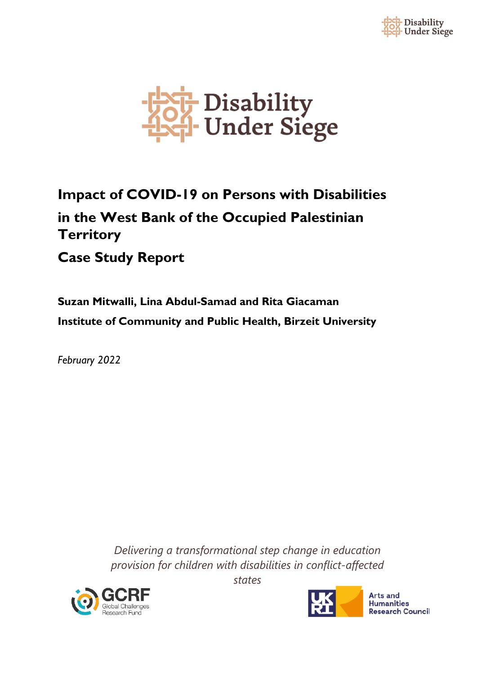



# **Impact of COVID-19 on Persons with Disabilities in the West Bank of the Occupied Palestinian Territory**

## **Case Study Report**

**Suzan Mitwalli, Lina Abdul-Samad and Rita Giacaman Institute of Community and Public Health, Birzeit University**

*February 2022*

*Delivering a transformational step change in education provision for children with disabilities in conflict-affected* 



**Arts and Humanities Research Council** 

*states*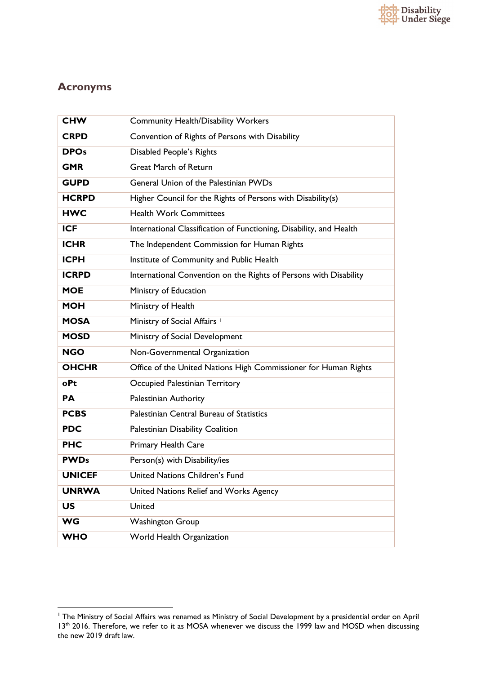## **Acronyms**

| <b>CHW</b>    | <b>Community Health/Disability Workers</b>                          |
|---------------|---------------------------------------------------------------------|
| <b>CRPD</b>   | Convention of Rights of Persons with Disability                     |
| <b>DPOs</b>   | Disabled People's Rights                                            |
| <b>GMR</b>    | <b>Great March of Return</b>                                        |
| <b>GUPD</b>   | General Union of the Palestinian PWDs                               |
| <b>HCRPD</b>  | Higher Council for the Rights of Persons with Disability(s)         |
| <b>HWC</b>    | <b>Health Work Committees</b>                                       |
| <b>ICF</b>    | International Classification of Functioning, Disability, and Health |
| <b>ICHR</b>   | The Independent Commission for Human Rights                         |
| <b>ICPH</b>   | Institute of Community and Public Health                            |
| <b>ICRPD</b>  | International Convention on the Rights of Persons with Disability   |
| <b>MOE</b>    | Ministry of Education                                               |
| <b>MOH</b>    | Ministry of Health                                                  |
| <b>MOSA</b>   | Ministry of Social Affairs <sup>1</sup>                             |
| <b>MOSD</b>   | Ministry of Social Development                                      |
| <b>NGO</b>    | Non-Governmental Organization                                       |
| <b>OHCHR</b>  | Office of the United Nations High Commissioner for Human Rights     |
| oPt           | Occupied Palestinian Territory                                      |
| <b>PA</b>     | Palestinian Authority                                               |
| <b>PCBS</b>   | Palestinian Central Bureau of Statistics                            |
| <b>PDC</b>    | Palestinian Disability Coalition                                    |
| <b>PHC</b>    | Primary Health Care                                                 |
| <b>PWDs</b>   | Person(s) with Disability/ies                                       |
| <b>UNICEF</b> | United Nations Children's Fund                                      |
| <b>UNRWA</b>  | United Nations Relief and Works Agency                              |
| <b>US</b>     | United                                                              |
| <b>WG</b>     | <b>Washington Group</b>                                             |
| <b>WHO</b>    | World Health Organization                                           |

<span id="page-1-0"></span><sup>1</sup> The Ministry of Social Affairs was renamed as Ministry of Social Development by a presidential order on April 13<sup>th</sup> 2016. Therefore, we refer to it as MOSA whenever we discuss the 1999 law and MOSD when discussing the new 2019 draft law.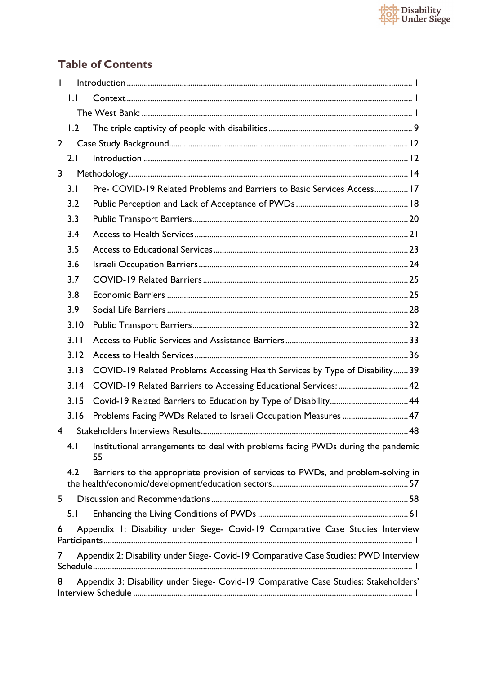

### **Table of Contents**

<span id="page-2-0"></span>

| L              |              |                                                                                        |  |  |
|----------------|--------------|----------------------------------------------------------------------------------------|--|--|
|                | $\mathbf{L}$ |                                                                                        |  |  |
|                |              |                                                                                        |  |  |
|                | 1.2          |                                                                                        |  |  |
| $\overline{2}$ |              |                                                                                        |  |  |
|                | 2.1          |                                                                                        |  |  |
| $\mathsf{3}$   |              |                                                                                        |  |  |
|                | 3.1          | Pre- COVID-19 Related Problems and Barriers to Basic Services Access 17                |  |  |
|                | 3.2          |                                                                                        |  |  |
|                | 3.3          |                                                                                        |  |  |
|                | 3.4          |                                                                                        |  |  |
|                | 3.5          |                                                                                        |  |  |
|                | 3.6          |                                                                                        |  |  |
|                | 3.7          |                                                                                        |  |  |
|                | 3.8          |                                                                                        |  |  |
|                | 3.9          |                                                                                        |  |  |
|                | 3.10         |                                                                                        |  |  |
|                | 3.11         |                                                                                        |  |  |
|                | 3.12         |                                                                                        |  |  |
|                | 3.13         | COVID-19 Related Problems Accessing Health Services by Type of Disability 39           |  |  |
|                | 3.14         | COVID-19 Related Barriers to Accessing Educational Services:  42                       |  |  |
|                | 3.15         |                                                                                        |  |  |
|                | 3.16         | Problems Facing PWDs Related to Israeli Occupation Measures  47                        |  |  |
| 4              |              |                                                                                        |  |  |
|                | 4.1          | Institutional arrangements to deal with problems facing PWDs during the pandemic<br>55 |  |  |
|                | 4.2          | Barriers to the appropriate provision of services to PWDs, and problem-solving in      |  |  |
| 5              |              |                                                                                        |  |  |
|                | 5.1          |                                                                                        |  |  |
| 6              |              | Appendix 1: Disability under Siege- Covid-19 Comparative Case Studies Interview        |  |  |
| 7              |              | Appendix 2: Disability under Siege- Covid-19 Comparative Case Studies: PWD Interview   |  |  |
| 8              |              | Appendix 3: Disability under Siege- Covid-19 Comparative Case Studies: Stakeholders'   |  |  |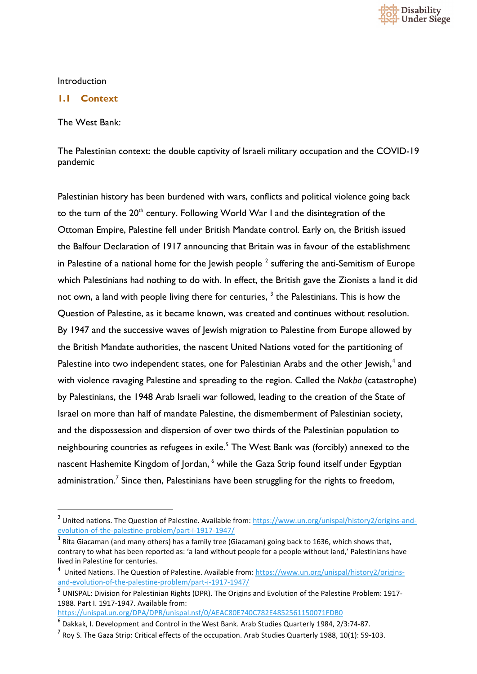

#### Introduction

#### <span id="page-3-0"></span>**1.1 Context**

<span id="page-3-1"></span>The West Bank:

The Palestinian context: the double captivity of Israeli military occupation and the COVID-19 pandemic

Palestinian history has been burdened with wars, conflicts and political violence going back to the turn of the 20<sup>th</sup> century. Following World War I and the disintegration of the Ottoman Empire, Palestine fell under British Mandate control. Early on, the British issued the Balfour Declaration of 1917 announcing that Britain was in favour of the establishment in Palestine of a national home for the Jewish people  $<sup>2</sup>$  $<sup>2</sup>$  $<sup>2</sup>$  suffering the anti-Semitism of Europe</sup> which Palestinians had nothing to do with. In effect, the British gave the Zionists a land it did not own, a land with people living there for centuries,  $3$  the Palestinians. This is how the Question of Palestine, as it became known, was created and continues without resolution. By 1947 and the successive waves of Jewish migration to Palestine from Europe allowed by the British Mandate authorities, the nascent United Nations voted for the partitioning of Palestine into two independent states, one for Palestinian Arabs and the other Jewish,<sup>[4](#page-3-4)</sup> and with violence ravaging Palestine and spreading to the region. Called the *Nakba* (catastrophe) by Palestinians, the 1948 Arab Israeli war followed, leading to the creation of the State of Israel on more than half of mandate Palestine, the dismemberment of Palestinian society, and the dispossession and dispersion of over two thirds of the Palestinian population to neighbouring countries as refugees in exile.<sup>[5](#page-3-5)</sup> The West Bank was (forcibly) annexed to the nascent Hashemite Kingdom of Jordan, <sup>[6](#page-3-6)</sup> while the Gaza Strip found itself under Egyptian administration.<sup>[7](#page-3-7)</sup> Since then, Palestinians have been struggling for the rights to freedom,

<https://unispal.un.org/DPA/DPR/unispal.nsf/0/AEAC80E740C782E4852561150071FDB0>

<span id="page-3-2"></span><sup>&</sup>lt;sup>2</sup> United nations. The Question of Palestine. Available from[: https://www.un.org/unispal/history2/origins-and](https://www.un.org/unispal/history2/origins-and-evolution-of-the-palestine-problem/part-i-1917-1947/)[evolution-of-the-palestine-problem/part-i-1917-1947/](https://www.un.org/unispal/history2/origins-and-evolution-of-the-palestine-problem/part-i-1917-1947/)

<span id="page-3-3"></span> $3$  Rita Giacaman (and many others) has a family tree (Giacaman) going back to 1636, which shows that, contrary to what has been reported as: 'a land without people for a people without land,' Palestinians have lived in Palestine for centuries.

<span id="page-3-4"></span><sup>&</sup>lt;sup>4</sup> United Nations. The Question of Palestine. Available from: [https://www.un.org/unispal/history2/origins](https://www.un.org/unispal/history2/origins-and-evolution-of-the-palestine-problem/part-i-1917-1947/)[and-evolution-of-the-palestine-problem/part-i-1917-1947/](https://www.un.org/unispal/history2/origins-and-evolution-of-the-palestine-problem/part-i-1917-1947/)

<span id="page-3-5"></span><sup>5</sup> UNISPAL: Division for Palestinian Rights (DPR). The Origins and Evolution of the Palestine Problem: 1917-1988. Part I. 1917-1947. Available from:

<span id="page-3-6"></span><sup>6</sup> Dakkak, I. Development and Control in the West Bank. Arab Studies Quarterly 1984, 2/3:74-87.

<span id="page-3-7"></span> $<sup>7</sup>$  Roy S. The Gaza Strip: Critical effects of the occupation. Arab Studies Quarterly 1988, 10(1): 59-103.</sup>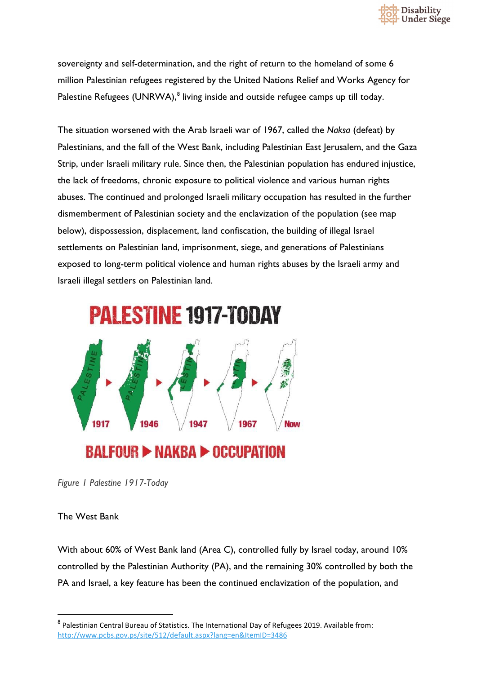

sovereignty and self-determination, and the right of return to the homeland of some 6 million Palestinian refugees registered by the United Nations Relief and Works Agency for Palestine Refugees (UNRWA),<sup>[8](#page-4-0)</sup> living inside and outside refugee camps up till today.

The situation worsened with the Arab Israeli war of 1967, called the *Naksa* (defeat) by Palestinians, and the fall of the West Bank, including Palestinian East Jerusalem, and the Gaza Strip, under Israeli military rule. Since then, the Palestinian population has endured injustice, the lack of freedoms, chronic exposure to political violence and various human rights abuses. The continued and prolonged Israeli military occupation has resulted in the further dismemberment of Palestinian society and the enclavization of the population (see map below), dispossession, displacement, land confiscation, the building of illegal Israel settlements on Palestinian land, imprisonment, siege, and generations of Palestinians exposed to long-term political violence and human rights abuses by the Israeli army and Israeli illegal settlers on Palestinian land.



*Figure 1 Palestine 1917-Today* 

The West Bank

With about 60% of West Bank land (Area C), controlled fully by Israel today, around 10% controlled by the Palestinian Authority (PA), and the remaining 30% controlled by both the PA and Israel, a key feature has been the continued enclavization of the population, and

<span id="page-4-0"></span><sup>8</sup> Palestinian Central Bureau of Statistics. The International Day of Refugees 2019. Available from: <http://www.pcbs.gov.ps/site/512/default.aspx?lang=en&ItemID=3486>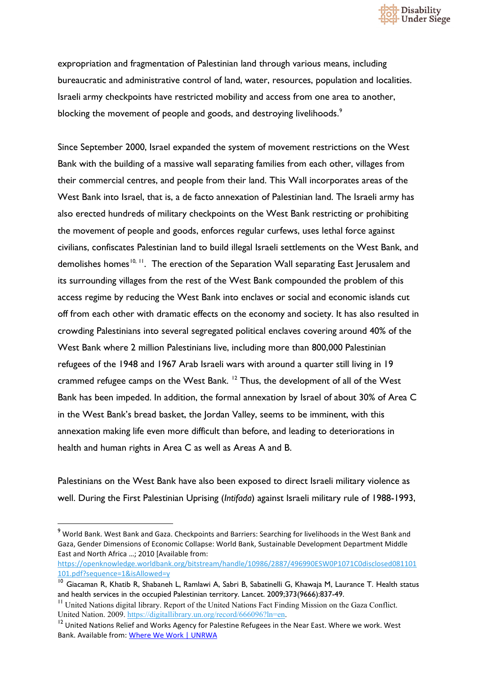

expropriation and fragmentation of Palestinian land through various means, including bureaucratic and administrative control of land, water, resources, population and localities. Israeli army checkpoints have restricted mobility and access from one area to another, blocking the movement of people and goods, and destroying livelihoods.<sup>[9](#page-5-0)</sup>

Since September 2000, Israel expanded the system of movement restrictions on the West Bank with the building of a massive wall separating families from each other, villages from their commercial centres, and people from their land. This Wall incorporates areas of the West Bank into Israel, that is, a de facto annexation of Palestinian land. The Israeli army has also erected hundreds of military checkpoints on the West Bank restricting or prohibiting the movement of people and goods, enforces regular curfews, uses lethal force against civilians, confiscates Palestinian land to build illegal Israeli settlements on the West Bank, and demolishes homes<sup>[10](#page-5-1), [11](#page-5-2)</sup>. The erection of the Separation Wall separating East Jerusalem and its surrounding villages from the rest of the West Bank compounded the problem of this access regime by reducing the West Bank into enclaves or social and economic islands cut off from each other with dramatic effects on the economy and society. It has also resulted in crowding Palestinians into several segregated political enclaves covering around 40% of the West Bank where 2 million Palestinians live, including more than 800,000 Palestinian refugees of the 1948 and 1967 Arab Israeli wars with around a quarter still living in 19 crammed refugee camps on the West Bank. <sup>[12](#page-5-3)</sup> Thus, the development of all of the West Bank has been impeded. In addition, the formal annexation by Israel of about 30% of Area C in the West Bank's bread basket, the Jordan Valley, seems to be imminent, with this annexation making life even more difficult than before, and leading to deteriorations in health and human rights in Area C as well as Areas A and B.

Palestinians on the West Bank have also been exposed to direct Israeli military violence as well. During the First Palestinian Uprising (*Intifada*) against Israeli military rule of 1988-1993,

<span id="page-5-0"></span><sup>9</sup> World Bank. West Bank and Gaza. Checkpoints and Barriers: Searching for livelihoods in the West Bank and Gaza, Gender Dimensions of Economic Collapse: World Bank, Sustainable Development Department Middle East and North Africa …; 2010 [Available from:

[https://openknowledge.worldbank.org/bitstream/handle/10986/2887/496990ESW0P1071C0disclosed081101](https://openknowledge.worldbank.org/bitstream/handle/10986/2887/496990ESW0P1071C0disclosed081101101.pdf?sequence=1&isAllowed=y) [101.pdf?sequence=1&isAllowed=y](https://openknowledge.worldbank.org/bitstream/handle/10986/2887/496990ESW0P1071C0disclosed081101101.pdf?sequence=1&isAllowed=y)

<span id="page-5-1"></span><sup>&</sup>lt;sup>10</sup> Giacaman R. Khatib R. Shabaneh L, Ramlawi A, Sabri B, Sabatinelli G, Khawaja M, Laurance T. Health status and health services in the occupied Palestinian territory. Lancet. 2009;373(9666):837-49.

<span id="page-5-2"></span><sup>&</sup>lt;sup>11</sup> United Nations digital library. Report of the United Nations Fact Finding Mission on the Gaza Conflict. United Nation. 2009. [https://digitallibrary.un.org/record/666096?ln=en.](https://digitallibrary.un.org/record/666096?ln=en)

<span id="page-5-3"></span><sup>&</sup>lt;sup>12</sup> United Nations Relief and Works Agency for Palestine Refugees in the Near East. Where we work. West Bank. Available from: [Where We Work | UNRWA](https://www.unrwa.org/where-we-work/west-bank)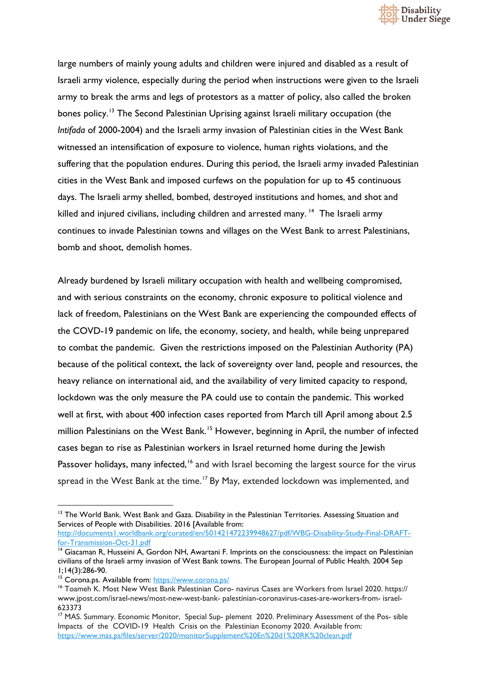

large numbers of mainly young adults and children were injured and disabled as a result of Israeli army violence, especially during the period when instructions were given to the Israeli army to break the arms and legs of protestors as a matter of policy, also called the broken bones policy.<sup>[13](#page-6-0)</sup> The Second Palestinian Uprising against Israeli military occupation (the *Intifada* of 2000-2004) and the Israeli army invasion of Palestinian cities in the West Bank witnessed an intensification of exposure to violence, human rights violations, and the suffering that the population endures. During this period, the Israeli army invaded Palestinian cities in the West Bank and imposed curfews on the population for up to 45 continuous days. The Israeli army shelled, bombed, destroyed institutions and homes, and shot and killed and injured civilians, including children and arrested many.<sup>[14](#page-6-1)</sup> The Israeli army continues to invade Palestinian towns and villages on the West Bank to arrest Palestinians, bomb and shoot, demolish homes.

Already burdened by Israeli military occupation with health and wellbeing compromised, and with serious constraints on the economy, chronic exposure to political violence and lack of freedom, Palestinians on the West Bank are experiencing the compounded effects of the COVD-19 pandemic on life, the economy, society, and health, while being unprepared to combat the pandemic. Given the restrictions imposed on the Palestinian Authority (PA) because of the political context, the lack of sovereignty over land, people and resources, the heavy reliance on international aid, and the availability of very limited capacity to respond, lockdown was the only measure the PA could use to contain the pandemic. This worked well at first, with about 400 infection cases reported from March till April among about 2.5 million Palestinians on the West Bank.<sup>[15](#page-6-2)</sup> However, beginning in April, the number of infected cases began to rise as Palestinian workers in Israel returned home during the Jewish Passover holidays, many infected,<sup>[16](#page-6-3)</sup> and with Israel becoming the largest source for the virus spread in the West Bank at the time.<sup>[17](#page-6-4)</sup> By May, extended lockdown was implemented, and

<span id="page-6-0"></span><sup>&</sup>lt;sup>13</sup> The World Bank. West Bank and Gaza. Disability in the Palestinian Territories. Assessing Situation and Services of People with Disabilities. 2016 [Available from:

[http://documents1.worldbank.org/curated/en/501421472239948627/pdf/WBG-Disability-Study-Final-DRAFT](http://documents1.worldbank.org/curated/en/501421472239948627/pdf/WBG-Disability-Study-Final-DRAFT-for-Transmission-Oct-31.pdf)[for-Transmission-Oct-31.pdf](http://documents1.worldbank.org/curated/en/501421472239948627/pdf/WBG-Disability-Study-Final-DRAFT-for-Transmission-Oct-31.pdf)

<span id="page-6-1"></span><sup>&</sup>lt;sup>14</sup> Giacaman R, Husseini A, Gordon NH, Awartani F. Imprints on the consciousness: the impact on Palestinian civilians of the Israeli army invasion of West Bank towns. The European Journal of Public Health. 2004 Sep 1;14(3):286-90.

<span id="page-6-2"></span><sup>&</sup>lt;sup>15</sup> Corona.ps. Available from:<https://www.corona.ps/>

<span id="page-6-3"></span><sup>&</sup>lt;sup>16</sup> Toameh K. Most New West Bank Palestinian Coro- navirus Cases are Workers from Israel 2020. https:// [www.jpost.com/israel-news/most-new-west-bank-](https://www.jpost.com/israel-news/most-new-west-bank-palestinian-coronavirus-cases-are-workers-from-israel-623373) palestinian-coronavirus-cases-are-workers-from- israel-[623373](https://www.jpost.com/israel-news/most-new-west-bank-palestinian-coronavirus-cases-are-workers-from-israel-623373)

<span id="page-6-4"></span><sup>&</sup>lt;sup>17</sup> MAS. Summary. Economic Monitor, Special Sup- plement 2020. Preliminary Assessment of the Pos- sible Impacts of the COVID-19 Health Crisis on the Palestinian Economy 2020. Available from: <https://www.mas.ps/files/server/2020/monitorSupplement%20En%20d1%20RK%20clean.pdf>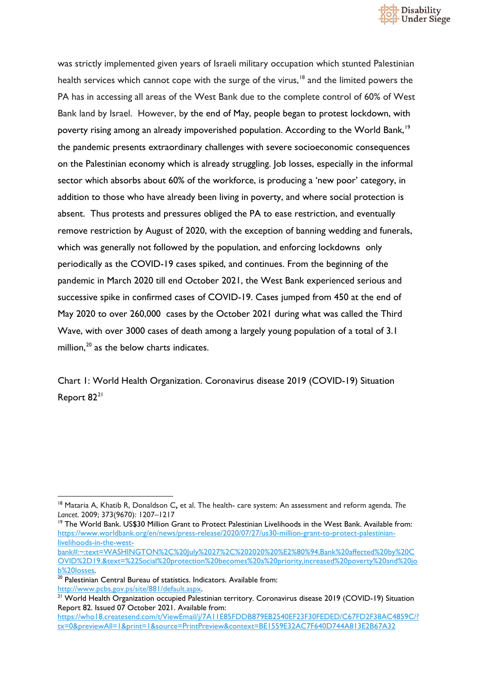

was strictly implemented given years of Israeli military occupation which stunted Palestinian health services which cannot cope with the surge of the virus,<sup>[18](#page-7-0)</sup> and the limited powers the PA has in accessing all areas of the West Bank due to the complete control of 60% of West Bank land by Israel. However, by the end of May, people began to protest lockdown, with poverty rising among an already impoverished population. According to the World Bank,<sup>[19](#page-7-1)</sup> the pandemic presents extraordinary challenges with severe socioeconomic consequences on the Palestinian economy which is already struggling. Job losses, especially in the informal sector which absorbs about 60% of the workforce, is producing a 'new poor' category, in addition to those who have already been living in poverty, and where social protection is absent. Thus protests and pressures obliged the PA to ease restriction, and eventually remove restriction by August of 2020, with the exception of banning wedding and funerals, which was generally not followed by the population, and enforcing lockdowns only periodically as the COVID-19 cases spiked, and continues. From the beginning of the pandemic in March 2020 till end October 2021, the West Bank experienced serious and successive spike in confirmed cases of COVID-19. Cases jumped from 450 at the end of May 2020 to over 260,000 cases by the October 2021 during what was called the Third Wave, with over 3000 cases of death among a largely young population of a total of 3.1 million,<sup>[20](#page-7-2)</sup> as the below charts indicates.

Chart 1: World Health Organization. Coronavirus disease 2019 (COVID-19) Situation Report 82<sup>[21](#page-7-3)</sup>

<span id="page-7-0"></span><sup>18</sup> Mataria A, Khatib R, Donaldson C**,** et al. The health- care system: An assessment and reform agenda. *The Lancet*. 2009; 373(9670): 1207–1217

<span id="page-7-1"></span><sup>&</sup>lt;sup>19</sup> The World Bank. US\$30 Million Grant to Protect Palestinian Livelihoods in the West Bank. Available from: [https://www.worldbank.org/en/news/press-release/2020/07/27/us30-million-grant-to-protect-palestinian](https://www.worldbank.org/en/news/press-release/2020/07/27/us30-million-grant-to-protect-palestinian-livelihoods-in-the-west-bank#:%7E:text=WASHINGTON%2C%20July%2027%2C%202020%20%E2%80%94,Bank%20affected%20by%20COVID%2D19.&text=%22Social%20protection%20becomes%20a%20priority,increased%20poverty%20and%20job%20losses)[livelihoods-in-the-west-](https://www.worldbank.org/en/news/press-release/2020/07/27/us30-million-grant-to-protect-palestinian-livelihoods-in-the-west-bank#:%7E:text=WASHINGTON%2C%20July%2027%2C%202020%20%E2%80%94,Bank%20affected%20by%20COVID%2D19.&text=%22Social%20protection%20becomes%20a%20priority,increased%20poverty%20and%20job%20losses)

[bank#:~:text=WASHINGTON%2C%20July%2027%2C%202020%20%E2%80%94,Bank%20affected%20by%20C](https://www.worldbank.org/en/news/press-release/2020/07/27/us30-million-grant-to-protect-palestinian-livelihoods-in-the-west-bank#:%7E:text=WASHINGTON%2C%20July%2027%2C%202020%20%E2%80%94,Bank%20affected%20by%20COVID%2D19.&text=%22Social%20protection%20becomes%20a%20priority,increased%20poverty%20and%20job%20losses) [OVID%2D19.&text=%22Social%20protection%20becomes%20a%20priority,increased%20poverty%20and%20jo](https://www.worldbank.org/en/news/press-release/2020/07/27/us30-million-grant-to-protect-palestinian-livelihoods-in-the-west-bank#:%7E:text=WASHINGTON%2C%20July%2027%2C%202020%20%E2%80%94,Bank%20affected%20by%20COVID%2D19.&text=%22Social%20protection%20becomes%20a%20priority,increased%20poverty%20and%20job%20losses) [b%20losses.](https://www.worldbank.org/en/news/press-release/2020/07/27/us30-million-grant-to-protect-palestinian-livelihoods-in-the-west-bank#:%7E:text=WASHINGTON%2C%20July%2027%2C%202020%20%E2%80%94,Bank%20affected%20by%20COVID%2D19.&text=%22Social%20protection%20becomes%20a%20priority,increased%20poverty%20and%20job%20losses)

<span id="page-7-2"></span><sup>&</sup>lt;sup>20</sup> Palestinian Central Bureau of statistics. Indicators. Available from: [http://www.pcbs.gov.ps/site/881/default.aspx.](http://www.pcbs.gov.ps/site/881/default.aspx)

<span id="page-7-3"></span><sup>&</sup>lt;sup>21</sup> World Health Organization occupied Palestinian territory. Coronavirus disease 2019 (COVID-19) Situation Report 82. Issued 07 October 2021. Available from:

[https://who18.createsend.com/t/ViewEmail/j/7A11E85FDDB879EB2540EF23F30FEDED/C67FD2F38AC4859C/?](https://who18.createsend.com/t/ViewEmail/j/7A11E85FDDB879EB2540EF23F30FEDED/C67FD2F38AC4859C/?tx=0&previewAll=1&print=1&source=PrintPreview&context=BE1559E32AC7F640D744A813E2B67A32) [tx=0&previewAll=1&print=1&source=PrintPreview&context=BE1559E32AC7F640D744A813E2B67A32](https://who18.createsend.com/t/ViewEmail/j/7A11E85FDDB879EB2540EF23F30FEDED/C67FD2F38AC4859C/?tx=0&previewAll=1&print=1&source=PrintPreview&context=BE1559E32AC7F640D744A813E2B67A32)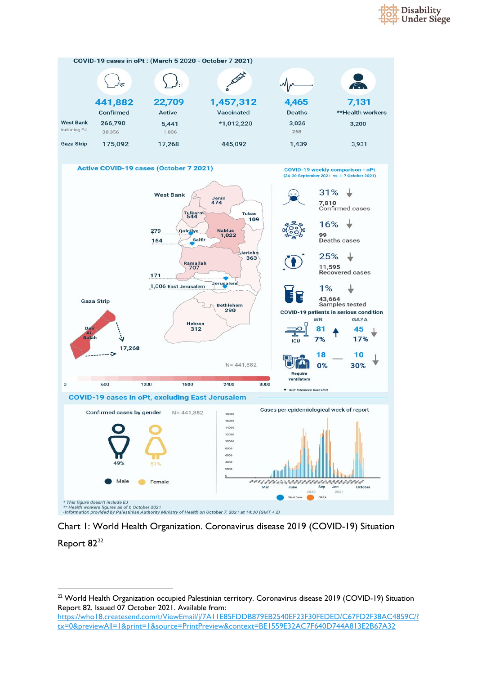





<span id="page-8-0"></span><sup>&</sup>lt;sup>22</sup> World Health Organization occupied Palestinian territory. Coronavirus disease 2019 (COVID-19) Situation Report 82. Issued 07 October 2021. Available from:

[https://who18.createsend.com/t/ViewEmail/j/7A11E85FDDB879EB2540EF23F30FEDED/C67FD2F38AC4859C/?](https://who18.createsend.com/t/ViewEmail/j/7A11E85FDDB879EB2540EF23F30FEDED/C67FD2F38AC4859C/?tx=0&previewAll=1&print=1&source=PrintPreview&context=BE1559E32AC7F640D744A813E2B67A32) [tx=0&previewAll=1&print=1&source=PrintPreview&context=BE1559E32AC7F640D744A813E2B67A32](https://who18.createsend.com/t/ViewEmail/j/7A11E85FDDB879EB2540EF23F30FEDED/C67FD2F38AC4859C/?tx=0&previewAll=1&print=1&source=PrintPreview&context=BE1559E32AC7F640D744A813E2B67A32)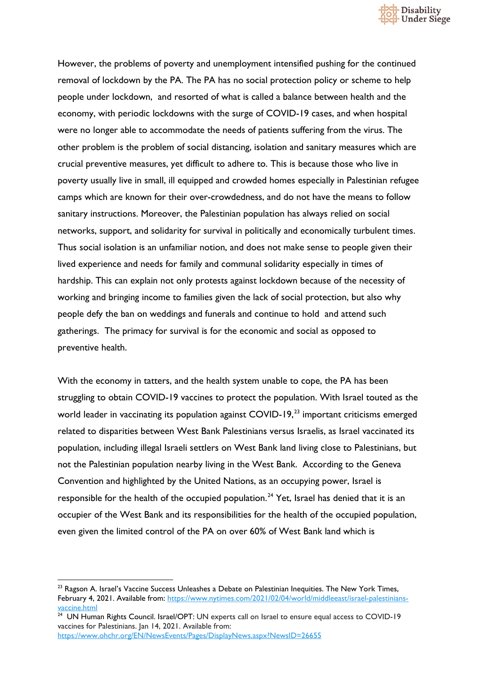

However, the problems of poverty and unemployment intensified pushing for the continued removal of lockdown by the PA. The PA has no social protection policy or scheme to help people under lockdown, and resorted of what is called a balance between health and the economy, with periodic lockdowns with the surge of COVID-19 cases, and when hospital were no longer able to accommodate the needs of patients suffering from the virus. The other problem is the problem of social distancing, isolation and sanitary measures which are crucial preventive measures, yet difficult to adhere to. This is because those who live in poverty usually live in small, ill equipped and crowded homes especially in Palestinian refugee camps which are known for their over-crowdedness, and do not have the means to follow sanitary instructions. Moreover, the Palestinian population has always relied on social networks, support, and solidarity for survival in politically and economically turbulent times. Thus social isolation is an unfamiliar notion, and does not make sense to people given their lived experience and needs for family and communal solidarity especially in times of hardship. This can explain not only protests against lockdown because of the necessity of working and bringing income to families given the lack of social protection, but also why people defy the ban on weddings and funerals and continue to hold and attend such gatherings. The primacy for survival is for the economic and social as opposed to preventive health.

With the economy in tatters, and the health system unable to cope, the PA has been struggling to obtain COVID-19 vaccines to protect the population. With Israel touted as the world leader in vaccinating its population against  $COVID-19<sup>23</sup>$  $COVID-19<sup>23</sup>$  $COVID-19<sup>23</sup>$  important criticisms emerged related to disparities between West Bank Palestinians versus Israelis, as Israel vaccinated its population, including illegal Israeli settlers on West Bank land living close to Palestinians, but not the Palestinian population nearby living in the West Bank. According to the Geneva Convention and highlighted by the United Nations, as an occupying power, Israel is responsible for the health of the occupied population.<sup>[24](#page-9-1)</sup> Yet, Israel has denied that it is an occupier of the West Bank and its responsibilities for the health of the occupied population, even given the limited control of the PA on over 60% of West Bank land which is

<span id="page-9-0"></span> $23$  Ragson A. Israel's Vaccine Success Unleashes a Debate on Palestinian Inequities. The New York Times, February 4, 2021. Available from: [https://www.nytimes.com/2021/02/04/world/middleeast/israel-palestinians](https://www.nytimes.com/2021/02/04/world/middleeast/israel-palestinians-vaccine.html)[vaccine.html](https://www.nytimes.com/2021/02/04/world/middleeast/israel-palestinians-vaccine.html)

<span id="page-9-1"></span><sup>&</sup>lt;sup>24</sup> UN Human Rights Council. Israel/OPT: UN experts call on Israel to ensure equal access to COVID-19 vaccines for Palestinians. Jan 14, 2021. Available from: <https://www.ohchr.org/EN/NewsEvents/Pages/DisplayNews.aspx?NewsID=26655>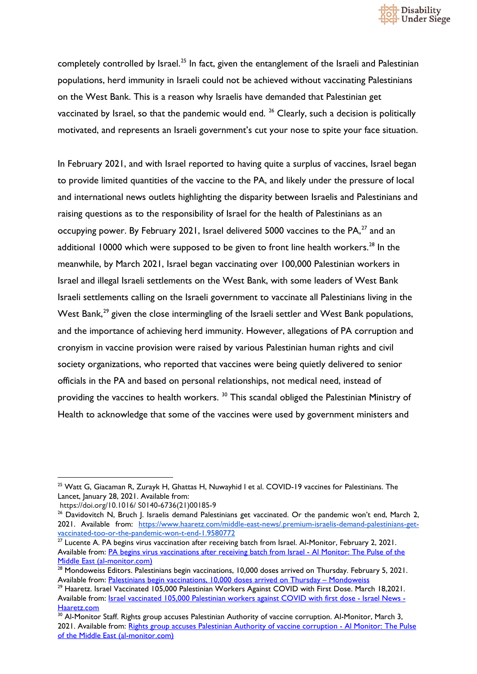

completely controlled by Israel.<sup>[25](#page-10-0)</sup> In fact, given the entanglement of the Israeli and Palestinian populations, herd immunity in Israeli could not be achieved without vaccinating Palestinians on the West Bank. This is a reason why Israelis have demanded that Palestinian get vaccinated by Israel, so that the pandemic would end.  $26$  Clearly, such a decision is politically motivated, and represents an Israeli government's cut your nose to spite your face situation.

In February 2021, and with Israel reported to having quite a surplus of vaccines, Israel began to provide limited quantities of the vaccine to the PA, and likely under the pressure of local and international news outlets highlighting the disparity between Israelis and Palestinians and raising questions as to the responsibility of Israel for the health of Palestinians as an occupying power. By February 2021, Israel delivered 5000 vaccines to the  $PA<sub>1</sub><sup>27</sup>$  $PA<sub>1</sub><sup>27</sup>$  $PA<sub>1</sub><sup>27</sup>$  and an additional 10000 which were supposed to be given to front line health workers.<sup>[28](#page-10-3)</sup> In the meanwhile, by March 2021, Israel began vaccinating over 100,000 Palestinian workers in Israel and illegal Israeli settlements on the West Bank, with some leaders of West Bank Israeli settlements calling on the Israeli government to vaccinate all Palestinians living in the West Bank,<sup>[29](#page-10-4)</sup> given the close intermingling of the Israeli settler and West Bank populations, and the importance of achieving herd immunity. However, allegations of PA corruption and cronyism in vaccine provision were raised by various Palestinian human rights and civil society organizations, who reported that vaccines were being quietly delivered to senior officials in the PA and based on personal relationships, not medical need, instead of providing the vaccines to health workers.<sup>[30](#page-10-5)</sup> This scandal obliged the Palestinian Ministry of Health to acknowledge that some of the vaccines were used by government ministers and

<span id="page-10-0"></span><sup>&</sup>lt;sup>25</sup> Watt G, Giacaman R, Zurayk H, Ghattas H, Nuwayhid I et al. COVID-19 vaccines for Palestinians. The Lancet, January 28, 2021. Available from:

https://doi.org/10.1016/ S0140-6736(21)00185-9

<span id="page-10-1"></span><sup>&</sup>lt;sup>26</sup> Davidovitch N, Bruch J. Israelis demand Palestinians get vaccinated. Or the pandemic won't end, March 2, 2021. Available from: [https://www.haaretz.com/middle-east-news/.premium-israelis-demand-palestinians-get](https://www.haaretz.com/middle-east-news/.premium-israelis-demand-palestinians-get-vaccinated-too-or-the-pandemic-won-t-end-1.9580772)[vaccinated-too-or-the-pandemic-won-t-end-1.9580772](https://www.haaretz.com/middle-east-news/.premium-israelis-demand-palestinians-get-vaccinated-too-or-the-pandemic-won-t-end-1.9580772)

<span id="page-10-2"></span> $27$  Lucente A. PA begins virus vaccination after receiving batch from Israel. Al-Monitor, February 2, 2021. Available from: [PA begins virus vaccinations after receiving batch from Israel -](https://www.al-monitor.com/originals/2021/02/palestine-vaccines-covid-coronavirus-israel-west-bank.html) Al Monitor: The Pulse of the [Middle East \(al-monitor.com\)](https://www.al-monitor.com/originals/2021/02/palestine-vaccines-covid-coronavirus-israel-west-bank.html)

<span id="page-10-3"></span><sup>&</sup>lt;sup>28</sup> Mondoweiss Editors. Palestinians begin vaccinations, 10,000 doses arrived on Thursday. February 5, 2021. Available from: [Palestinians begin vaccinations, 10,000 doses arrived on Thursday –](https://mondoweiss.net/2021/02/palestinians-begin-vaccinations-10000-doses-arrived-on-thursday/) Mondoweiss

<span id="page-10-4"></span><sup>&</sup>lt;sup>29</sup> Haaretz. Israel Vaccinated 105,000 Palestinian Workers Against COVID with First Dose. March 18,2021. Available from: [Israel vaccinated 105,000 Palestinian workers against COVID with first dose -](https://www.haaretz.com/israel-news/israel-vaccinated-105-000-palestinian-workers-against-covid-with-first-dose-1.9632346) Israel News - [Haaretz.com](https://www.haaretz.com/israel-news/israel-vaccinated-105-000-palestinian-workers-against-covid-with-first-dose-1.9632346)

<span id="page-10-5"></span><sup>&</sup>lt;sup>30</sup> Al-Monitor Staff. Rights group accuses Palestinian Authority of vaccine corruption. Al-Monitor, March 3, 2021. Available from: [Rights group accuses Palestinian Authority of vaccine corruption -](https://www.al-monitor.com/originals/2021/03/palestinian-authority-vaccine-friends-family-human-rights.html) Al Monitor: The Pulse [of the Middle East \(al-monitor.com\)](https://www.al-monitor.com/originals/2021/03/palestinian-authority-vaccine-friends-family-human-rights.html)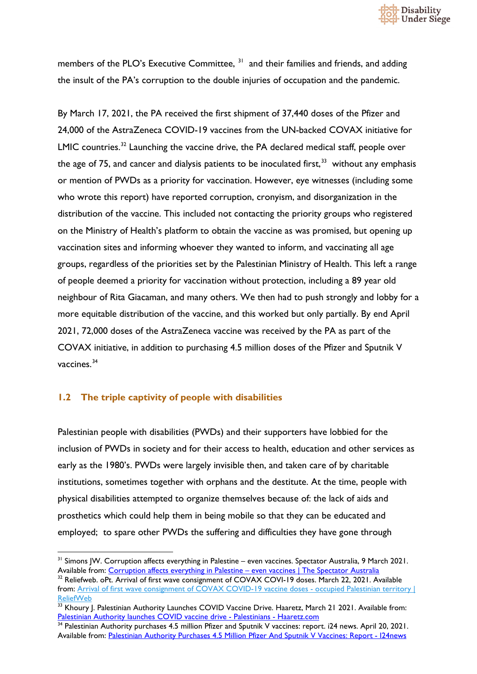

members of the PLO's Executive Committee, <sup>[31](#page-11-1)</sup> and their families and friends, and adding the insult of the PA's corruption to the double injuries of occupation and the pandemic.

By March 17, 2021, the PA received the first shipment of 37,440 doses of the Pfizer and 24,000 of the AstraZeneca COVID-19 vaccines from the UN-backed COVAX initiative for LMIC countries.<sup>[32](#page-11-2)</sup> Launching the vaccine drive, the PA declared medical staff, people over the age of 75, and cancer and dialysis patients to be inoculated first,  $33$  without any emphasis or mention of PWDs as a priority for vaccination. However, eye witnesses (including some who wrote this report) have reported corruption, cronyism, and disorganization in the distribution of the vaccine. This included not contacting the priority groups who registered on the Ministry of Health's platform to obtain the vaccine as was promised, but opening up vaccination sites and informing whoever they wanted to inform, and vaccinating all age groups, regardless of the priorities set by the Palestinian Ministry of Health. This left a range of people deemed a priority for vaccination without protection, including a 89 year old neighbour of Rita Giacaman, and many others. We then had to push strongly and lobby for a more equitable distribution of the vaccine, and this worked but only partially. By end April 2021, 72,000 doses of the AstraZeneca vaccine was received by the PA as part of the COVAX initiative, in addition to purchasing 4.5 million doses of the Pfizer and Sputnik V vaccines.<sup>[34](#page-11-4)</sup>

#### <span id="page-11-0"></span>**1.2 The triple captivity of people with disabilities**

Palestinian people with disabilities (PWDs) and their supporters have lobbied for the inclusion of PWDs in society and for their access to health, education and other services as early as the 1980's. PWDs were largely invisible then, and taken care of by charitable institutions, sometimes together with orphans and the destitute. At the time, people with physical disabilities attempted to organize themselves because of: the lack of aids and prosthetics which could help them in being mobile so that they can be educated and employed; to spare other PWDs the suffering and difficulties they have gone through

<span id="page-11-1"></span><sup>&</sup>lt;sup>31</sup> Simons IW. Corruption affects everything in Palestine – even vaccines. Spectator Australia, 9 March 2021. Available from: [Corruption affects everything in Palestine –](https://www.spectator.com.au/2021/03/corruption-affects-everything-in-palestine-even-vaccines/) even vaccines | The Spectator Australia

<span id="page-11-2"></span><sup>&</sup>lt;sup>32</sup> Reliefweb. oPt. Arrival of first wave consignment of COVAX COVI-19 doses. March 22, 2021. Available from: [Arrival of first wave consignment of COVAX COVID-19 vaccine doses -](https://reliefweb.int/report/occupied-palestinian-territory/arrival-first-wave-consignment-covax-covid-19-vaccine-doses) occupied Palestinian territory | [ReliefWeb](https://reliefweb.int/report/occupied-palestinian-territory/arrival-first-wave-consignment-covax-covid-19-vaccine-doses)

<span id="page-11-3"></span><sup>&</sup>lt;sup>33</sup> Khoury J. Palestinian Authority Launches COVID Vaccine Drive. Haaretz, March 21 2021. Available from: [Palestinian Authority launches COVID vaccine drive -](https://www.haaretz.com/middle-east-news/palestinians/palestinian-authority-launches-covid-vaccine-drive-1.9638619) Palestinians - Haaretz.com

<span id="page-11-4"></span><sup>&</sup>lt;sup>34</sup> Palestinian Authority purchases 4.5 million Pfizer and Sputnik V vaccines: report. i24 news. April 20, 2021. Available from: [Palestinian Authority Purchases 4.5 Million Pfizer And Sputnik V Vaccines: Report -](https://www.i24news.tv/en/news/coronavirus/1618916136-palestinian-authority-purchases-4-5-million-pfizer-and-sputnik-v-vaccines-report) I24news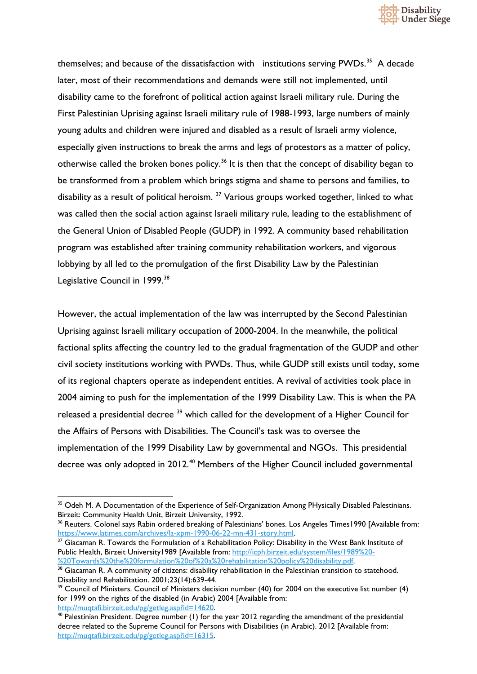

themselves; and because of the dissatisfaction with institutions serving  $PWDs$ <sup>35</sup> A decade later, most of their recommendations and demands were still not implemented, until disability came to the forefront of political action against Israeli military rule. During the First Palestinian Uprising against Israeli military rule of 1988-1993, large numbers of mainly young adults and children were injured and disabled as a result of Israeli army violence, especially given instructions to break the arms and legs of protestors as a matter of policy, otherwise called the broken bones policy.<sup>[36](#page-12-1)</sup> It is then that the concept of disability began to be transformed from a problem which brings stigma and shame to persons and families, to disability as a result of political heroism.<sup>[37](#page-12-2)</sup> Various groups worked together, linked to what was called then the social action against Israeli military rule, leading to the establishment of the General Union of Disabled People (GUDP) in 1992. A community based rehabilitation program was established after training community rehabilitation workers, and vigorous lobbying by all led to the promulgation of the first Disability Law by the Palestinian Legislative Council in 1999.<sup>[38](#page-12-3)</sup>

However, the actual implementation of the law was interrupted by the Second Palestinian Uprising against Israeli military occupation of 2000-2004. In the meanwhile, the political factional splits affecting the country led to the gradual fragmentation of the GUDP and other civil society institutions working with PWDs. Thus, while GUDP still exists until today, some of its regional chapters operate as independent entities. A revival of activities took place in 2004 aiming to push for the implementation of the 1999 Disability Law. This is when the PA released a presidential decree <sup>[39](#page-12-4)</sup> which called for the development of a Higher Council for the Affairs of Persons with Disabilities. The Council's task was to oversee the implementation of the 1999 Disability Law by governmental and NGOs. This presidential decree was only adopted in 2012.<sup>[40](#page-12-5)</sup> Members of the Higher Council included governmental

<span id="page-12-0"></span><sup>&</sup>lt;sup>35</sup> Odeh M. A Documentation of the Experience of Self-Organization Among PHysically Disabled Palestinians. Birzeit: Community Health Unit, Birzeit University, 1992.

<span id="page-12-1"></span><sup>&</sup>lt;sup>36</sup> Reuters. Colonel says Rabin ordered breaking of Palestinians' bones. Los Angeles Times1990 [Available from: [https://www.latimes.com/archives/la-xpm-1990-06-22-mn-431-story.html.](https://www.latimes.com/archives/la-xpm-1990-06-22-mn-431-story.html)

<span id="page-12-2"></span><sup>&</sup>lt;sup>37</sup> Giacaman R. Towards the Formulation of a Rehabilitation Policy: Disability in the West Bank Institute of Public Health, Birzeit University1989 [Available from: [http://icph.birzeit.edu/system/files/1989%20-](http://icph.birzeit.edu/system/files/1989%20-%20Towards%20the%20formulation%20of%20a%20rehabilitation%20policy%20disability.pdf) [%20Towards%20the%20formulation%20of%20a%20rehabilitation%20policy%20disability.pdf.](http://icph.birzeit.edu/system/files/1989%20-%20Towards%20the%20formulation%20of%20a%20rehabilitation%20policy%20disability.pdf)

<span id="page-12-3"></span><sup>&</sup>lt;sup>38</sup> Giacaman R. A community of citizens: disability rehabilitation in the Palestinian transition to statehood. Disability and Rehabilitation. 2001;23(14):639-44.

<span id="page-12-4"></span><sup>&</sup>lt;sup>39</sup> Council of Ministers. Council of Ministers decision number (40) for 2004 on the executive list number (4) for 1999 on the rights of the disabled (in Arabic) 2004 [Available from: [http://muqtafi.birzeit.edu/pg/getleg.asp?id=14620.](http://muqtafi.birzeit.edu/pg/getleg.asp?id=14620)

<span id="page-12-5"></span><sup>40</sup> Palestinian President. Degree number (1) for the year 2012 regarding the amendment of the presidential decree related to the Supreme Council for Persons with Disabilities (in Arabic). 2012 [Available from: [http://muqtafi.birzeit.edu/pg/getleg.asp?id=16315.](http://muqtafi.birzeit.edu/pg/getleg.asp?id=16315)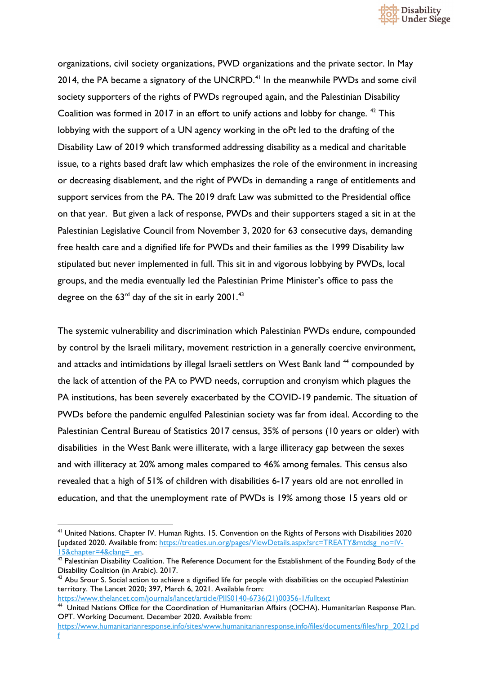

organizations, civil society organizations, PWD organizations and the private sector. In May 2014, the PA became a signatory of the UNCRPD.<sup>[41](#page-13-0)</sup> In the meanwhile PWDs and some civil society supporters of the rights of PWDs regrouped again, and the Palestinian Disability Coalition was formed in 2017 in an effort to unify actions and lobby for change. <sup>[42](#page-13-1)</sup> This lobbying with the support of a UN agency working in the oPt led to the drafting of the Disability Law of 2019 which transformed addressing disability as a medical and charitable issue, to a rights based draft law which emphasizes the role of the environment in increasing or decreasing disablement, and the right of PWDs in demanding a range of entitlements and support services from the PA. The 2019 draft Law was submitted to the Presidential office on that year. But given a lack of response, PWDs and their supporters staged a sit in at the Palestinian Legislative Council from November 3, 2020 for 63 consecutive days, demanding free health care and a dignified life for PWDs and their families as the 1999 Disability law stipulated but never implemented in full. This sit in and vigorous lobbying by PWDs, local groups, and the media eventually led the Palestinian Prime Minister's office to pass the degree on the  $63<sup>rd</sup>$  day of the sit in early 2001.<sup>[43](#page-13-2)</sup>

The systemic vulnerability and discrimination which Palestinian PWDs endure, compounded by control by the Israeli military, movement restriction in a generally coercive environment, and attacks and intimidations by illegal Israeli settlers on West Bank land <sup>[44](#page-13-3)</sup> compounded by the lack of attention of the PA to PWD needs, corruption and cronyism which plagues the PA institutions, has been severely exacerbated by the COVID-19 pandemic. The situation of PWDs before the pandemic engulfed Palestinian society was far from ideal. According to the Palestinian Central Bureau of Statistics 2017 census, 35% of persons (10 years or older) with disabilities in the West Bank were illiterate, with a large illiteracy gap between the sexes and with illiteracy at 20% among males compared to 46% among females. This census also revealed that a high of 51% of children with disabilities 6-17 years old are not enrolled in education, and that the unemployment rate of PWDs is 19% among those 15 years old or

[https://www.thelancet.com/journals/lancet/article/PIIS0140-6736\(21\)00356-1/fulltext](https://www.thelancet.com/journals/lancet/article/PIIS0140-6736(21)00356-1/fulltext)

<span id="page-13-0"></span><sup>&</sup>lt;sup>41</sup> United Nations. Chapter IV. Human Rights. 15. Convention on the Rights of Persons with Disabilities 2020 [updated 2020. Available from: [https://treaties.un.org/pages/ViewDetails.aspx?src=TREATY&mtdsg\\_no=IV-](https://treaties.un.org/pages/ViewDetails.aspx?src=TREATY&mtdsg_no=IV-15&chapter=4&clang=_en)[15&chapter=4&clang=\\_en.](https://treaties.un.org/pages/ViewDetails.aspx?src=TREATY&mtdsg_no=IV-15&chapter=4&clang=_en)

<span id="page-13-1"></span><sup>&</sup>lt;sup>42</sup> Palestinian Disability Coalition. The Reference Document for the Establishment of the Founding Body of the Disability Coalition (in Arabic). 2017.

<span id="page-13-2"></span><sup>&</sup>lt;sup>43</sup> Abu Srour S. Social action to achieve a dignified life for people with disabilities on the occupied Palestinian territory. The Lancet 2020; 397, March 6, 2021. Available from:

<span id="page-13-3"></span><sup>&</sup>lt;sup>44</sup> United Nations Office for the Coordination of Humanitarian Affairs (OCHA). Humanitarian Response Plan. OPT. Working Document. December 2020. Available from:

[https://www.humanitarianresponse.info/sites/www.humanitarianresponse.info/files/documents/files/hrp\\_2021.pd](https://www.humanitarianresponse.info/sites/www.humanitarianresponse.info/files/documents/files/hrp_2021.pdf) [f](https://www.humanitarianresponse.info/sites/www.humanitarianresponse.info/files/documents/files/hrp_2021.pdf)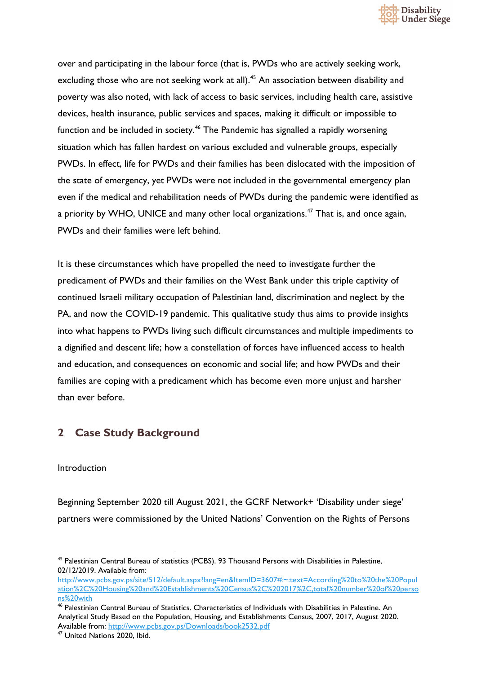

over and participating in the labour force (that is, PWDs who are actively seeking work, excluding those who are not seeking work at all).<sup>[45](#page-14-2)</sup> An association between disability and poverty was also noted, with lack of access to basic services, including health care, assistive devices, health insurance, public services and spaces, making it difficult or impossible to function and be included in society.<sup>46</sup> The Pandemic has signalled a rapidly worsening situation which has fallen hardest on various excluded and vulnerable groups, especially PWDs. In effect, life for PWDs and their families has been dislocated with the imposition of the state of emergency, yet PWDs were not included in the governmental emergency plan even if the medical and rehabilitation needs of PWDs during the pandemic were identified as a priority by WHO, UNICE and many other local organizations.<sup>[47](#page-14-4)</sup> That is, and once again, PWDs and their families were left behind.

It is these circumstances which have propelled the need to investigate further the predicament of PWDs and their families on the West Bank under this triple captivity of continued Israeli military occupation of Palestinian land, discrimination and neglect by the PA, and now the COVID-19 pandemic. This qualitative study thus aims to provide insights into what happens to PWDs living such difficult circumstances and multiple impediments to a dignified and descent life; how a constellation of forces have influenced access to health and education, and consequences on economic and social life; and how PWDs and their families are coping with a predicament which has become even more unjust and harsher than ever before.

#### <span id="page-14-0"></span>**2 Case Study Background**

#### <span id="page-14-1"></span>Introduction

Beginning September 2020 till August 2021, the GCRF Network+ 'Disability under siege' partners were commissioned by the United Nations' Convention on the Rights of Persons

<span id="page-14-2"></span><sup>45</sup> Palestinian Central Bureau of statistics (PCBS). 93 Thousand Persons with Disabilities in Palestine, 02/12/2019. Available from:

[http://www.pcbs.gov.ps/site/512/default.aspx?lang=en&ItemID=3607#:~:text=According%20to%20the%20Popul](http://www.pcbs.gov.ps/site/512/default.aspx?lang=en&ItemID=3607#:%7E:text=According%20to%20the%20Population%2C%20Housing%20and%20Establishments%20Census%2C%202017%2C,total%20number%20of%20persons%20with) [ation%2C%20Housing%20and%20Establishments%20Census%2C%202017%2C,total%20number%20of%20perso](http://www.pcbs.gov.ps/site/512/default.aspx?lang=en&ItemID=3607#:%7E:text=According%20to%20the%20Population%2C%20Housing%20and%20Establishments%20Census%2C%202017%2C,total%20number%20of%20persons%20with) [ns%20with](http://www.pcbs.gov.ps/site/512/default.aspx?lang=en&ItemID=3607#:%7E:text=According%20to%20the%20Population%2C%20Housing%20and%20Establishments%20Census%2C%202017%2C,total%20number%20of%20persons%20with)

<span id="page-14-3"></span><sup>46</sup> Palestinian Central Bureau of Statistics. Characteristics of Individuals with Disabilities in Palestine. An Analytical Study Based on the Population, Housing, and Establishments Census, 2007, 2017, August 2020. Available from:<http://www.pcbs.gov.ps/Downloads/book2532.pdf>

<span id="page-14-4"></span><sup>47</sup> United Nations 2020, Ibid.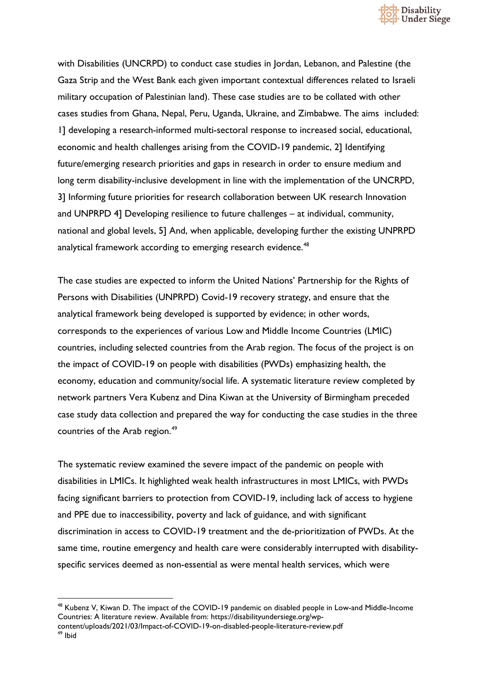

with Disabilities (UNCRPD) to conduct case studies in Jordan, Lebanon, and Palestine (the Gaza Strip and the West Bank each given important contextual differences related to Israeli military occupation of Palestinian land). These case studies are to be collated with other cases studies from Ghana, Nepal, Peru, Uganda, Ukraine, and Zimbabwe. The aims included: 1] developing a research-informed multi-sectoral response to increased social, educational, economic and health challenges arising from the COVID-19 pandemic, 2] Identifying future/emerging research priorities and gaps in research in order to ensure medium and long term disability-inclusive development in line with the implementation of the UNCRPD, 3] Informing future priorities for research collaboration between UK research Innovation and UNPRPD 4] Developing resilience to future challenges – at individual, community, national and global levels, 5] And, when applicable, developing further the existing UNPRPD analytical framework according to emerging research evidence.<sup>[48](#page-15-0)</sup>

The case studies are expected to inform the United Nations' Partnership for the Rights of Persons with Disabilities (UNPRPD) Covid-19 recovery strategy, and ensure that the analytical framework being developed is supported by evidence; in other words, corresponds to the experiences of various Low and Middle Income Countries (LMIC) countries, including selected countries from the Arab region. The focus of the project is on the impact of COVID-19 on people with disabilities (PWDs) emphasizing health, the economy, education and community/social life. A systematic literature review completed by network partners Vera Kubenz and Dina Kiwan at the University of Birmingham preceded case study data collection and prepared the way for conducting the case studies in the three countries of the Arab region.<sup>[49](#page-15-1)</sup>

The systematic review examined the severe impact of the pandemic on people with disabilities in LMICs. It highlighted weak health infrastructures in most LMICs, with PWDs facing significant barriers to protection from COVID-19, including lack of access to hygiene and PPE due to inaccessibility, poverty and lack of guidance, and with significant discrimination in access to COVID-19 treatment and the de-prioritization of PWDs. At the same time, routine emergency and health care were considerably interrupted with disabilityspecific services deemed as non-essential as were mental health services, which were

<span id="page-15-1"></span><span id="page-15-0"></span><sup>&</sup>lt;sup>48</sup> Kubenz V, Kiwan D. The impact of the COVID-19 pandemic on disabled people in Low-and Middle-Income Countries: A literature review. Available from: https://disabilityundersiege.org/wpcontent/uploads/2021/03/Impact-of-COVID-19-on-disabled-people-literature-review.pdf 49 Ibid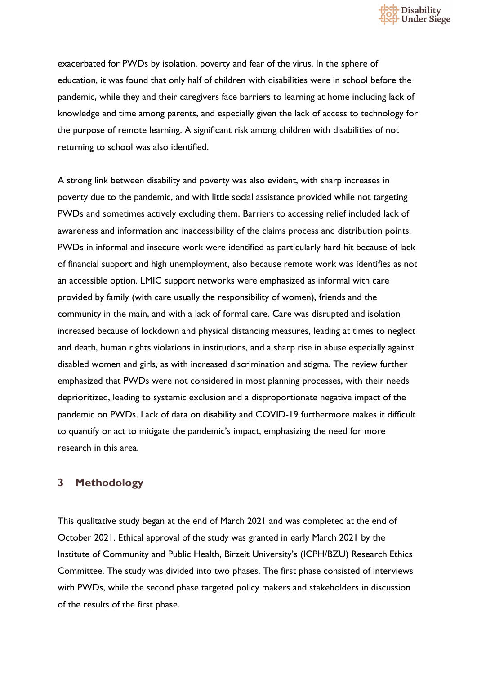

exacerbated for PWDs by isolation, poverty and fear of the virus. In the sphere of education, it was found that only half of children with disabilities were in school before the pandemic, while they and their caregivers face barriers to learning at home including lack of knowledge and time among parents, and especially given the lack of access to technology for the purpose of remote learning. A significant risk among children with disabilities of not returning to school was also identified.

A strong link between disability and poverty was also evident, with sharp increases in poverty due to the pandemic, and with little social assistance provided while not targeting PWDs and sometimes actively excluding them. Barriers to accessing relief included lack of awareness and information and inaccessibility of the claims process and distribution points. PWDs in informal and insecure work were identified as particularly hard hit because of lack of financial support and high unemployment, also because remote work was identifies as not an accessible option. LMIC support networks were emphasized as informal with care provided by family (with care usually the responsibility of women), friends and the community in the main, and with a lack of formal care. Care was disrupted and isolation increased because of lockdown and physical distancing measures, leading at times to neglect and death, human rights violations in institutions, and a sharp rise in abuse especially against disabled women and girls, as with increased discrimination and stigma. The review further emphasized that PWDs were not considered in most planning processes, with their needs deprioritized, leading to systemic exclusion and a disproportionate negative impact of the pandemic on PWDs. Lack of data on disability and COVID-19 furthermore makes it difficult to quantify or act to mitigate the pandemic's impact, emphasizing the need for more research in this area.

#### <span id="page-16-0"></span>**3 Methodology**

This qualitative study began at the end of March 2021 and was completed at the end of October 2021. Ethical approval of the study was granted in early March 2021 by the Institute of Community and Public Health, Birzeit University's (ICPH/BZU) Research Ethics Committee. The study was divided into two phases. The first phase consisted of interviews with PWDs, while the second phase targeted policy makers and stakeholders in discussion of the results of the first phase.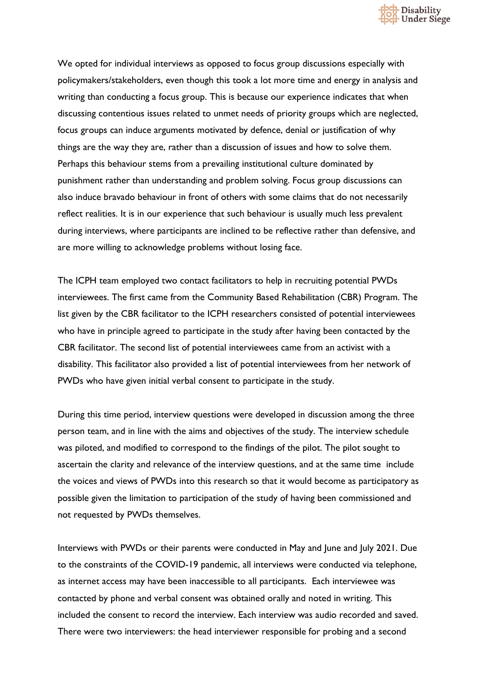

We opted for individual interviews as opposed to focus group discussions especially with policymakers/stakeholders, even though this took a lot more time and energy in analysis and writing than conducting a focus group. This is because our experience indicates that when discussing contentious issues related to unmet needs of priority groups which are neglected, focus groups can induce arguments motivated by defence, denial or justification of why things are the way they are, rather than a discussion of issues and how to solve them. Perhaps this behaviour stems from a prevailing institutional culture dominated by punishment rather than understanding and problem solving. Focus group discussions can also induce bravado behaviour in front of others with some claims that do not necessarily reflect realities. It is in our experience that such behaviour is usually much less prevalent during interviews, where participants are inclined to be reflective rather than defensive, and are more willing to acknowledge problems without losing face.

The ICPH team employed two contact facilitators to help in recruiting potential PWDs interviewees. The first came from the Community Based Rehabilitation (CBR) Program. The list given by the CBR facilitator to the ICPH researchers consisted of potential interviewees who have in principle agreed to participate in the study after having been contacted by the CBR facilitator. The second list of potential interviewees came from an activist with a disability. This facilitator also provided a list of potential interviewees from her network of PWDs who have given initial verbal consent to participate in the study.

During this time period, interview questions were developed in discussion among the three person team, and in line with the aims and objectives of the study. The interview schedule was piloted, and modified to correspond to the findings of the pilot. The pilot sought to ascertain the clarity and relevance of the interview questions, and at the same time include the voices and views of PWDs into this research so that it would become as participatory as possible given the limitation to participation of the study of having been commissioned and not requested by PWDs themselves.

Interviews with PWDs or their parents were conducted in May and June and July 2021. Due to the constraints of the COVID-19 pandemic, all interviews were conducted via telephone, as internet access may have been inaccessible to all participants. Each interviewee was contacted by phone and verbal consent was obtained orally and noted in writing. This included the consent to record the interview. Each interview was audio recorded and saved. There were two interviewers: the head interviewer responsible for probing and a second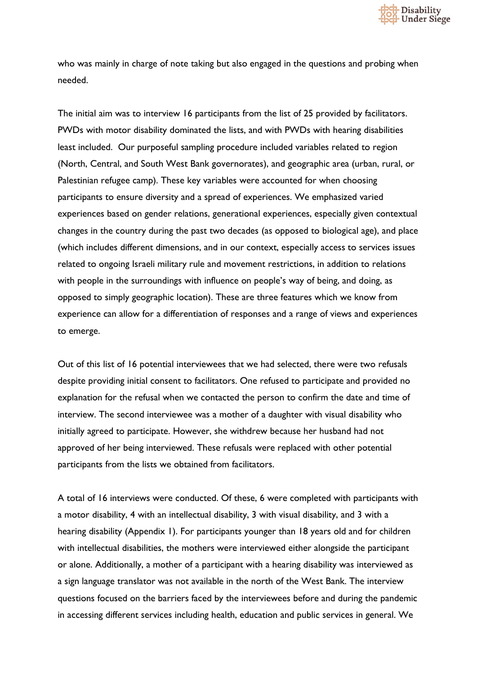

who was mainly in charge of note taking but also engaged in the questions and probing when needed.

The initial aim was to interview 16 participants from the list of 25 provided by facilitators. PWDs with motor disability dominated the lists, and with PWDs with hearing disabilities least included. Our purposeful sampling procedure included variables related to region (North, Central, and South West Bank governorates), and geographic area (urban, rural, or Palestinian refugee camp). These key variables were accounted for when choosing participants to ensure diversity and a spread of experiences. We emphasized varied experiences based on gender relations, generational experiences, especially given contextual changes in the country during the past two decades (as opposed to biological age), and place (which includes different dimensions, and in our context, especially access to services issues related to ongoing Israeli military rule and movement restrictions, in addition to relations with people in the surroundings with influence on people's way of being, and doing, as opposed to simply geographic location). These are three features which we know from experience can allow for a differentiation of responses and a range of views and experiences to emerge.

Out of this list of 16 potential interviewees that we had selected, there were two refusals despite providing initial consent to facilitators. One refused to participate and provided no explanation for the refusal when we contacted the person to confirm the date and time of interview. The second interviewee was a mother of a daughter with visual disability who initially agreed to participate. However, she withdrew because her husband had not approved of her being interviewed. These refusals were replaced with other potential participants from the lists we obtained from facilitators.

A total of 16 interviews were conducted. Of these, 6 were completed with participants with a motor disability, 4 with an intellectual disability, 3 with visual disability, and 3 with a hearing disability (Appendix 1). For participants younger than 18 years old and for children with intellectual disabilities, the mothers were interviewed either alongside the participant or alone. Additionally, a mother of a participant with a hearing disability was interviewed as a sign language translator was not available in the north of the West Bank. The interview questions focused on the barriers faced by the interviewees before and during the pandemic in accessing different services including health, education and public services in general. We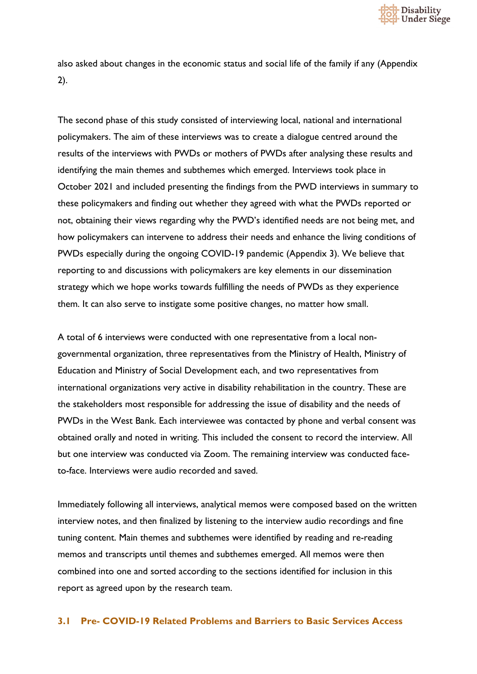

also asked about changes in the economic status and social life of the family if any (Appendix 2).

The second phase of this study consisted of interviewing local, national and international policymakers. The aim of these interviews was to create a dialogue centred around the results of the interviews with PWDs or mothers of PWDs after analysing these results and identifying the main themes and subthemes which emerged. Interviews took place in October 2021 and included presenting the findings from the PWD interviews in summary to these policymakers and finding out whether they agreed with what the PWDs reported or not, obtaining their views regarding why the PWD's identified needs are not being met, and how policymakers can intervene to address their needs and enhance the living conditions of PWDs especially during the ongoing COVID-19 pandemic (Appendix 3). We believe that reporting to and discussions with policymakers are key elements in our dissemination strategy which we hope works towards fulfilling the needs of PWDs as they experience them. It can also serve to instigate some positive changes, no matter how small.

A total of 6 interviews were conducted with one representative from a local nongovernmental organization, three representatives from the Ministry of Health, Ministry of Education and Ministry of Social Development each, and two representatives from international organizations very active in disability rehabilitation in the country. These are the stakeholders most responsible for addressing the issue of disability and the needs of PWDs in the West Bank. Each interviewee was contacted by phone and verbal consent was obtained orally and noted in writing. This included the consent to record the interview. All but one interview was conducted via Zoom. The remaining interview was conducted faceto-face. Interviews were audio recorded and saved.

Immediately following all interviews, analytical memos were composed based on the written interview notes, and then finalized by listening to the interview audio recordings and fine tuning content. Main themes and subthemes were identified by reading and re-reading memos and transcripts until themes and subthemes emerged. All memos were then combined into one and sorted according to the sections identified for inclusion in this report as agreed upon by the research team.

#### <span id="page-19-0"></span>**3.1 Pre- COVID-19 Related Problems and Barriers to Basic Services Access**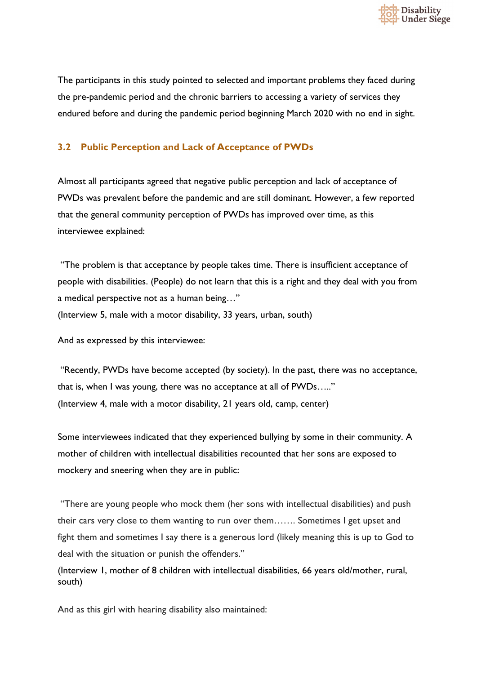

The participants in this study pointed to selected and important problems they faced during the pre-pandemic period and the chronic barriers to accessing a variety of services they endured before and during the pandemic period beginning March 2020 with no end in sight.

#### <span id="page-20-0"></span>**3.2 Public Perception and Lack of Acceptance of PWDs**

Almost all participants agreed that negative public perception and lack of acceptance of PWDs was prevalent before the pandemic and are still dominant. However, a few reported that the general community perception of PWDs has improved over time, as this interviewee explained:

"The problem is that acceptance by people takes time. There is insufficient acceptance of people with disabilities. (People) do not learn that this is a right and they deal with you from a medical perspective not as a human being…" (Interview 5, male with a motor disability, 33 years, urban, south)

And as expressed by this interviewee:

"Recently, PWDs have become accepted (by society). In the past, there was no acceptance, that is, when I was young, there was no acceptance at all of PWDs….." (Interview 4, male with a motor disability, 21 years old, camp, center)

Some interviewees indicated that they experienced bullying by some in their community. A mother of children with intellectual disabilities recounted that her sons are exposed to mockery and sneering when they are in public:

"There are young people who mock them (her sons with intellectual disabilities) and push their cars very close to them wanting to run over them……. Sometimes I get upset and fight them and sometimes I say there is a generous lord (likely meaning this is up to God to deal with the situation or punish the offenders."

(Interview 1, mother of 8 children with intellectual disabilities, 66 years old/mother, rural, south)

And as this girl with hearing disability also maintained: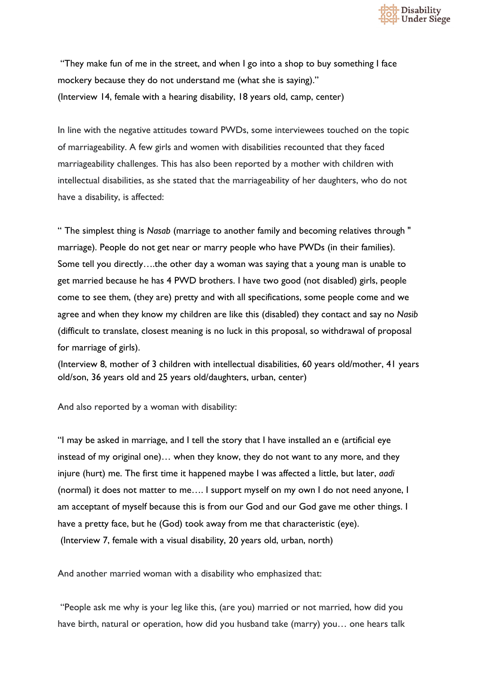

"They make fun of me in the street, and when I go into a shop to buy something I face mockery because they do not understand me (what she is saying)." (Interview 14, female with a hearing disability, 18 years old, camp, center)

In line with the negative attitudes toward PWDs, some interviewees touched on the topic of marriageability. A few girls and women with disabilities recounted that they faced marriageability challenges. This has also been reported by a mother with children with intellectual disabilities, as she stated that the marriageability of her daughters, who do not have a disability, is affected:

" The simplest thing is *Nasab* (marriage to another family and becoming relatives through " marriage). People do not get near or marry people who have PWDs (in their families). Some tell you directly….the other day a woman was saying that a young man is unable to get married because he has 4 PWD brothers. I have two good (not disabled) girls, people come to see them, (they are) pretty and with all specifications, some people come and we agree and when they know my children are like this (disabled) they contact and say no *Nasib* (difficult to translate, closest meaning is no luck in this proposal, so withdrawal of proposal for marriage of girls).

(Interview 8, mother of 3 children with intellectual disabilities, 60 years old/mother, 41 years old/son, 36 years old and 25 years old/daughters, urban, center)

And also reported by a woman with disability:

"I may be asked in marriage, and I tell the story that I have installed an e (artificial eye instead of my original one)… when they know, they do not want to any more, and they injure (hurt) me. The first time it happened maybe I was affected a little, but later, *aadi* (normal) it does not matter to me…. I support myself on my own I do not need anyone, I am acceptant of myself because this is from our God and our God gave me other things. I have a pretty face, but he (God) took away from me that characteristic (eye). (Interview 7, female with a visual disability, 20 years old, urban, north)

And another married woman with a disability who emphasized that:

"People ask me why is your leg like this, (are you) married or not married, how did you have birth, natural or operation, how did you husband take (marry) you… one hears talk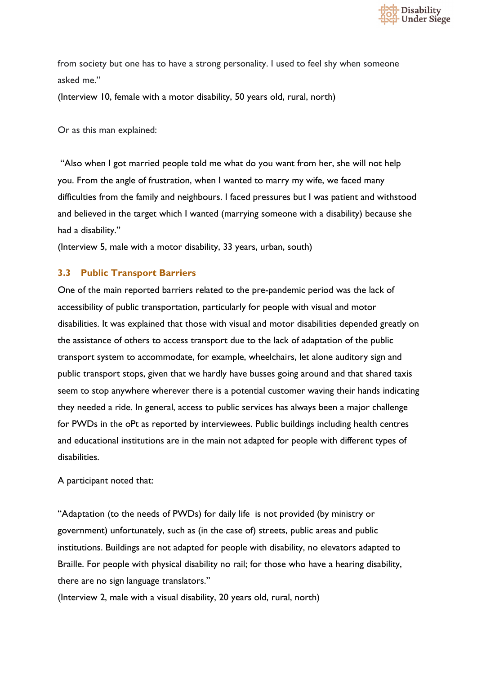

from society but one has to have a strong personality. I used to feel shy when someone asked me."

(Interview 10, female with a motor disability, 50 years old, rural, north)

Or as this man explained:

"Also when I got married people told me what do you want from her, she will not help you. From the angle of frustration, when I wanted to marry my wife, we faced many difficulties from the family and neighbours. I faced pressures but I was patient and withstood and believed in the target which I wanted (marrying someone with a disability) because she had a disability."

(Interview 5, male with a motor disability, 33 years, urban, south)

#### <span id="page-22-0"></span>**3.3 Public Transport Barriers**

One of the main reported barriers related to the pre-pandemic period was the lack of accessibility of public transportation, particularly for people with visual and motor disabilities. It was explained that those with visual and motor disabilities depended greatly on the assistance of others to access transport due to the lack of adaptation of the public transport system to accommodate, for example, wheelchairs, let alone auditory sign and public transport stops, given that we hardly have busses going around and that shared taxis seem to stop anywhere wherever there is a potential customer waving their hands indicating they needed a ride. In general, access to public services has always been a major challenge for PWDs in the oPt as reported by interviewees. Public buildings including health centres and educational institutions are in the main not adapted for people with different types of disabilities.

A participant noted that:

"Adaptation (to the needs of PWDs) for daily life is not provided (by ministry or government) unfortunately, such as (in the case of) streets, public areas and public institutions. Buildings are not adapted for people with disability, no elevators adapted to Braille. For people with physical disability no rail; for those who have a hearing disability, there are no sign language translators."

(Interview 2, male with a visual disability, 20 years old, rural, north)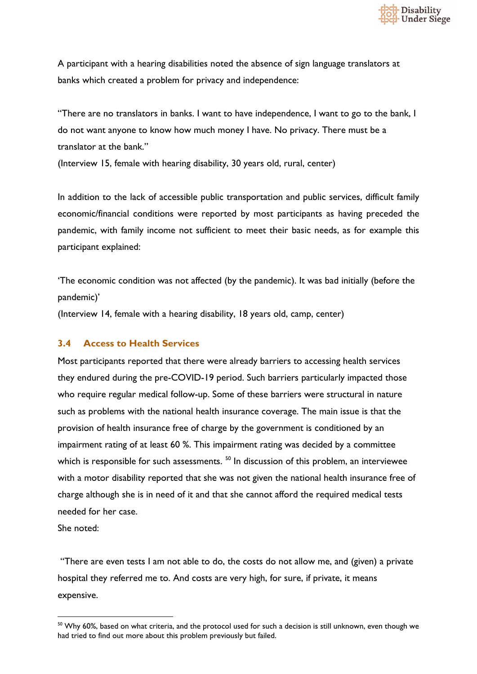

A participant with a hearing disabilities noted the absence of sign language translators at banks which created a problem for privacy and independence:

"There are no translators in banks. I want to have independence, I want to go to the bank, I do not want anyone to know how much money I have. No privacy. There must be a translator at the bank."

(Interview 15, female with hearing disability, 30 years old, rural, center)

In addition to the lack of accessible public transportation and public services, difficult family economic/financial conditions were reported by most participants as having preceded the pandemic, with family income not sufficient to meet their basic needs, as for example this participant explained:

'The economic condition was not affected (by the pandemic). It was bad initially (before the pandemic)'

(Interview 14, female with a hearing disability, 18 years old, camp, center)

#### <span id="page-23-0"></span>**3.4 Access to Health Services**

Most participants reported that there were already barriers to accessing health services they endured during the pre-COVID-19 period. Such barriers particularly impacted those who require regular medical follow-up. Some of these barriers were structural in nature such as problems with the national health insurance coverage. The main issue is that the provision of health insurance free of charge by the government is conditioned by an impairment rating of at least 60 %. This impairment rating was decided by a committee which is responsible for such assessments.<sup>50</sup> In discussion of this problem, an interviewee with a motor disability reported that she was not given the national health insurance free of charge although she is in need of it and that she cannot afford the required medical tests needed for her case.

She noted:

"There are even tests I am not able to do, the costs do not allow me, and (given) a private hospital they referred me to. And costs are very high, for sure, if private, it means expensive.

<span id="page-23-1"></span><sup>&</sup>lt;sup>50</sup> Why 60%, based on what criteria, and the protocol used for such a decision is still unknown, even though we had tried to find out more about this problem previously but failed.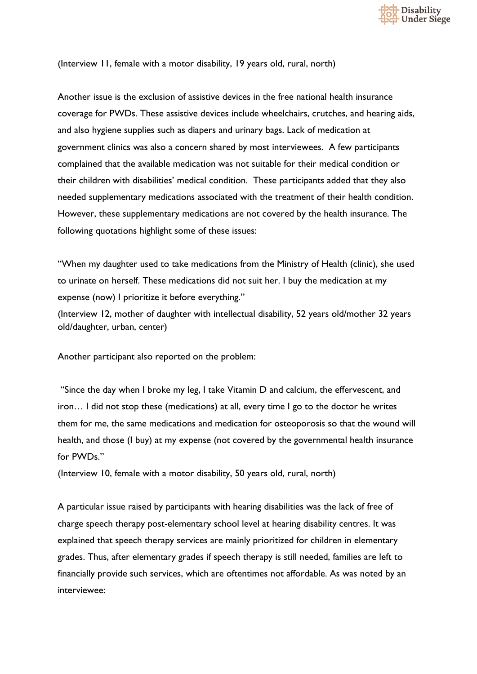

(Interview 11, female with a motor disability, 19 years old, rural, north)

Another issue is the exclusion of assistive devices in the free national health insurance coverage for PWDs. These assistive devices include wheelchairs, crutches, and hearing aids, and also hygiene supplies such as diapers and urinary bags. Lack of medication at government clinics was also a concern shared by most interviewees. A few participants complained that the available medication was not suitable for their medical condition or their children with disabilities' medical condition. These participants added that they also needed supplementary medications associated with the treatment of their health condition. However, these supplementary medications are not covered by the health insurance. The following quotations highlight some of these issues:

"When my daughter used to take medications from the Ministry of Health (clinic), she used to urinate on herself. These medications did not suit her. I buy the medication at my expense (now) I prioritize it before everything."

(Interview 12, mother of daughter with intellectual disability, 52 years old/mother 32 years old/daughter, urban, center)

Another participant also reported on the problem:

"Since the day when I broke my leg, I take Vitamin D and calcium, the effervescent, and iron… I did not stop these (medications) at all, every time I go to the doctor he writes them for me, the same medications and medication for osteoporosis so that the wound will health, and those (I buy) at my expense (not covered by the governmental health insurance for PWDs."

(Interview 10, female with a motor disability, 50 years old, rural, north)

A particular issue raised by participants with hearing disabilities was the lack of free of charge speech therapy post-elementary school level at hearing disability centres. It was explained that speech therapy services are mainly prioritized for children in elementary grades. Thus, after elementary grades if speech therapy is still needed, families are left to financially provide such services, which are oftentimes not affordable. As was noted by an interviewee: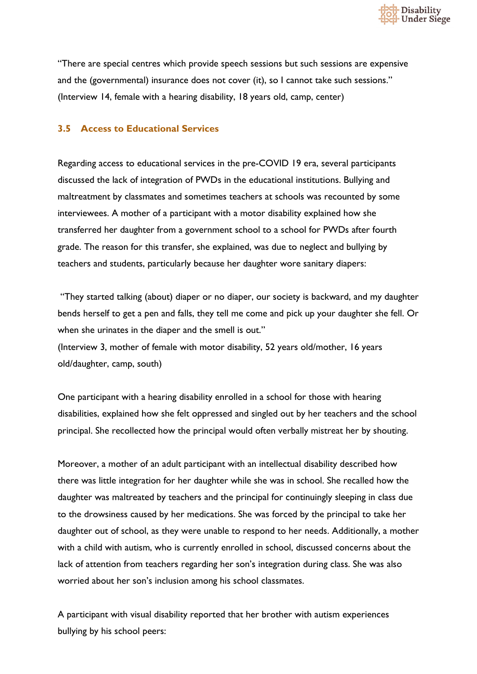

"There are special centres which provide speech sessions but such sessions are expensive and the (governmental) insurance does not cover (it), so I cannot take such sessions." (Interview 14, female with a hearing disability, 18 years old, camp, center)

#### <span id="page-25-0"></span>**3.5 Access to Educational Services**

Regarding access to educational services in the pre-COVID 19 era, several participants discussed the lack of integration of PWDs in the educational institutions. Bullying and maltreatment by classmates and sometimes teachers at schools was recounted by some interviewees. A mother of a participant with a motor disability explained how she transferred her daughter from a government school to a school for PWDs after fourth grade. The reason for this transfer, she explained, was due to neglect and bullying by teachers and students, particularly because her daughter wore sanitary diapers:

"They started talking (about) diaper or no diaper, our society is backward, and my daughter bends herself to get a pen and falls, they tell me come and pick up your daughter she fell. Or when she urinates in the diaper and the smell is out." (Interview 3, mother of female with motor disability, 52 years old/mother, 16 years old/daughter, camp, south)

One participant with a hearing disability enrolled in a school for those with hearing disabilities, explained how she felt oppressed and singled out by her teachers and the school principal. She recollected how the principal would often verbally mistreat her by shouting.

Moreover, a mother of an adult participant with an intellectual disability described how there was little integration for her daughter while she was in school. She recalled how the daughter was maltreated by teachers and the principal for continuingly sleeping in class due to the drowsiness caused by her medications. She was forced by the principal to take her daughter out of school, as they were unable to respond to her needs. Additionally, a mother with a child with autism, who is currently enrolled in school, discussed concerns about the lack of attention from teachers regarding her son's integration during class. She was also worried about her son's inclusion among his school classmates.

A participant with visual disability reported that her brother with autism experiences bullying by his school peers: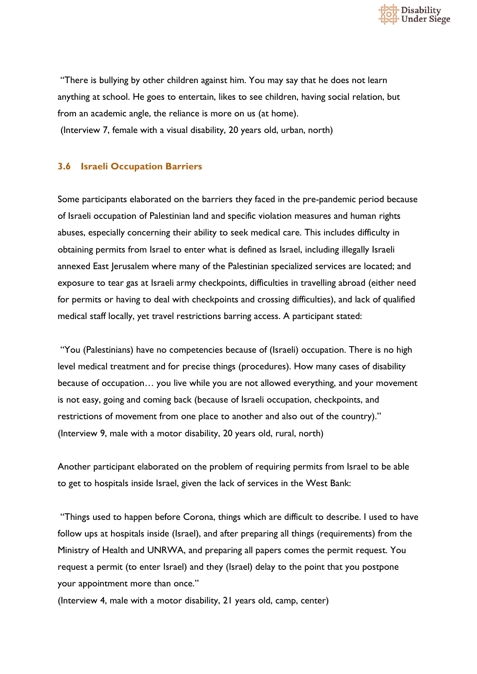

"There is bullying by other children against him. You may say that he does not learn anything at school. He goes to entertain, likes to see children, having social relation, but from an academic angle, the reliance is more on us (at home).

(Interview 7, female with a visual disability, 20 years old, urban, north)

#### <span id="page-26-0"></span>**3.6 Israeli Occupation Barriers**

Some participants elaborated on the barriers they faced in the pre-pandemic period because of Israeli occupation of Palestinian land and specific violation measures and human rights abuses, especially concerning their ability to seek medical care. This includes difficulty in obtaining permits from Israel to enter what is defined as Israel, including illegally Israeli annexed East Jerusalem where many of the Palestinian specialized services are located; and exposure to tear gas at Israeli army checkpoints, difficulties in travelling abroad (either need for permits or having to deal with checkpoints and crossing difficulties), and lack of qualified medical staff locally, yet travel restrictions barring access. A participant stated:

"You (Palestinians) have no competencies because of (Israeli) occupation. There is no high level medical treatment and for precise things (procedures). How many cases of disability because of occupation… you live while you are not allowed everything, and your movement is not easy, going and coming back (because of Israeli occupation, checkpoints, and restrictions of movement from one place to another and also out of the country)." (Interview 9, male with a motor disability, 20 years old, rural, north)

Another participant elaborated on the problem of requiring permits from Israel to be able to get to hospitals inside Israel, given the lack of services in the West Bank:

"Things used to happen before Corona, things which are difficult to describe. I used to have follow ups at hospitals inside (Israel), and after preparing all things (requirements) from the Ministry of Health and UNRWA, and preparing all papers comes the permit request. You request a permit (to enter Israel) and they (Israel) delay to the point that you postpone your appointment more than once."

(Interview 4, male with a motor disability, 21 years old, camp, center)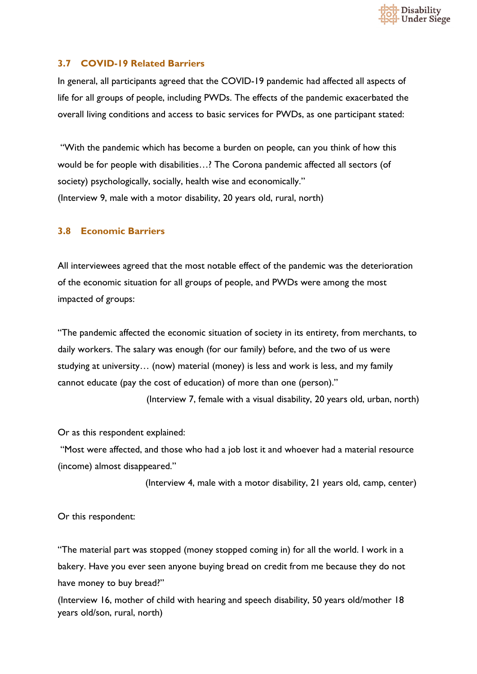

#### <span id="page-27-0"></span>**3.7 COVID-19 Related Barriers**

In general, all participants agreed that the COVID-19 pandemic had affected all aspects of life for all groups of people, including PWDs. The effects of the pandemic exacerbated the overall living conditions and access to basic services for PWDs, as one participant stated:

"With the pandemic which has become a burden on people, can you think of how this would be for people with disabilities…? The Corona pandemic affected all sectors (of society) psychologically, socially, health wise and economically." (Interview 9, male with a motor disability, 20 years old, rural, north)

#### <span id="page-27-1"></span>**3.8 Economic Barriers**

All interviewees agreed that the most notable effect of the pandemic was the deterioration of the economic situation for all groups of people, and PWDs were among the most impacted of groups:

"The pandemic affected the economic situation of society in its entirety, from merchants, to daily workers. The salary was enough (for our family) before, and the two of us were studying at university… (now) material (money) is less and work is less, and my family cannot educate (pay the cost of education) of more than one (person)."

(Interview 7, female with a visual disability, 20 years old, urban, north)

Or as this respondent explained:

"Most were affected, and those who had a job lost it and whoever had a material resource (income) almost disappeared."

(Interview 4, male with a motor disability, 21 years old, camp, center)

Or this respondent:

"The material part was stopped (money stopped coming in) for all the world. I work in a bakery. Have you ever seen anyone buying bread on credit from me because they do not have money to buy bread?"

(Interview 16, mother of child with hearing and speech disability, 50 years old/mother 18 years old/son, rural, north)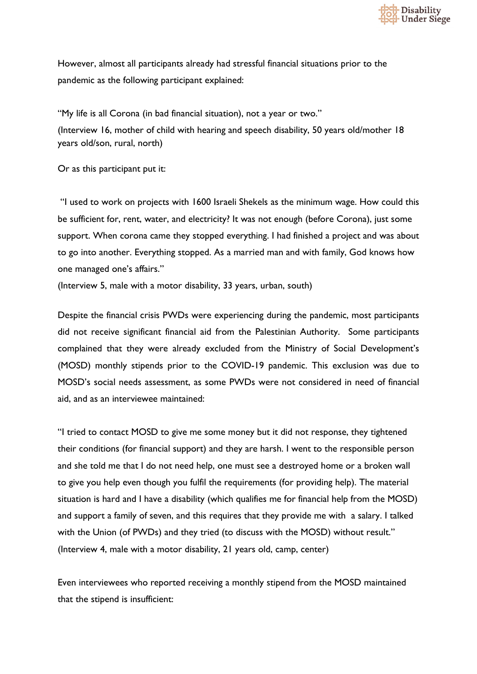

However, almost all participants already had stressful financial situations prior to the pandemic as the following participant explained:

"My life is all Corona (in bad financial situation), not a year or two." (Interview 16, mother of child with hearing and speech disability, 50 years old/mother 18 years old/son, rural, north)

Or as this participant put it:

"I used to work on projects with 1600 Israeli Shekels as the minimum wage. How could this be sufficient for, rent, water, and electricity? It was not enough (before Corona), just some support. When corona came they stopped everything. I had finished a project and was about to go into another. Everything stopped. As a married man and with family, God knows how one managed one's affairs."

(Interview 5, male with a motor disability, 33 years, urban, south)

Despite the financial crisis PWDs were experiencing during the pandemic, most participants did not receive significant financial aid from the Palestinian Authority. Some participants complained that they were already excluded from the Ministry of Social Development's (MOSD) monthly stipends prior to the COVID-19 pandemic. This exclusion was due to MOSD's social needs assessment, as some PWDs were not considered in need of financial aid, and as an interviewee maintained:

"I tried to contact MOSD to give me some money but it did not response, they tightened their conditions (for financial support) and they are harsh. I went to the responsible person and she told me that I do not need help, one must see a destroyed home or a broken wall to give you help even though you fulfil the requirements (for providing help). The material situation is hard and I have a disability (which qualifies me for financial help from the MOSD) and support a family of seven, and this requires that they provide me with a salary. I talked with the Union (of PWDs) and they tried (to discuss with the MOSD) without result." (Interview 4, male with a motor disability, 21 years old, camp, center)

Even interviewees who reported receiving a monthly stipend from the MOSD maintained that the stipend is insufficient: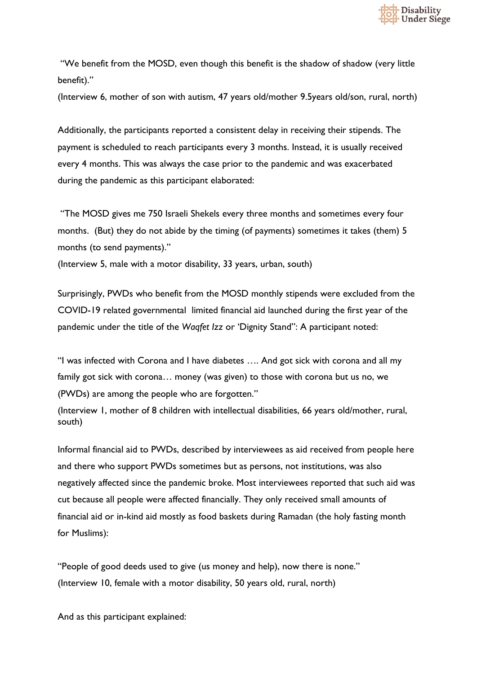

"We benefit from the MOSD, even though this benefit is the shadow of shadow (very little benefit)."

(Interview 6, mother of son with autism, 47 years old/mother 9.5years old/son, rural, north)

Additionally, the participants reported a consistent delay in receiving their stipends. The payment is scheduled to reach participants every 3 months. Instead, it is usually received every 4 months. This was always the case prior to the pandemic and was exacerbated during the pandemic as this participant elaborated:

"The MOSD gives me 750 Israeli Shekels every three months and sometimes every four months. (But) they do not abide by the timing (of payments) sometimes it takes (them) 5 months (to send payments)."

(Interview 5, male with a motor disability, 33 years, urban, south)

Surprisingly, PWDs who benefit from the MOSD monthly stipends were excluded from the COVID-19 related governmental limited financial aid launched during the first year of the pandemic under the title of the *Waqfet Izz* or 'Dignity Stand": A participant noted:

"I was infected with Corona and I have diabetes …. And got sick with corona and all my family got sick with corona… money (was given) to those with corona but us no, we (PWDs) are among the people who are forgotten."

(Interview 1, mother of 8 children with intellectual disabilities, 66 years old/mother, rural, south)

Informal financial aid to PWDs, described by interviewees as aid received from people here and there who support PWDs sometimes but as persons, not institutions, was also negatively affected since the pandemic broke. Most interviewees reported that such aid was cut because all people were affected financially. They only received small amounts of financial aid or in-kind aid mostly as food baskets during Ramadan (the holy fasting month for Muslims):

"People of good deeds used to give (us money and help), now there is none." (Interview 10, female with a motor disability, 50 years old, rural, north)

And as this participant explained: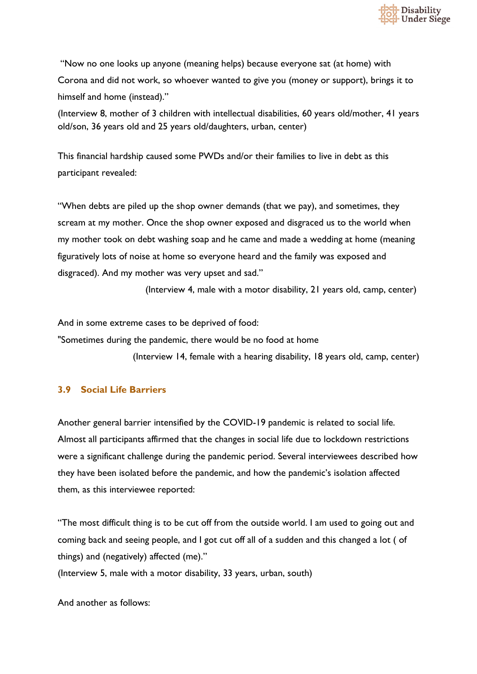

"Now no one looks up anyone (meaning helps) because everyone sat (at home) with Corona and did not work, so whoever wanted to give you (money or support), brings it to himself and home (instead)."

(Interview 8, mother of 3 children with intellectual disabilities, 60 years old/mother, 41 years old/son, 36 years old and 25 years old/daughters, urban, center)

This financial hardship caused some PWDs and/or their families to live in debt as this participant revealed:

"When debts are piled up the shop owner demands (that we pay), and sometimes, they scream at my mother. Once the shop owner exposed and disgraced us to the world when my mother took on debt washing soap and he came and made a wedding at home (meaning figuratively lots of noise at home so everyone heard and the family was exposed and disgraced). And my mother was very upset and sad."

(Interview 4, male with a motor disability, 21 years old, camp, center)

And in some extreme cases to be deprived of food:

"Sometimes during the pandemic, there would be no food at home

(Interview 14, female with a hearing disability, 18 years old, camp, center)

#### <span id="page-30-0"></span>**3.9 Social Life Barriers**

Another general barrier intensified by the COVID-19 pandemic is related to social life. Almost all participants affirmed that the changes in social life due to lockdown restrictions were a significant challenge during the pandemic period. Several interviewees described how they have been isolated before the pandemic, and how the pandemic's isolation affected them, as this interviewee reported:

"The most difficult thing is to be cut off from the outside world. I am used to going out and coming back and seeing people, and I got cut off all of a sudden and this changed a lot ( of things) and (negatively) affected (me)."

(Interview 5, male with a motor disability, 33 years, urban, south)

And another as follows: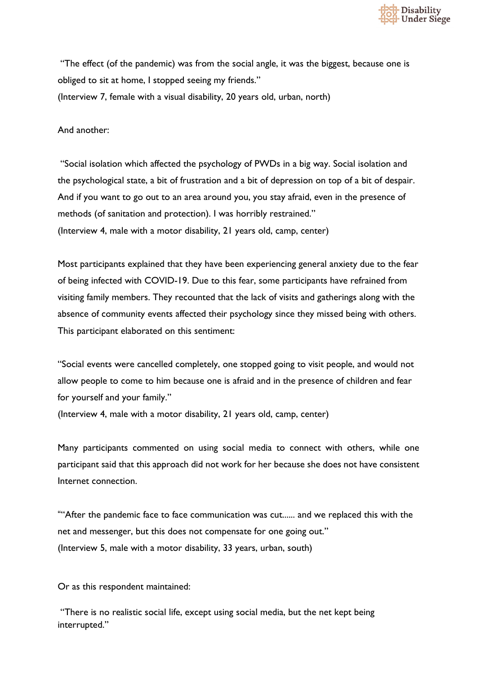

"The effect (of the pandemic) was from the social angle, it was the biggest, because one is obliged to sit at home, I stopped seeing my friends."

(Interview 7, female with a visual disability, 20 years old, urban, north)

And another:

"Social isolation which affected the psychology of PWDs in a big way. Social isolation and the psychological state, a bit of frustration and a bit of depression on top of a bit of despair. And if you want to go out to an area around you, you stay afraid, even in the presence of methods (of sanitation and protection). I was horribly restrained." (Interview 4, male with a motor disability, 21 years old, camp, center)

Most participants explained that they have been experiencing general anxiety due to the fear of being infected with COVID-19. Due to this fear, some participants have refrained from visiting family members. They recounted that the lack of visits and gatherings along with the absence of community events affected their psychology since they missed being with others. This participant elaborated on this sentiment:

"Social events were cancelled completely, one stopped going to visit people, and would not allow people to come to him because one is afraid and in the presence of children and fear for yourself and your family." (Interview 4, male with a motor disability, 21 years old, camp, center)

Many participants commented on using social media to connect with others, while one participant said that this approach did not work for her because she does not have consistent Internet connection.

""After the pandemic face to face communication was cut...... and we replaced this with the net and messenger, but this does not compensate for one going out." (Interview 5, male with a motor disability, 33 years, urban, south)

Or as this respondent maintained:

"There is no realistic social life, except using social media, but the net kept being interrupted."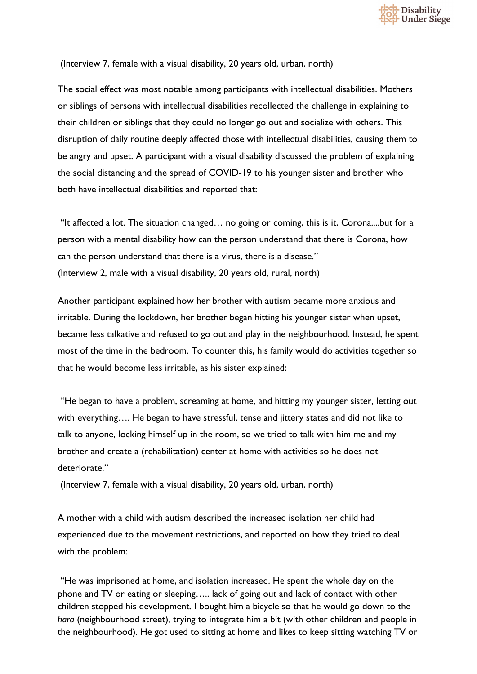

(Interview 7, female with a visual disability, 20 years old, urban, north)

The social effect was most notable among participants with intellectual disabilities. Mothers or siblings of persons with intellectual disabilities recollected the challenge in explaining to their children or siblings that they could no longer go out and socialize with others. This disruption of daily routine deeply affected those with intellectual disabilities, causing them to be angry and upset. A participant with a visual disability discussed the problem of explaining the social distancing and the spread of COVID-19 to his younger sister and brother who both have intellectual disabilities and reported that:

"It affected a lot. The situation changed… no going or coming, this is it, Corona....but for a person with a mental disability how can the person understand that there is Corona, how can the person understand that there is a virus, there is a disease." (Interview 2, male with a visual disability, 20 years old, rural, north)

Another participant explained how her brother with autism became more anxious and irritable. During the lockdown, her brother began hitting his younger sister when upset, became less talkative and refused to go out and play in the neighbourhood. Instead, he spent most of the time in the bedroom. To counter this, his family would do activities together so that he would become less irritable, as his sister explained:

"He began to have a problem, screaming at home, and hitting my younger sister, letting out with everything…. He began to have stressful, tense and jittery states and did not like to talk to anyone, locking himself up in the room, so we tried to talk with him me and my brother and create a (rehabilitation) center at home with activities so he does not deteriorate."

(Interview 7, female with a visual disability, 20 years old, urban, north)

A mother with a child with autism described the increased isolation her child had experienced due to the movement restrictions, and reported on how they tried to deal with the problem:

"He was imprisoned at home, and isolation increased. He spent the whole day on the phone and TV or eating or sleeping….. lack of going out and lack of contact with other children stopped his development. I bought him a bicycle so that he would go down to the *hara* (neighbourhood street), trying to integrate him a bit (with other children and people in the neighbourhood). He got used to sitting at home and likes to keep sitting watching TV or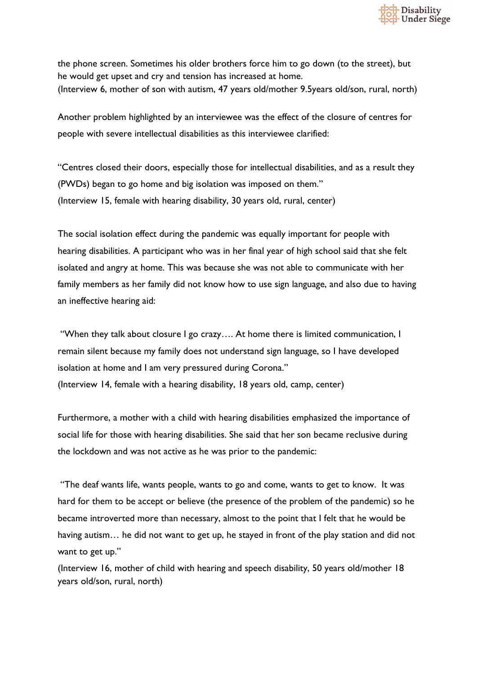

the phone screen. Sometimes his older brothers force him to go down (to the street), but he would get upset and cry and tension has increased at home. (Interview 6, mother of son with autism, 47 years old/mother 9.5years old/son, rural, north)

Another problem highlighted by an interviewee was the effect of the closure of centres for people with severe intellectual disabilities as this interviewee clarified:

"Centres closed their doors, especially those for intellectual disabilities, and as a result they (PWDs) began to go home and big isolation was imposed on them." (Interview 15, female with hearing disability, 30 years old, rural, center)

The social isolation effect during the pandemic was equally important for people with hearing disabilities. A participant who was in her final year of high school said that she felt isolated and angry at home. This was because she was not able to communicate with her family members as her family did not know how to use sign language, and also due to having an ineffective hearing aid:

"When they talk about closure I go crazy…. At home there is limited communication, I remain silent because my family does not understand sign language, so I have developed isolation at home and I am very pressured during Corona." (Interview 14, female with a hearing disability, 18 years old, camp, center)

Furthermore, a mother with a child with hearing disabilities emphasized the importance of social life for those with hearing disabilities. She said that her son became reclusive during the lockdown and was not active as he was prior to the pandemic:

"The deaf wants life, wants people, wants to go and come, wants to get to know. It was hard for them to be accept or believe (the presence of the problem of the pandemic) so he became introverted more than necessary, almost to the point that I felt that he would be having autism... he did not want to get up, he stayed in front of the play station and did not want to get up."

(Interview 16, mother of child with hearing and speech disability, 50 years old/mother 18 years old/son, rural, north)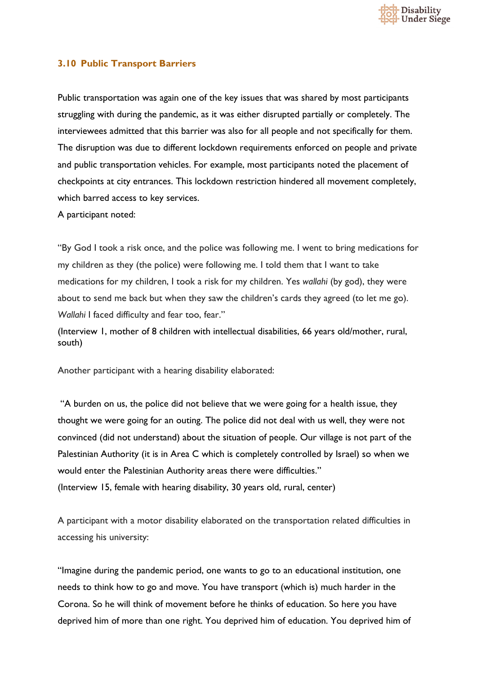

#### <span id="page-34-0"></span>**3.10 Public Transport Barriers**

Public transportation was again one of the key issues that was shared by most participants struggling with during the pandemic, as it was either disrupted partially or completely. The interviewees admitted that this barrier was also for all people and not specifically for them. The disruption was due to different lockdown requirements enforced on people and private and public transportation vehicles. For example, most participants noted the placement of checkpoints at city entrances. This lockdown restriction hindered all movement completely, which barred access to key services.

A participant noted:

"By God I took a risk once, and the police was following me. I went to bring medications for my children as they (the police) were following me. I told them that I want to take medications for my children, I took a risk for my children. Yes *wallahi* (by god), they were about to send me back but when they saw the children's cards they agreed (to let me go). *Wallahi* I faced difficulty and fear too, fear."

(Interview 1, mother of 8 children with intellectual disabilities, 66 years old/mother, rural, south)

Another participant with a hearing disability elaborated:

"A burden on us, the police did not believe that we were going for a health issue, they thought we were going for an outing. The police did not deal with us well, they were not convinced (did not understand) about the situation of people. Our village is not part of the Palestinian Authority (it is in Area C which is completely controlled by Israel) so when we would enter the Palestinian Authority areas there were difficulties." (Interview 15, female with hearing disability, 30 years old, rural, center)

A participant with a motor disability elaborated on the transportation related difficulties in accessing his university:

"Imagine during the pandemic period, one wants to go to an educational institution, one needs to think how to go and move. You have transport (which is) much harder in the Corona. So he will think of movement before he thinks of education. So here you have deprived him of more than one right. You deprived him of education. You deprived him of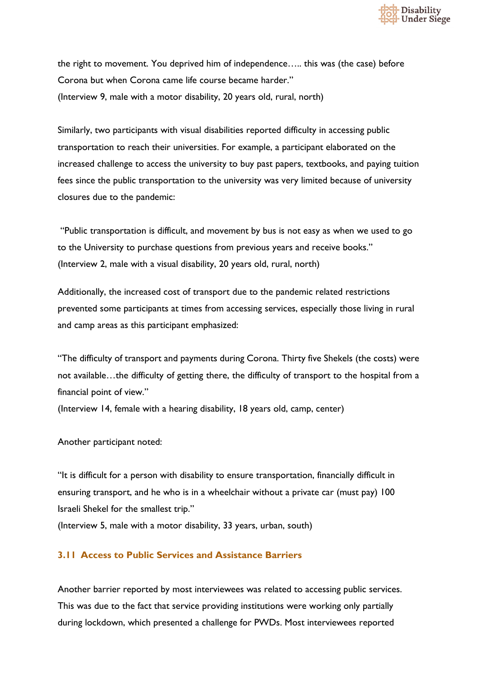

the right to movement. You deprived him of independence….. this was (the case) before Corona but when Corona came life course became harder." (Interview 9, male with a motor disability, 20 years old, rural, north)

Similarly, two participants with visual disabilities reported difficulty in accessing public transportation to reach their universities. For example, a participant elaborated on the increased challenge to access the university to buy past papers, textbooks, and paying tuition fees since the public transportation to the university was very limited because of university closures due to the pandemic:

"Public transportation is difficult, and movement by bus is not easy as when we used to go to the University to purchase questions from previous years and receive books." (Interview 2, male with a visual disability, 20 years old, rural, north)

Additionally, the increased cost of transport due to the pandemic related restrictions prevented some participants at times from accessing services, especially those living in rural and camp areas as this participant emphasized:

"The difficulty of transport and payments during Corona. Thirty five Shekels (the costs) were not available…the difficulty of getting there, the difficulty of transport to the hospital from a financial point of view."

(Interview 14, female with a hearing disability, 18 years old, camp, center)

Another participant noted:

"It is difficult for a person with disability to ensure transportation, financially difficult in ensuring transport, and he who is in a wheelchair without a private car (must pay) 100 Israeli Shekel for the smallest trip."

(Interview 5, male with a motor disability, 33 years, urban, south)

#### <span id="page-35-0"></span>**3.11 Access to Public Services and Assistance Barriers**

Another barrier reported by most interviewees was related to accessing public services. This was due to the fact that service providing institutions were working only partially during lockdown, which presented a challenge for PWDs. Most interviewees reported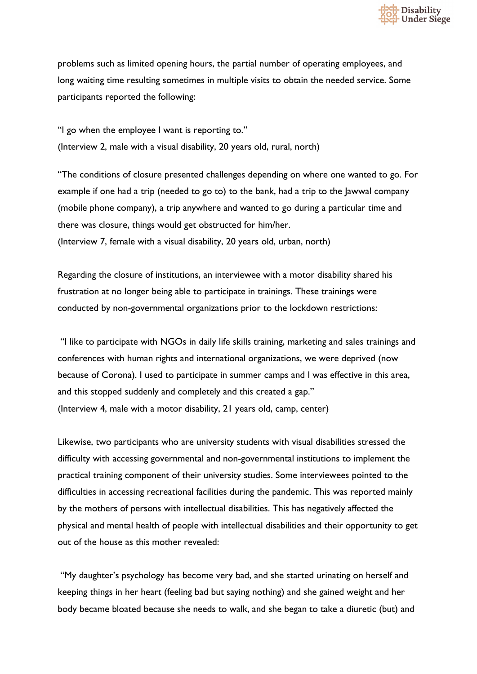

problems such as limited opening hours, the partial number of operating employees, and long waiting time resulting sometimes in multiple visits to obtain the needed service. Some participants reported the following:

"I go when the employee I want is reporting to." (Interview 2, male with a visual disability, 20 years old, rural, north)

"The conditions of closure presented challenges depending on where one wanted to go. For example if one had a trip (needed to go to) to the bank, had a trip to the Jawwal company (mobile phone company), a trip anywhere and wanted to go during a particular time and there was closure, things would get obstructed for him/her. (Interview 7, female with a visual disability, 20 years old, urban, north)

Regarding the closure of institutions, an interviewee with a motor disability shared his frustration at no longer being able to participate in trainings. These trainings were conducted by non-governmental organizations prior to the lockdown restrictions:

"I like to participate with NGOs in daily life skills training, marketing and sales trainings and conferences with human rights and international organizations, we were deprived (now because of Corona). I used to participate in summer camps and I was effective in this area, and this stopped suddenly and completely and this created a gap." (Interview 4, male with a motor disability, 21 years old, camp, center)

Likewise, two participants who are university students with visual disabilities stressed the difficulty with accessing governmental and non-governmental institutions to implement the practical training component of their university studies. Some interviewees pointed to the difficulties in accessing recreational facilities during the pandemic. This was reported mainly by the mothers of persons with intellectual disabilities. This has negatively affected the physical and mental health of people with intellectual disabilities and their opportunity to get out of the house as this mother revealed:

"My daughter's psychology has become very bad, and she started urinating on herself and keeping things in her heart (feeling bad but saying nothing) and she gained weight and her body became bloated because she needs to walk, and she began to take a diuretic (but) and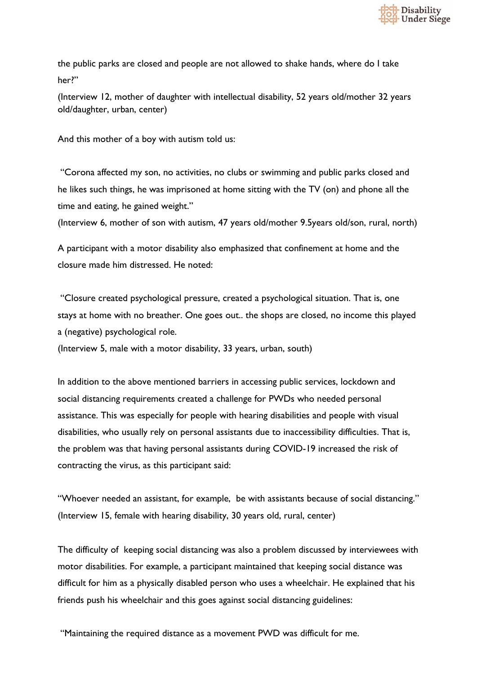

the public parks are closed and people are not allowed to shake hands, where do I take her?"

(Interview 12, mother of daughter with intellectual disability, 52 years old/mother 32 years old/daughter, urban, center)

And this mother of a boy with autism told us:

"Corona affected my son, no activities, no clubs or swimming and public parks closed and he likes such things, he was imprisoned at home sitting with the TV (on) and phone all the time and eating, he gained weight."

(Interview 6, mother of son with autism, 47 years old/mother 9.5years old/son, rural, north)

A participant with a motor disability also emphasized that confinement at home and the closure made him distressed. He noted:

"Closure created psychological pressure, created a psychological situation. That is, one stays at home with no breather. One goes out.. the shops are closed, no income this played a (negative) psychological role.

(Interview 5, male with a motor disability, 33 years, urban, south)

In addition to the above mentioned barriers in accessing public services, lockdown and social distancing requirements created a challenge for PWDs who needed personal assistance. This was especially for people with hearing disabilities and people with visual disabilities, who usually rely on personal assistants due to inaccessibility difficulties. That is, the problem was that having personal assistants during COVID-19 increased the risk of contracting the virus, as this participant said:

"Whoever needed an assistant, for example, be with assistants because of social distancing." (Interview 15, female with hearing disability, 30 years old, rural, center)

The difficulty of keeping social distancing was also a problem discussed by interviewees with motor disabilities. For example, a participant maintained that keeping social distance was difficult for him as a physically disabled person who uses a wheelchair. He explained that his friends push his wheelchair and this goes against social distancing guidelines:

"Maintaining the required distance as a movement PWD was difficult for me.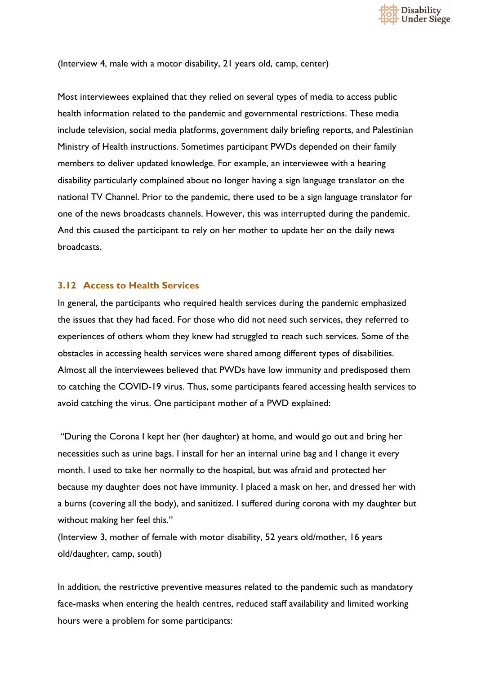

(Interview 4, male with a motor disability, 21 years old, camp, center)

Most interviewees explained that they relied on several types of media to access public health information related to the pandemic and governmental restrictions. These media include television, social media platforms, government daily briefing reports, and Palestinian Ministry of Health instructions. Sometimes participant PWDs depended on their family members to deliver updated knowledge. For example, an interviewee with a hearing disability particularly complained about no longer having a sign language translator on the national TV Channel. Prior to the pandemic, there used to be a sign language translator for one of the news broadcasts channels. However, this was interrupted during the pandemic. And this caused the participant to rely on her mother to update her on the daily news broadcasts.

#### **3.12 Access to Health Services**

In general, the participants who required health services during the pandemic emphasized the issues that they had faced. For those who did not need such services, they referred to experiences of others whom they knew had struggled to reach such services. Some of the obstacles in accessing health services were shared among different types of disabilities. Almost all the interviewees believed that PWDs have low immunity and predisposed them to catching the COVID-19 virus. Thus, some participants feared accessing health services to avoid catching the virus. One participant mother of a PWD explained:

"During the Corona I kept her (her daughter) at home, and would go out and bring her necessities such as urine bags. I install for her an internal urine bag and I change it every month. I used to take her normally to the hospital, but was afraid and protected her because my daughter does not have immunity. I placed a mask on her, and dressed her with a burns (covering all the body), and sanitized. I suffered during corona with my daughter but without making her feel this."

(Interview 3, mother of female with motor disability, 52 years old/mother, 16 years old/daughter, camp, south)

In addition, the restrictive preventive measures related to the pandemic such as mandatory face-masks when entering the health centres, reduced staff availability and limited working hours were a problem for some participants: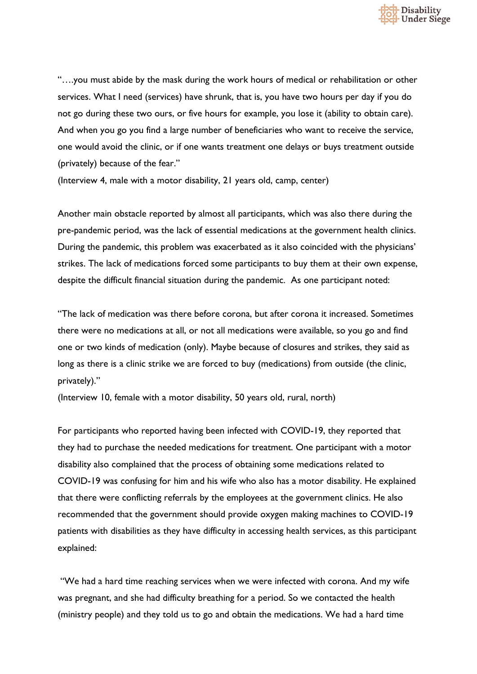

"….you must abide by the mask during the work hours of medical or rehabilitation or other services. What I need (services) have shrunk, that is, you have two hours per day if you do not go during these two ours, or five hours for example, you lose it (ability to obtain care). And when you go you find a large number of beneficiaries who want to receive the service, one would avoid the clinic, or if one wants treatment one delays or buys treatment outside (privately) because of the fear."

(Interview 4, male with a motor disability, 21 years old, camp, center)

Another main obstacle reported by almost all participants, which was also there during the pre-pandemic period, was the lack of essential medications at the government health clinics. During the pandemic, this problem was exacerbated as it also coincided with the physicians' strikes. The lack of medications forced some participants to buy them at their own expense, despite the difficult financial situation during the pandemic. As one participant noted:

"The lack of medication was there before corona, but after corona it increased. Sometimes there were no medications at all, or not all medications were available, so you go and find one or two kinds of medication (only). Maybe because of closures and strikes, they said as long as there is a clinic strike we are forced to buy (medications) from outside (the clinic, privately)."

(Interview 10, female with a motor disability, 50 years old, rural, north)

For participants who reported having been infected with COVID-19, they reported that they had to purchase the needed medications for treatment. One participant with a motor disability also complained that the process of obtaining some medications related to COVID-19 was confusing for him and his wife who also has a motor disability. He explained that there were conflicting referrals by the employees at the government clinics. He also recommended that the government should provide oxygen making machines to COVID-19 patients with disabilities as they have difficulty in accessing health services, as this participant explained:

"We had a hard time reaching services when we were infected with corona. And my wife was pregnant, and she had difficulty breathing for a period. So we contacted the health (ministry people) and they told us to go and obtain the medications. We had a hard time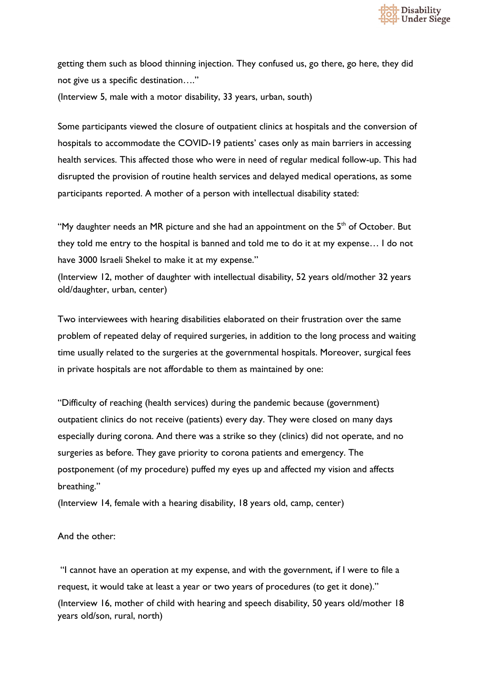

getting them such as blood thinning injection. They confused us, go there, go here, they did not give us a specific destination…."

(Interview 5, male with a motor disability, 33 years, urban, south)

Some participants viewed the closure of outpatient clinics at hospitals and the conversion of hospitals to accommodate the COVID-19 patients' cases only as main barriers in accessing health services. This affected those who were in need of regular medical follow-up. This had disrupted the provision of routine health services and delayed medical operations, as some participants reported. A mother of a person with intellectual disability stated:

"My daughter needs an MR picture and she had an appointment on the  $5<sup>th</sup>$  of October. But they told me entry to the hospital is banned and told me to do it at my expense… I do not have 3000 Israeli Shekel to make it at my expense."

(Interview 12, mother of daughter with intellectual disability, 52 years old/mother 32 years old/daughter, urban, center)

Two interviewees with hearing disabilities elaborated on their frustration over the same problem of repeated delay of required surgeries, in addition to the long process and waiting time usually related to the surgeries at the governmental hospitals. Moreover, surgical fees in private hospitals are not affordable to them as maintained by one:

"Difficulty of reaching (health services) during the pandemic because (government) outpatient clinics do not receive (patients) every day. They were closed on many days especially during corona. And there was a strike so they (clinics) did not operate, and no surgeries as before. They gave priority to corona patients and emergency. The postponement (of my procedure) puffed my eyes up and affected my vision and affects breathing."

(Interview 14, female with a hearing disability, 18 years old, camp, center)

And the other:

"I cannot have an operation at my expense, and with the government, if I were to file a request, it would take at least a year or two years of procedures (to get it done)." (Interview 16, mother of child with hearing and speech disability, 50 years old/mother 18 years old/son, rural, north)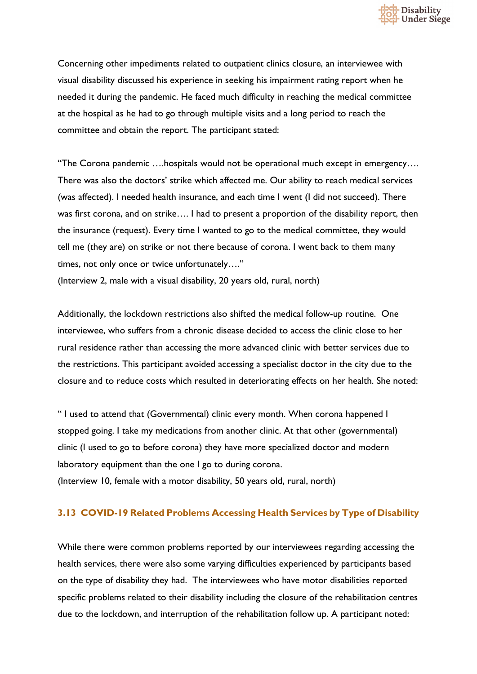

Concerning other impediments related to outpatient clinics closure, an interviewee with visual disability discussed his experience in seeking his impairment rating report when he needed it during the pandemic. He faced much difficulty in reaching the medical committee at the hospital as he had to go through multiple visits and a long period to reach the committee and obtain the report. The participant stated:

"The Corona pandemic ….hospitals would not be operational much except in emergency…. There was also the doctors' strike which affected me. Our ability to reach medical services (was affected). I needed health insurance, and each time I went (I did not succeed). There was first corona, and on strike…. I had to present a proportion of the disability report, then the insurance (request). Every time I wanted to go to the medical committee, they would tell me (they are) on strike or not there because of corona. I went back to them many times, not only once or twice unfortunately…."

(Interview 2, male with a visual disability, 20 years old, rural, north)

Additionally, the lockdown restrictions also shifted the medical follow-up routine. One interviewee, who suffers from a chronic disease decided to access the clinic close to her rural residence rather than accessing the more advanced clinic with better services due to the restrictions. This participant avoided accessing a specialist doctor in the city due to the closure and to reduce costs which resulted in deteriorating effects on her health. She noted:

" I used to attend that (Governmental) clinic every month. When corona happened I stopped going. I take my medications from another clinic. At that other (governmental) clinic (I used to go to before corona) they have more specialized doctor and modern laboratory equipment than the one I go to during corona. (Interview 10, female with a motor disability, 50 years old, rural, north)

## **3.13 COVID-19 Related Problems Accessing Health Services by Type of Disability**

While there were common problems reported by our interviewees regarding accessing the health services, there were also some varying difficulties experienced by participants based on the type of disability they had. The interviewees who have motor disabilities reported specific problems related to their disability including the closure of the rehabilitation centres due to the lockdown, and interruption of the rehabilitation follow up. A participant noted: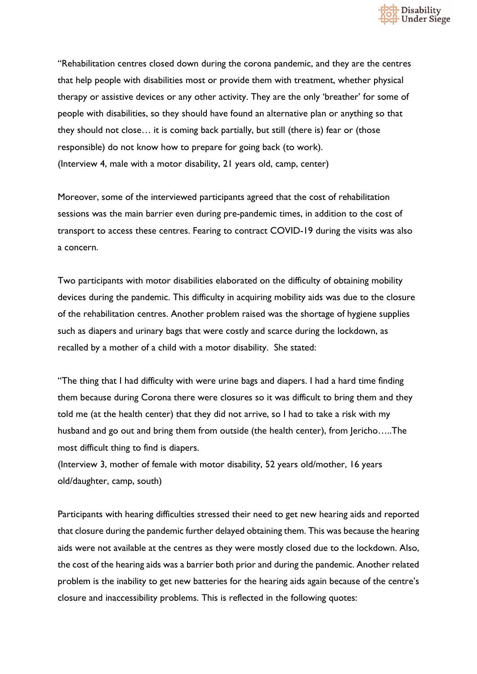

"Rehabilitation centres closed down during the corona pandemic, and they are the centres that help people with disabilities most or provide them with treatment, whether physical therapy or assistive devices or any other activity. They are the only 'breather' for some of people with disabilities, so they should have found an alternative plan or anything so that they should not close… it is coming back partially, but still (there is) fear or (those responsible) do not know how to prepare for going back (to work). (Interview 4, male with a motor disability, 21 years old, camp, center)

Moreover, some of the interviewed participants agreed that the cost of rehabilitation sessions was the main barrier even during pre-pandemic times, in addition to the cost of transport to access these centres. Fearing to contract COVID-19 during the visits was also a concern.

Two participants with motor disabilities elaborated on the difficulty of obtaining mobility devices during the pandemic. This difficulty in acquiring mobility aids was due to the closure of the rehabilitation centres. Another problem raised was the shortage of hygiene supplies such as diapers and urinary bags that were costly and scarce during the lockdown, as recalled by a mother of a child with a motor disability. She stated:

"The thing that I had difficulty with were urine bags and diapers. I had a hard time finding them because during Corona there were closures so it was difficult to bring them and they told me (at the health center) that they did not arrive, so I had to take a risk with my husband and go out and bring them from outside (the health center), from Jericho.....The most difficult thing to find is diapers.

(Interview 3, mother of female with motor disability, 52 years old/mother, 16 years old/daughter, camp, south)

Participants with hearing difficulties stressed their need to get new hearing aids and reported that closure during the pandemic further delayed obtaining them. This was because the hearing aids were not available at the centres as they were mostly closed due to the lockdown. Also, the cost of the hearing aids was a barrier both prior and during the pandemic. Another related problem is the inability to get new batteries for the hearing aids again because of the centre's closure and inaccessibility problems. This is reflected in the following quotes: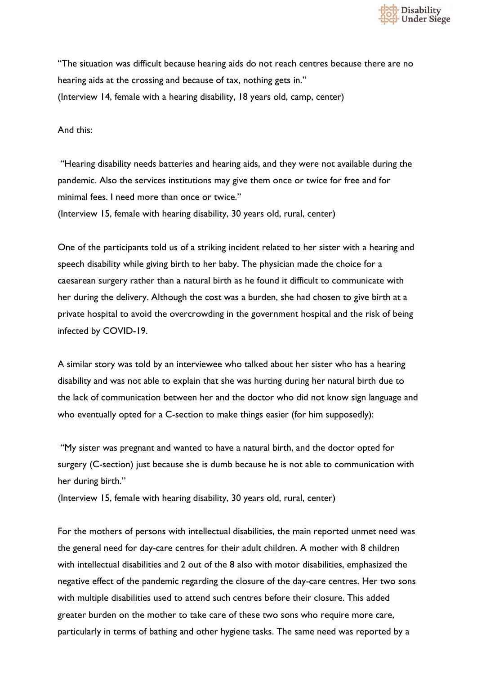

"The situation was difficult because hearing aids do not reach centres because there are no hearing aids at the crossing and because of tax, nothing gets in." (Interview 14, female with a hearing disability, 18 years old, camp, center)

And this:

"Hearing disability needs batteries and hearing aids, and they were not available during the pandemic. Also the services institutions may give them once or twice for free and for minimal fees. I need more than once or twice." (Interview 15, female with hearing disability, 30 years old, rural, center)

One of the participants told us of a striking incident related to her sister with a hearing and speech disability while giving birth to her baby. The physician made the choice for a caesarean surgery rather than a natural birth as he found it difficult to communicate with her during the delivery. Although the cost was a burden, she had chosen to give birth at a private hospital to avoid the overcrowding in the government hospital and the risk of being infected by COVID-19.

A similar story was told by an interviewee who talked about her sister who has a hearing disability and was not able to explain that she was hurting during her natural birth due to the lack of communication between her and the doctor who did not know sign language and who eventually opted for a C-section to make things easier (for him supposedly):

"My sister was pregnant and wanted to have a natural birth, and the doctor opted for surgery (C-section) just because she is dumb because he is not able to communication with her during birth."

(Interview 15, female with hearing disability, 30 years old, rural, center)

For the mothers of persons with intellectual disabilities, the main reported unmet need was the general need for day-care centres for their adult children. A mother with 8 children with intellectual disabilities and 2 out of the 8 also with motor disabilities, emphasized the negative effect of the pandemic regarding the closure of the day-care centres. Her two sons with multiple disabilities used to attend such centres before their closure. This added greater burden on the mother to take care of these two sons who require more care, particularly in terms of bathing and other hygiene tasks. The same need was reported by a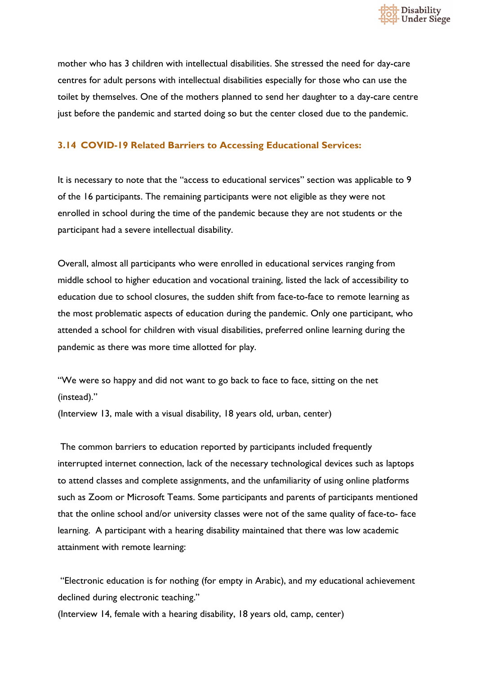

mother who has 3 children with intellectual disabilities. She stressed the need for day-care centres for adult persons with intellectual disabilities especially for those who can use the toilet by themselves. One of the mothers planned to send her daughter to a day-care centre just before the pandemic and started doing so but the center closed due to the pandemic.

## **3.14 COVID-19 Related Barriers to Accessing Educational Services:**

It is necessary to note that the "access to educational services" section was applicable to 9 of the 16 participants. The remaining participants were not eligible as they were not enrolled in school during the time of the pandemic because they are not students or the participant had a severe intellectual disability.

Overall, almost all participants who were enrolled in educational services ranging from middle school to higher education and vocational training, listed the lack of accessibility to education due to school closures, the sudden shift from face-to-face to remote learning as the most problematic aspects of education during the pandemic. Only one participant, who attended a school for children with visual disabilities, preferred online learning during the pandemic as there was more time allotted for play.

"We were so happy and did not want to go back to face to face, sitting on the net (instead)."

(Interview 13, male with a visual disability, 18 years old, urban, center)

The common barriers to education reported by participants included frequently interrupted internet connection, lack of the necessary technological devices such as laptops to attend classes and complete assignments, and the unfamiliarity of using online platforms such as Zoom or Microsoft Teams. Some participants and parents of participants mentioned that the online school and/or university classes were not of the same quality of face-to- face learning. A participant with a hearing disability maintained that there was low academic attainment with remote learning:

"Electronic education is for nothing (for empty in Arabic), and my educational achievement declined during electronic teaching."

(Interview 14, female with a hearing disability, 18 years old, camp, center)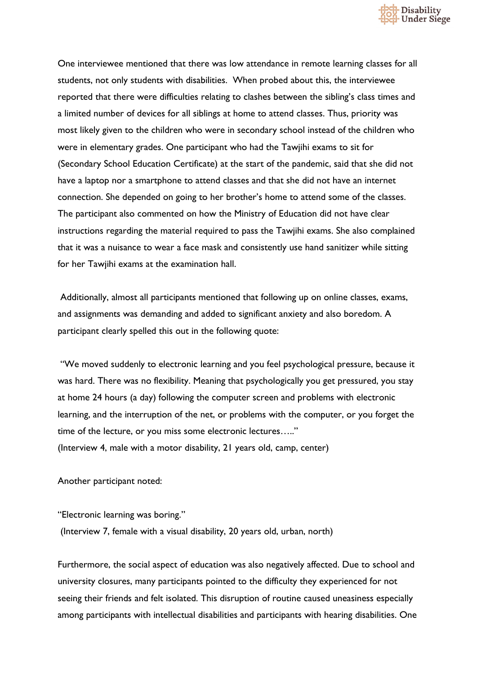

One interviewee mentioned that there was low attendance in remote learning classes for all students, not only students with disabilities. When probed about this, the interviewee reported that there were difficulties relating to clashes between the sibling's class times and a limited number of devices for all siblings at home to attend classes. Thus, priority was most likely given to the children who were in secondary school instead of the children who were in elementary grades. One participant who had the Tawjihi exams to sit for (Secondary School Education Certificate) at the start of the pandemic, said that she did not have a laptop nor a smartphone to attend classes and that she did not have an internet connection. She depended on going to her brother's home to attend some of the classes. The participant also commented on how the Ministry of Education did not have clear instructions regarding the material required to pass the Tawjihi exams. She also complained that it was a nuisance to wear a face mask and consistently use hand sanitizer while sitting for her Tawjihi exams at the examination hall.

Additionally, almost all participants mentioned that following up on online classes, exams, and assignments was demanding and added to significant anxiety and also boredom. A participant clearly spelled this out in the following quote:

"We moved suddenly to electronic learning and you feel psychological pressure, because it was hard. There was no flexibility. Meaning that psychologically you get pressured, you stay at home 24 hours (a day) following the computer screen and problems with electronic learning, and the interruption of the net, or problems with the computer, or you forget the time of the lecture, or you miss some electronic lectures….." (Interview 4, male with a motor disability, 21 years old, camp, center)

Another participant noted:

"Electronic learning was boring."

(Interview 7, female with a visual disability, 20 years old, urban, north)

Furthermore, the social aspect of education was also negatively affected. Due to school and university closures, many participants pointed to the difficulty they experienced for not seeing their friends and felt isolated. This disruption of routine caused uneasiness especially among participants with intellectual disabilities and participants with hearing disabilities. One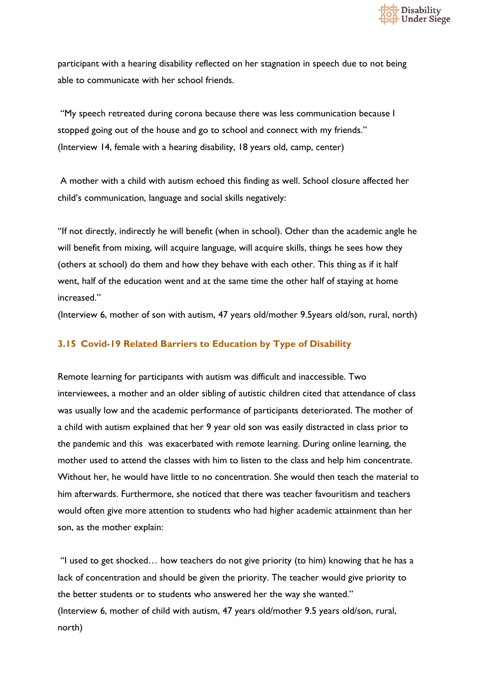

participant with a hearing disability reflected on her stagnation in speech due to not being able to communicate with her school friends.

"My speech retreated during corona because there was less communication because I stopped going out of the house and go to school and connect with my friends." (Interview 14, female with a hearing disability, 18 years old, camp, center)

A mother with a child with autism echoed this finding as well. School closure affected her child's communication, language and social skills negatively:

"If not directly, indirectly he will benefit (when in school). Other than the academic angle he will benefit from mixing, will acquire language, will acquire skills, things he sees how they (others at school) do them and how they behave with each other. This thing as if it half went, half of the education went and at the same time the other half of staying at home increased."

(Interview 6, mother of son with autism, 47 years old/mother 9.5years old/son, rural, north)

#### **3.15 Covid-19 Related Barriers to Education by Type of Disability**

Remote learning for participants with autism was difficult and inaccessible. Two interviewees, a mother and an older sibling of autistic children cited that attendance of class was usually low and the academic performance of participants deteriorated. The mother of a child with autism explained that her 9 year old son was easily distracted in class prior to the pandemic and this was exacerbated with remote learning. During online learning, the mother used to attend the classes with him to listen to the class and help him concentrate. Without her, he would have little to no concentration. She would then teach the material to him afterwards. Furthermore, she noticed that there was teacher favouritism and teachers would often give more attention to students who had higher academic attainment than her son, as the mother explain:

"I used to get shocked… how teachers do not give priority (to him) knowing that he has a lack of concentration and should be given the priority. The teacher would give priority to the better students or to students who answered her the way she wanted." (Interview 6, mother of child with autism, 47 years old/mother 9.5 years old/son, rural, north)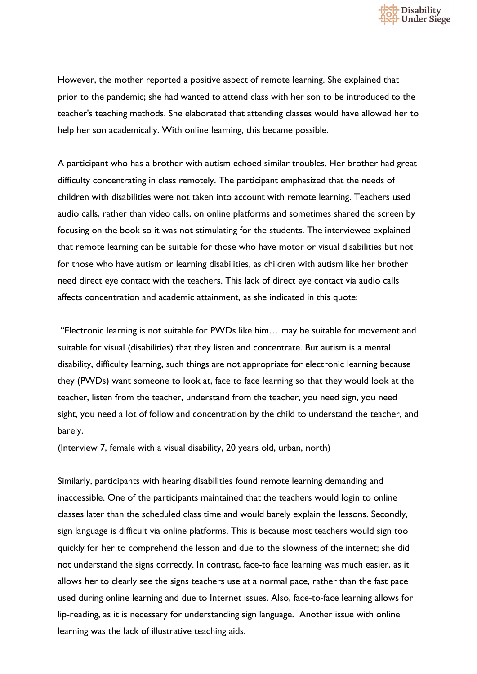

However, the mother reported a positive aspect of remote learning. She explained that prior to the pandemic; she had wanted to attend class with her son to be introduced to the teacher's teaching methods. She elaborated that attending classes would have allowed her to help her son academically. With online learning, this became possible.

A participant who has a brother with autism echoed similar troubles. Her brother had great difficulty concentrating in class remotely. The participant emphasized that the needs of children with disabilities were not taken into account with remote learning. Teachers used audio calls, rather than video calls, on online platforms and sometimes shared the screen by focusing on the book so it was not stimulating for the students. The interviewee explained that remote learning can be suitable for those who have motor or visual disabilities but not for those who have autism or learning disabilities, as children with autism like her brother need direct eye contact with the teachers. This lack of direct eye contact via audio calls affects concentration and academic attainment, as she indicated in this quote:

"Electronic learning is not suitable for PWDs like him… may be suitable for movement and suitable for visual (disabilities) that they listen and concentrate. But autism is a mental disability, difficulty learning, such things are not appropriate for electronic learning because they (PWDs) want someone to look at, face to face learning so that they would look at the teacher, listen from the teacher, understand from the teacher, you need sign, you need sight, you need a lot of follow and concentration by the child to understand the teacher, and barely.

(Interview 7, female with a visual disability, 20 years old, urban, north)

Similarly, participants with hearing disabilities found remote learning demanding and inaccessible. One of the participants maintained that the teachers would login to online classes later than the scheduled class time and would barely explain the lessons. Secondly, sign language is difficult via online platforms. This is because most teachers would sign too quickly for her to comprehend the lesson and due to the slowness of the internet; she did not understand the signs correctly. In contrast, face-to face learning was much easier, as it allows her to clearly see the signs teachers use at a normal pace, rather than the fast pace used during online learning and due to Internet issues. Also, face-to-face learning allows for lip-reading, as it is necessary for understanding sign language. Another issue with online learning was the lack of illustrative teaching aids.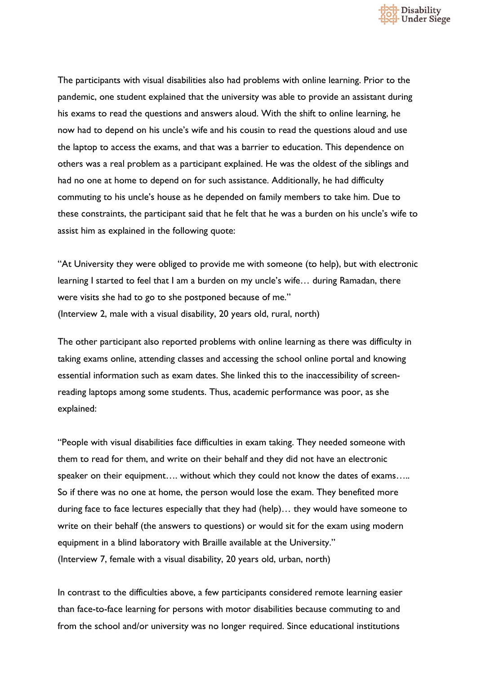

The participants with visual disabilities also had problems with online learning. Prior to the pandemic, one student explained that the university was able to provide an assistant during his exams to read the questions and answers aloud. With the shift to online learning, he now had to depend on his uncle's wife and his cousin to read the questions aloud and use the laptop to access the exams, and that was a barrier to education. This dependence on others was a real problem as a participant explained. He was the oldest of the siblings and had no one at home to depend on for such assistance. Additionally, he had difficulty commuting to his uncle's house as he depended on family members to take him. Due to these constraints, the participant said that he felt that he was a burden on his uncle's wife to assist him as explained in the following quote:

"At University they were obliged to provide me with someone (to help), but with electronic learning I started to feel that I am a burden on my uncle's wife… during Ramadan, there were visits she had to go to she postponed because of me." (Interview 2, male with a visual disability, 20 years old, rural, north)

The other participant also reported problems with online learning as there was difficulty in taking exams online, attending classes and accessing the school online portal and knowing essential information such as exam dates. She linked this to the inaccessibility of screenreading laptops among some students. Thus, academic performance was poor, as she explained:

"People with visual disabilities face difficulties in exam taking. They needed someone with them to read for them, and write on their behalf and they did not have an electronic speaker on their equipment…. without which they could not know the dates of exams….. So if there was no one at home, the person would lose the exam. They benefited more during face to face lectures especially that they had (help)… they would have someone to write on their behalf (the answers to questions) or would sit for the exam using modern equipment in a blind laboratory with Braille available at the University." (Interview 7, female with a visual disability, 20 years old, urban, north)

In contrast to the difficulties above, a few participants considered remote learning easier than face-to-face learning for persons with motor disabilities because commuting to and from the school and/or university was no longer required. Since educational institutions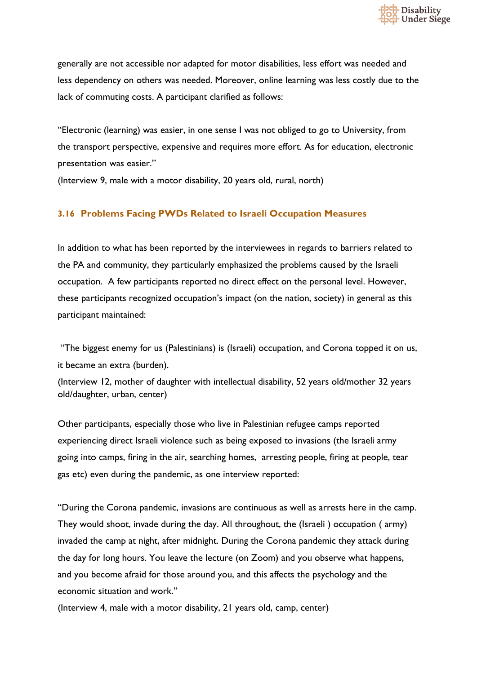

generally are not accessible nor adapted for motor disabilities, less effort was needed and less dependency on others was needed. Moreover, online learning was less costly due to the lack of commuting costs. A participant clarified as follows:

"Electronic (learning) was easier, in one sense I was not obliged to go to University, from the transport perspective, expensive and requires more effort. As for education, electronic presentation was easier."

(Interview 9, male with a motor disability, 20 years old, rural, north)

## **3.16 Problems Facing PWDs Related to Israeli Occupation Measures**

In addition to what has been reported by the interviewees in regards to barriers related to the PA and community, they particularly emphasized the problems caused by the Israeli occupation. A few participants reported no direct effect on the personal level. However, these participants recognized occupation's impact (on the nation, society) in general as this participant maintained:

"The biggest enemy for us (Palestinians) is (Israeli) occupation, and Corona topped it on us, it became an extra (burden).

(Interview 12, mother of daughter with intellectual disability, 52 years old/mother 32 years old/daughter, urban, center)

Other participants, especially those who live in Palestinian refugee camps reported experiencing direct Israeli violence such as being exposed to invasions (the Israeli army going into camps, firing in the air, searching homes, arresting people, firing at people, tear gas etc) even during the pandemic, as one interview reported:

"During the Corona pandemic, invasions are continuous as well as arrests here in the camp. They would shoot, invade during the day. All throughout, the (Israeli ) occupation ( army) invaded the camp at night, after midnight. During the Corona pandemic they attack during the day for long hours. You leave the lecture (on Zoom) and you observe what happens, and you become afraid for those around you, and this affects the psychology and the economic situation and work."

(Interview 4, male with a motor disability, 21 years old, camp, center)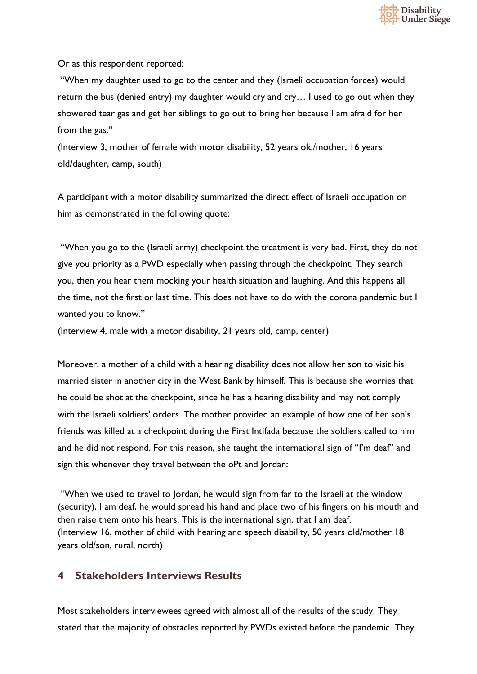

Or as this respondent reported:

"When my daughter used to go to the center and they (Israeli occupation forces) would return the bus (denied entry) my daughter would cry and cry… I used to go out when they showered tear gas and get her siblings to go out to bring her because I am afraid for her from the gas."

(Interview 3, mother of female with motor disability, 52 years old/mother, 16 years old/daughter, camp, south)

A participant with a motor disability summarized the direct effect of Israeli occupation on him as demonstrated in the following quote:

"When you go to the (Israeli army) checkpoint the treatment is very bad. First, they do not give you priority as a PWD especially when passing through the checkpoint. They search you, then you hear them mocking your health situation and laughing. And this happens all the time, not the first or last time. This does not have to do with the corona pandemic but I wanted you to know."

(Interview 4, male with a motor disability, 21 years old, camp, center)

Moreover, a mother of a child with a hearing disability does not allow her son to visit his married sister in another city in the West Bank by himself. This is because she worries that he could be shot at the checkpoint, since he has a hearing disability and may not comply with the Israeli soldiers' orders. The mother provided an example of how one of her son's friends was killed at a checkpoint during the First Intifada because the soldiers called to him and he did not respond. For this reason, she taught the international sign of "I'm deaf" and sign this whenever they travel between the oPt and Jordan:

"When we used to travel to Jordan, he would sign from far to the Israeli at the window (security), I am deaf, he would spread his hand and place two of his fingers on his mouth and then raise them onto his hears. This is the international sign, that I am deaf. (Interview 16, mother of child with hearing and speech disability, 50 years old/mother 18 years old/son, rural, north)

# **4 Stakeholders Interviews Results**

Most stakeholders interviewees agreed with almost all of the results of the study. They stated that the majority of obstacles reported by PWDs existed before the pandemic. They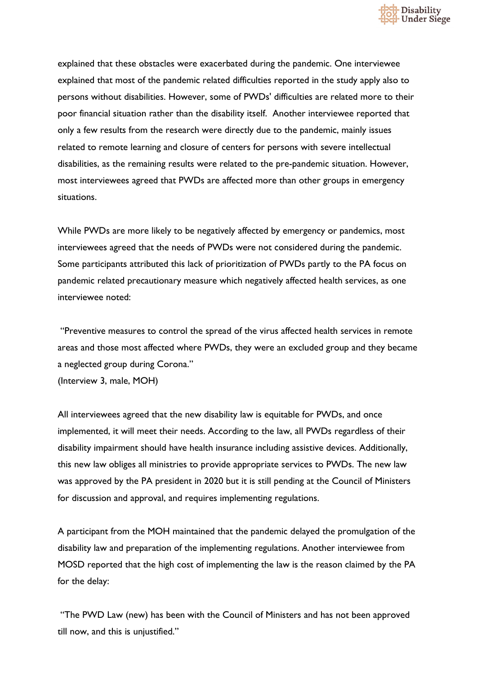

explained that these obstacles were exacerbated during the pandemic. One interviewee explained that most of the pandemic related difficulties reported in the study apply also to persons without disabilities. However, some of PWDs' difficulties are related more to their poor financial situation rather than the disability itself. Another interviewee reported that only a few results from the research were directly due to the pandemic, mainly issues related to remote learning and closure of centers for persons with severe intellectual disabilities, as the remaining results were related to the pre-pandemic situation. However, most interviewees agreed that PWDs are affected more than other groups in emergency situations.

While PWDs are more likely to be negatively affected by emergency or pandemics, most interviewees agreed that the needs of PWDs were not considered during the pandemic. Some participants attributed this lack of prioritization of PWDs partly to the PA focus on pandemic related precautionary measure which negatively affected health services, as one interviewee noted:

"Preventive measures to control the spread of the virus affected health services in remote areas and those most affected where PWDs, they were an excluded group and they became a neglected group during Corona." (Interview 3, male, MOH)

All interviewees agreed that the new disability law is equitable for PWDs, and once implemented, it will meet their needs. According to the law, all PWDs regardless of their disability impairment should have health insurance including assistive devices. Additionally, this new law obliges all ministries to provide appropriate services to PWDs. The new law was approved by the PA president in 2020 but it is still pending at the Council of Ministers for discussion and approval, and requires implementing regulations.

A participant from the MOH maintained that the pandemic delayed the promulgation of the disability law and preparation of the implementing regulations. Another interviewee from MOSD reported that the high cost of implementing the law is the reason claimed by the PA for the delay:

"The PWD Law (new) has been with the Council of Ministers and has not been approved till now, and this is unjustified."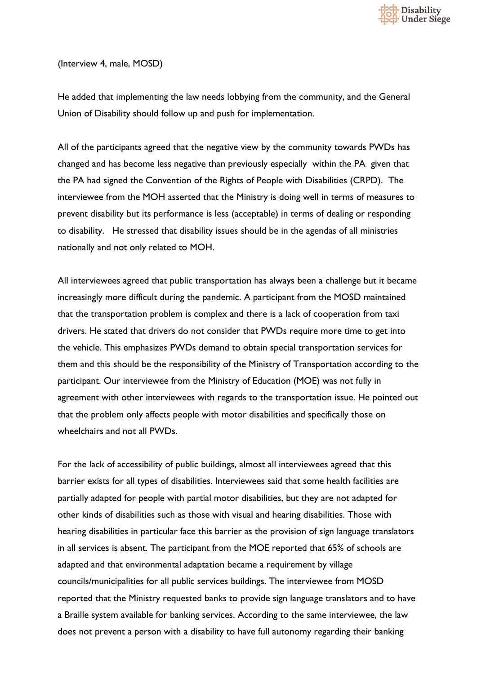

(Interview 4, male, MOSD)

He added that implementing the law needs lobbying from the community, and the General Union of Disability should follow up and push for implementation.

All of the participants agreed that the negative view by the community towards PWDs has changed and has become less negative than previously especially within the PA given that the PA had signed the Convention of the Rights of People with Disabilities (CRPD). The interviewee from the MOH asserted that the Ministry is doing well in terms of measures to prevent disability but its performance is less (acceptable) in terms of dealing or responding to disability. He stressed that disability issues should be in the agendas of all ministries nationally and not only related to MOH.

All interviewees agreed that public transportation has always been a challenge but it became increasingly more difficult during the pandemic. A participant from the MOSD maintained that the transportation problem is complex and there is a lack of cooperation from taxi drivers. He stated that drivers do not consider that PWDs require more time to get into the vehicle. This emphasizes PWDs demand to obtain special transportation services for them and this should be the responsibility of the Ministry of Transportation according to the participant. Our interviewee from the Ministry of Education (MOE) was not fully in agreement with other interviewees with regards to the transportation issue. He pointed out that the problem only affects people with motor disabilities and specifically those on wheelchairs and not all PWDs.

For the lack of accessibility of public buildings, almost all interviewees agreed that this barrier exists for all types of disabilities. Interviewees said that some health facilities are partially adapted for people with partial motor disabilities, but they are not adapted for other kinds of disabilities such as those with visual and hearing disabilities. Those with hearing disabilities in particular face this barrier as the provision of sign language translators in all services is absent. The participant from the MOE reported that 65% of schools are adapted and that environmental adaptation became a requirement by village councils/municipalities for all public services buildings. The interviewee from MOSD reported that the Ministry requested banks to provide sign language translators and to have a Braille system available for banking services. According to the same interviewee, the law does not prevent a person with a disability to have full autonomy regarding their banking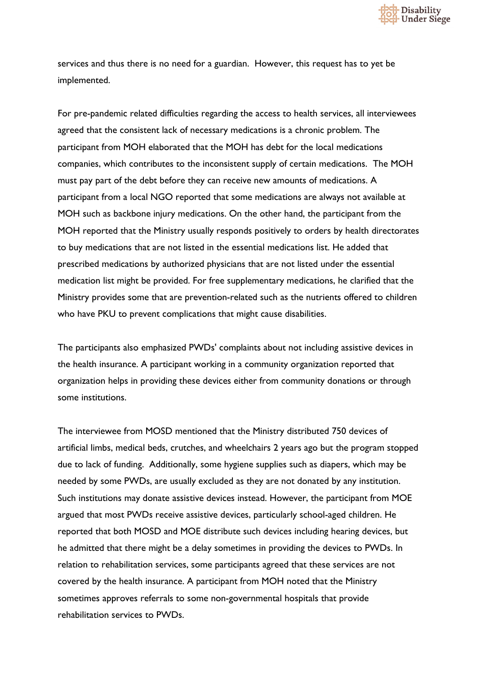

services and thus there is no need for a guardian. However, this request has to yet be implemented.

For pre-pandemic related difficulties regarding the access to health services, all interviewees agreed that the consistent lack of necessary medications is a chronic problem. The participant from MOH elaborated that the MOH has debt for the local medications companies, which contributes to the inconsistent supply of certain medications. The MOH must pay part of the debt before they can receive new amounts of medications. A participant from a local NGO reported that some medications are always not available at MOH such as backbone injury medications. On the other hand, the participant from the MOH reported that the Ministry usually responds positively to orders by health directorates to buy medications that are not listed in the essential medications list. He added that prescribed medications by authorized physicians that are not listed under the essential medication list might be provided. For free supplementary medications, he clarified that the Ministry provides some that are prevention-related such as the nutrients offered to children who have PKU to prevent complications that might cause disabilities.

The participants also emphasized PWDs' complaints about not including assistive devices in the health insurance. A participant working in a community organization reported that organization helps in providing these devices either from community donations or through some institutions.

The interviewee from MOSD mentioned that the Ministry distributed 750 devices of artificial limbs, medical beds, crutches, and wheelchairs 2 years ago but the program stopped due to lack of funding. Additionally, some hygiene supplies such as diapers, which may be needed by some PWDs, are usually excluded as they are not donated by any institution. Such institutions may donate assistive devices instead. However, the participant from MOE argued that most PWDs receive assistive devices, particularly school-aged children. He reported that both MOSD and MOE distribute such devices including hearing devices, but he admitted that there might be a delay sometimes in providing the devices to PWDs. In relation to rehabilitation services, some participants agreed that these services are not covered by the health insurance. A participant from MOH noted that the Ministry sometimes approves referrals to some non-governmental hospitals that provide rehabilitation services to PWDs.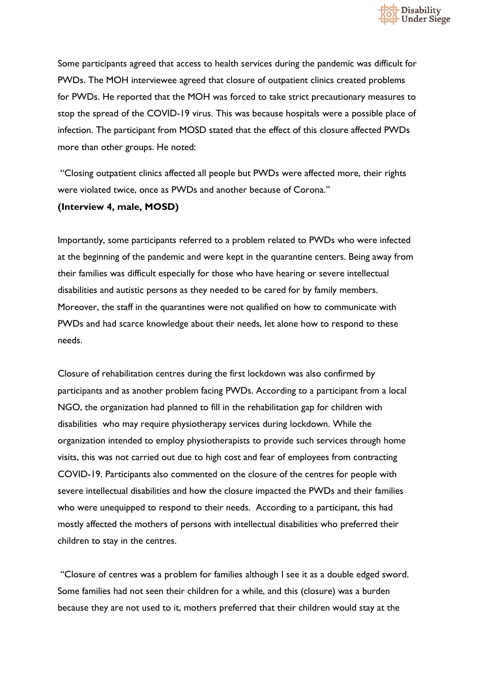

Some participants agreed that access to health services during the pandemic was difficult for PWDs. The MOH interviewee agreed that closure of outpatient clinics created problems for PWDs. He reported that the MOH was forced to take strict precautionary measures to stop the spread of the COVID-19 virus. This was because hospitals were a possible place of infection. The participant from MOSD stated that the effect of this closure affected PWDs more than other groups. He noted:

"Closing outpatient clinics affected all people but PWDs were affected more, their rights were violated twice, once as PWDs and another because of Corona."

#### **(Interview 4, male, MOSD)**

Importantly, some participants referred to a problem related to PWDs who were infected at the beginning of the pandemic and were kept in the quarantine centers. Being away from their families was difficult especially for those who have hearing or severe intellectual disabilities and autistic persons as they needed to be cared for by family members. Moreover, the staff in the quarantines were not qualified on how to communicate with PWDs and had scarce knowledge about their needs, let alone how to respond to these needs.

Closure of rehabilitation centres during the first lockdown was also confirmed by participants and as another problem facing PWDs. According to a participant from a local NGO, the organization had planned to fill in the rehabilitation gap for children with disabilities who may require physiotherapy services during lockdown. While the organization intended to employ physiotherapists to provide such services through home visits, this was not carried out due to high cost and fear of employees from contracting COVID-19. Participants also commented on the closure of the centres for people with severe intellectual disabilities and how the closure impacted the PWDs and their families who were unequipped to respond to their needs. According to a participant, this had mostly affected the mothers of persons with intellectual disabilities who preferred their children to stay in the centres.

"Closure of centres was a problem for families although I see it as a double edged sword. Some families had not seen their children for a while, and this (closure) was a burden because they are not used to it, mothers preferred that their children would stay at the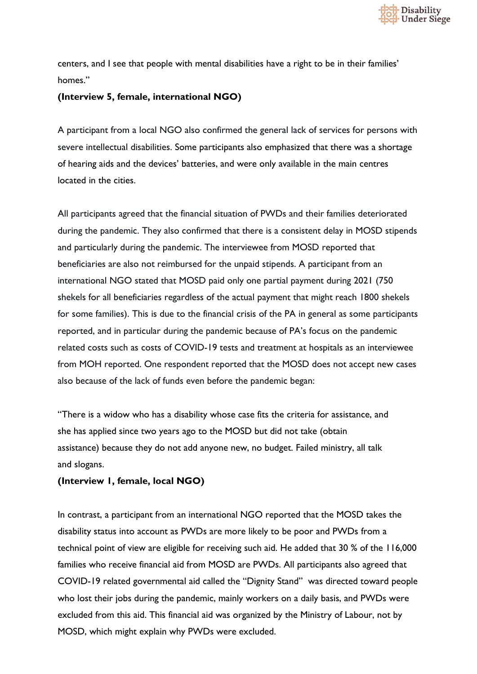

centers, and I see that people with mental disabilities have a right to be in their families' homes."

### **(Interview 5, female, international NGO)**

A participant from a local NGO also confirmed the general lack of services for persons with severe intellectual disabilities. Some participants also emphasized that there was a shortage of hearing aids and the devices' batteries, and were only available in the main centres located in the cities.

All participants agreed that the financial situation of PWDs and their families deteriorated during the pandemic. They also confirmed that there is a consistent delay in MOSD stipends and particularly during the pandemic. The interviewee from MOSD reported that beneficiaries are also not reimbursed for the unpaid stipends. A participant from an international NGO stated that MOSD paid only one partial payment during 2021 (750 shekels for all beneficiaries regardless of the actual payment that might reach 1800 shekels for some families). This is due to the financial crisis of the PA in general as some participants reported, and in particular during the pandemic because of PA's focus on the pandemic related costs such as costs of COVID-19 tests and treatment at hospitals as an interviewee from MOH reported. One respondent reported that the MOSD does not accept new cases also because of the lack of funds even before the pandemic began:

"There is a widow who has a disability whose case fits the criteria for assistance, and she has applied since two years ago to the MOSD but did not take (obtain assistance) because they do not add anyone new, no budget. Failed ministry, all talk and slogans.

## **(Interview 1, female, local NGO)**

In contrast, a participant from an international NGO reported that the MOSD takes the disability status into account as PWDs are more likely to be poor and PWDs from a technical point of view are eligible for receiving such aid. He added that 30 % of the 116,000 families who receive financial aid from MOSD are PWDs. All participants also agreed that COVID-19 related governmental aid called the "Dignity Stand" was directed toward people who lost their jobs during the pandemic, mainly workers on a daily basis, and PWDs were excluded from this aid. This financial aid was organized by the Ministry of Labour, not by MOSD, which might explain why PWDs were excluded.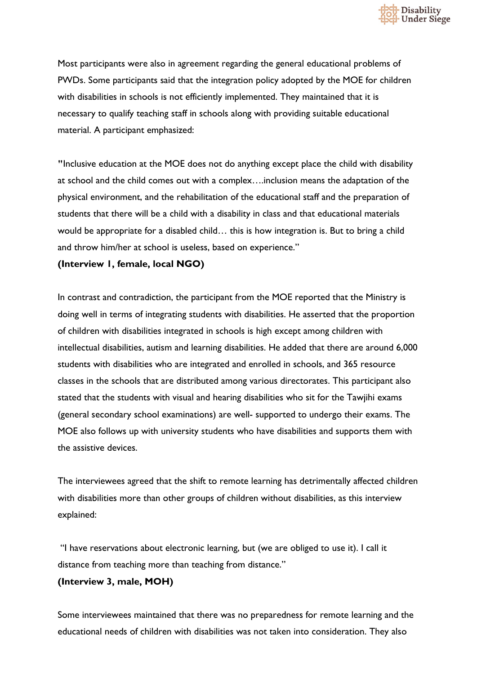

Most participants were also in agreement regarding the general educational problems of PWDs. Some participants said that the integration policy adopted by the MOE for children with disabilities in schools is not efficiently implemented. They maintained that it is necessary to qualify teaching staff in schools along with providing suitable educational material. A participant emphasized:

**"**Inclusive education at the MOE does not do anything except place the child with disability at school and the child comes out with a complex….inclusion means the adaptation of the physical environment, and the rehabilitation of the educational staff and the preparation of students that there will be a child with a disability in class and that educational materials would be appropriate for a disabled child… this is how integration is. But to bring a child and throw him/her at school is useless, based on experience."

**(Interview 1, female, local NGO)**

In contrast and contradiction, the participant from the MOE reported that the Ministry is doing well in terms of integrating students with disabilities. He asserted that the proportion of children with disabilities integrated in schools is high except among children with intellectual disabilities, autism and learning disabilities. He added that there are around 6,000 students with disabilities who are integrated and enrolled in schools, and 365 resource classes in the schools that are distributed among various directorates. This participant also stated that the students with visual and hearing disabilities who sit for the Tawjihi exams (general secondary school examinations) are well- supported to undergo their exams. The MOE also follows up with university students who have disabilities and supports them with the assistive devices.

The interviewees agreed that the shift to remote learning has detrimentally affected children with disabilities more than other groups of children without disabilities, as this interview explained:

"I have reservations about electronic learning, but (we are obliged to use it). I call it distance from teaching more than teaching from distance."

#### **(Interview 3, male, MOH)**

Some interviewees maintained that there was no preparedness for remote learning and the educational needs of children with disabilities was not taken into consideration. They also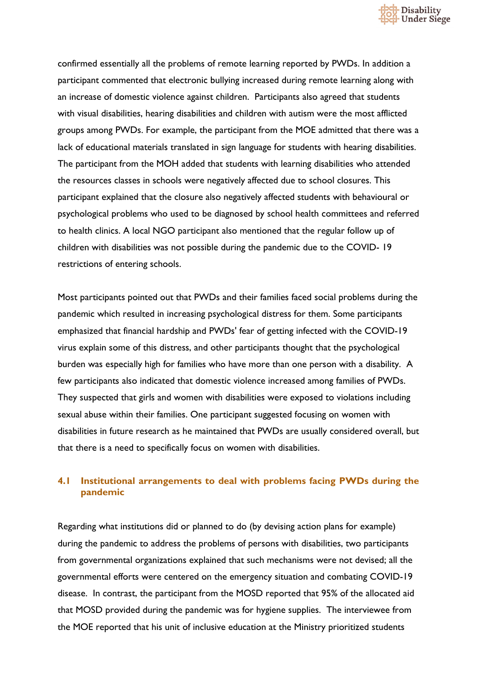

confirmed essentially all the problems of remote learning reported by PWDs. In addition a participant commented that electronic bullying increased during remote learning along with an increase of domestic violence against children. Participants also agreed that students with visual disabilities, hearing disabilities and children with autism were the most afflicted groups among PWDs. For example, the participant from the MOE admitted that there was a lack of educational materials translated in sign language for students with hearing disabilities. The participant from the MOH added that students with learning disabilities who attended the resources classes in schools were negatively affected due to school closures. This participant explained that the closure also negatively affected students with behavioural or psychological problems who used to be diagnosed by school health committees and referred to health clinics. A local NGO participant also mentioned that the regular follow up of children with disabilities was not possible during the pandemic due to the COVID- 19 restrictions of entering schools.

Most participants pointed out that PWDs and their families faced social problems during the pandemic which resulted in increasing psychological distress for them. Some participants emphasized that financial hardship and PWDs' fear of getting infected with the COVID-19 virus explain some of this distress, and other participants thought that the psychological burden was especially high for families who have more than one person with a disability. A few participants also indicated that domestic violence increased among families of PWDs. They suspected that girls and women with disabilities were exposed to violations including sexual abuse within their families. One participant suggested focusing on women with disabilities in future research as he maintained that PWDs are usually considered overall, but that there is a need to specifically focus on women with disabilities.

## **4.1 Institutional arrangements to deal with problems facing PWDs during the pandemic**

Regarding what institutions did or planned to do (by devising action plans for example) during the pandemic to address the problems of persons with disabilities, two participants from governmental organizations explained that such mechanisms were not devised; all the governmental efforts were centered on the emergency situation and combating COVID-19 disease. In contrast, the participant from the MOSD reported that 95% of the allocated aid that MOSD provided during the pandemic was for hygiene supplies. The interviewee from the MOE reported that his unit of inclusive education at the Ministry prioritized students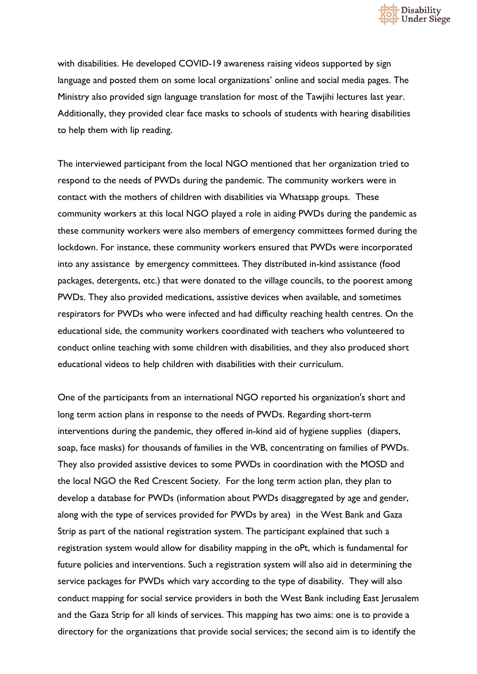

with disabilities. He developed COVID-19 awareness raising videos supported by sign language and posted them on some local organizations' online and social media pages. The Ministry also provided sign language translation for most of the Tawjihi lectures last year. Additionally, they provided clear face masks to schools of students with hearing disabilities to help them with lip reading.

The interviewed participant from the local NGO mentioned that her organization tried to respond to the needs of PWDs during the pandemic. The community workers were in contact with the mothers of children with disabilities via Whatsapp groups. These community workers at this local NGO played a role in aiding PWDs during the pandemic as these community workers were also members of emergency committees formed during the lockdown. For instance, these community workers ensured that PWDs were incorporated into any assistance by emergency committees. They distributed in-kind assistance (food packages, detergents, etc.) that were donated to the village councils, to the poorest among PWDs. They also provided medications, assistive devices when available, and sometimes respirators for PWDs who were infected and had difficulty reaching health centres. On the educational side, the community workers coordinated with teachers who volunteered to conduct online teaching with some children with disabilities, and they also produced short educational videos to help children with disabilities with their curriculum.

One of the participants from an international NGO reported his organization's short and long term action plans in response to the needs of PWDs. Regarding short-term interventions during the pandemic, they offered in-kind aid of hygiene supplies (diapers, soap, face masks) for thousands of families in the WB, concentrating on families of PWDs. They also provided assistive devices to some PWDs in coordination with the MOSD and the local NGO the Red Crescent Society. For the long term action plan, they plan to develop a database for PWDs (information about PWDs disaggregated by age and gender, along with the type of services provided for PWDs by area) in the West Bank and Gaza Strip as part of the national registration system. The participant explained that such a registration system would allow for disability mapping in the oPt, which is fundamental for future policies and interventions. Such a registration system will also aid in determining the service packages for PWDs which vary according to the type of disability. They will also conduct mapping for social service providers in both the West Bank including East Jerusalem and the Gaza Strip for all kinds of services. This mapping has two aims: one is to provide a directory for the organizations that provide social services; the second aim is to identify the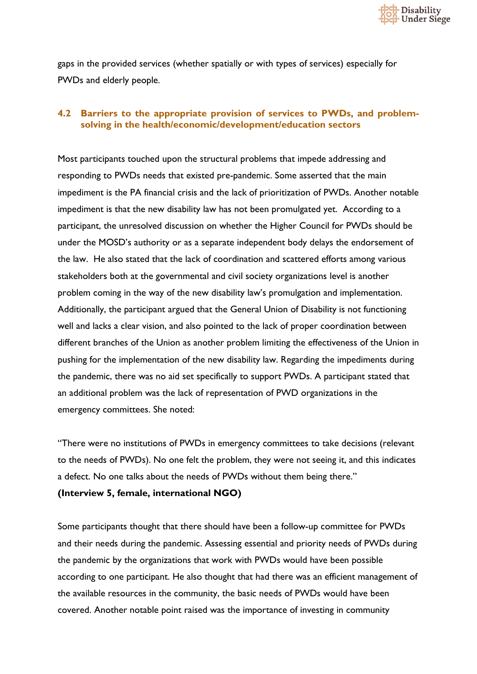

gaps in the provided services (whether spatially or with types of services) especially for PWDs and elderly people.

## **4.2 Barriers to the appropriate provision of services to PWDs, and problemsolving in the health/economic/development/education sectors**

Most participants touched upon the structural problems that impede addressing and responding to PWDs needs that existed pre-pandemic. Some asserted that the main impediment is the PA financial crisis and the lack of prioritization of PWDs. Another notable impediment is that the new disability law has not been promulgated yet. According to a participant, the unresolved discussion on whether the Higher Council for PWDs should be under the MOSD's authority or as a separate independent body delays the endorsement of the law. He also stated that the lack of coordination and scattered efforts among various stakeholders both at the governmental and civil society organizations level is another problem coming in the way of the new disability law's promulgation and implementation. Additionally, the participant argued that the General Union of Disability is not functioning well and lacks a clear vision, and also pointed to the lack of proper coordination between different branches of the Union as another problem limiting the effectiveness of the Union in pushing for the implementation of the new disability law. Regarding the impediments during the pandemic, there was no aid set specifically to support PWDs. A participant stated that an additional problem was the lack of representation of PWD organizations in the emergency committees. She noted:

"There were no institutions of PWDs in emergency committees to take decisions (relevant to the needs of PWDs). No one felt the problem, they were not seeing it, and this indicates a defect. No one talks about the needs of PWDs without them being there."

#### **(Interview 5, female, international NGO)**

Some participants thought that there should have been a follow-up committee for PWDs and their needs during the pandemic. Assessing essential and priority needs of PWDs during the pandemic by the organizations that work with PWDs would have been possible according to one participant. He also thought that had there was an efficient management of the available resources in the community, the basic needs of PWDs would have been covered. Another notable point raised was the importance of investing in community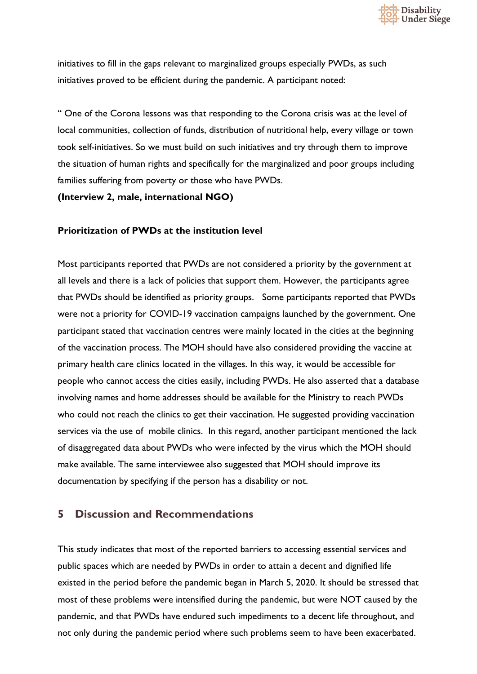

initiatives to fill in the gaps relevant to marginalized groups especially PWDs, as such initiatives proved to be efficient during the pandemic. A participant noted:

" One of the Corona lessons was that responding to the Corona crisis was at the level of local communities, collection of funds, distribution of nutritional help, every village or town took self-initiatives. So we must build on such initiatives and try through them to improve the situation of human rights and specifically for the marginalized and poor groups including families suffering from poverty or those who have PWDs.

**(Interview 2, male, international NGO)**

#### **Prioritization of PWDs at the institution level**

Most participants reported that PWDs are not considered a priority by the government at all levels and there is a lack of policies that support them. However, the participants agree that PWDs should be identified as priority groups. Some participants reported that PWDs were not a priority for COVID-19 vaccination campaigns launched by the government. One participant stated that vaccination centres were mainly located in the cities at the beginning of the vaccination process. The MOH should have also considered providing the vaccine at primary health care clinics located in the villages. In this way, it would be accessible for people who cannot access the cities easily, including PWDs. He also asserted that a database involving names and home addresses should be available for the Ministry to reach PWDs who could not reach the clinics to get their vaccination. He suggested providing vaccination services via the use of mobile clinics. In this regard, another participant mentioned the lack of disaggregated data about PWDs who were infected by the virus which the MOH should make available. The same interviewee also suggested that MOH should improve its documentation by specifying if the person has a disability or not.

## **5 Discussion and Recommendations**

This study indicates that most of the reported barriers to accessing essential services and public spaces which are needed by PWDs in order to attain a decent and dignified life existed in the period before the pandemic began in March 5, 2020. It should be stressed that most of these problems were intensified during the pandemic, but were NOT caused by the pandemic, and that PWDs have endured such impediments to a decent life throughout, and not only during the pandemic period where such problems seem to have been exacerbated.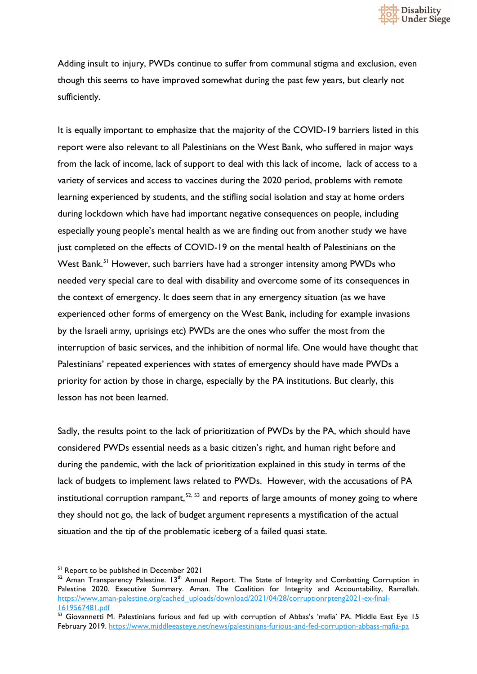

Adding insult to injury, PWDs continue to suffer from communal stigma and exclusion, even though this seems to have improved somewhat during the past few years, but clearly not sufficiently.

It is equally important to emphasize that the majority of the COVID-19 barriers listed in this report were also relevant to all Palestinians on the West Bank, who suffered in major ways from the lack of income, lack of support to deal with this lack of income, lack of access to a variety of services and access to vaccines during the 2020 period, problems with remote learning experienced by students, and the stifling social isolation and stay at home orders during lockdown which have had important negative consequences on people, including especially young people's mental health as we are finding out from another study we have just completed on the effects of COVID-19 on the mental health of Palestinians on the West Bank.<sup>[51](#page-61-0)</sup> However, such barriers have had a stronger intensity among PWDs who needed very special care to deal with disability and overcome some of its consequences in the context of emergency. It does seem that in any emergency situation (as we have experienced other forms of emergency on the West Bank, including for example invasions by the Israeli army, uprisings etc) PWDs are the ones who suffer the most from the interruption of basic services, and the inhibition of normal life. One would have thought that Palestinians' repeated experiences with states of emergency should have made PWDs a priority for action by those in charge, especially by the PA institutions. But clearly, this lesson has not been learned.

Sadly, the results point to the lack of prioritization of PWDs by the PA, which should have considered PWDs essential needs as a basic citizen's right, and human right before and during the pandemic, with the lack of prioritization explained in this study in terms of the lack of budgets to implement laws related to PWDs. However, with the accusations of PA institutional corruption rampant,  $52, 53$  $52, 53$  $52, 53$  and reports of large amounts of money going to where they should not go, the lack of budget argument represents a mystification of the actual situation and the tip of the problematic iceberg of a failed quasi state.

<span id="page-61-0"></span><sup>&</sup>lt;sup>51</sup> Report to be published in December 2021

<span id="page-61-1"></span> $52$  Aman Transparency Palestine. 13<sup>th</sup> Annual Report. The State of Integrity and Combatting Corruption in Palestine 2020. Executive Summary. Aman. The Coalition for Integrity and Accountability, Ramallah. [https://www.aman-palestine.org/cached\\_uploads/download/2021/04/28/corruptionrpteng2021-ex-final-](https://www.aman-palestine.org/cached_uploads/download/2021/04/28/corruptionrpteng2021-ex-final-1619567481.pdf)[1619567481.pdf](https://www.aman-palestine.org/cached_uploads/download/2021/04/28/corruptionrpteng2021-ex-final-1619567481.pdf)

<span id="page-61-2"></span><sup>&</sup>lt;sup>53</sup> Giovannetti M. Palestinians furious and fed up with corruption of Abbas's 'mafia' PA. Middle East Eye 15 February 2019.<https://www.middleeasteye.net/news/palestinians-furious-and-fed-corruption-abbass-mafia-pa>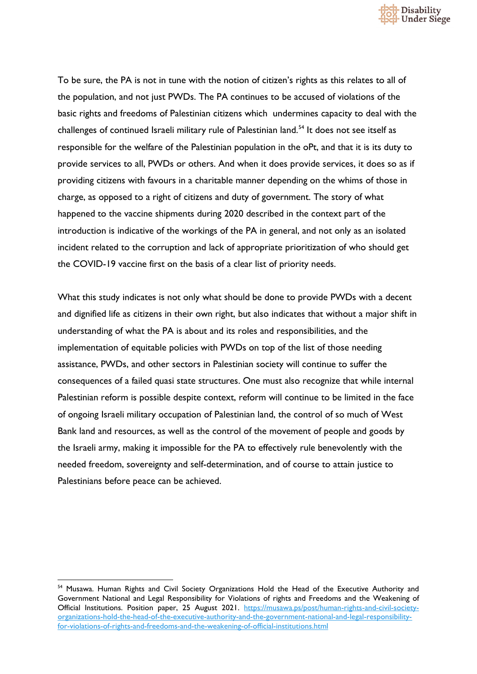

To be sure, the PA is not in tune with the notion of citizen's rights as this relates to all of the population, and not just PWDs. The PA continues to be accused of violations of the basic rights and freedoms of Palestinian citizens which undermines capacity to deal with the challenges of continued Israeli military rule of Palestinian land.<sup>[54](#page-62-0)</sup> It does not see itself as responsible for the welfare of the Palestinian population in the oPt, and that it is its duty to provide services to all, PWDs or others. And when it does provide services, it does so as if providing citizens with favours in a charitable manner depending on the whims of those in charge, as opposed to a right of citizens and duty of government. The story of what happened to the vaccine shipments during 2020 described in the context part of the introduction is indicative of the workings of the PA in general, and not only as an isolated incident related to the corruption and lack of appropriate prioritization of who should get the COVID-19 vaccine first on the basis of a clear list of priority needs.

What this study indicates is not only what should be done to provide PWDs with a decent and dignified life as citizens in their own right, but also indicates that without a major shift in understanding of what the PA is about and its roles and responsibilities, and the implementation of equitable policies with PWDs on top of the list of those needing assistance, PWDs, and other sectors in Palestinian society will continue to suffer the consequences of a failed quasi state structures. One must also recognize that while internal Palestinian reform is possible despite context, reform will continue to be limited in the face of ongoing Israeli military occupation of Palestinian land, the control of so much of West Bank land and resources, as well as the control of the movement of people and goods by the Israeli army, making it impossible for the PA to effectively rule benevolently with the needed freedom, sovereignty and self-determination, and of course to attain justice to Palestinians before peace can be achieved.

<span id="page-62-0"></span><sup>&</sup>lt;sup>54</sup> Musawa. Human Rights and Civil Society Organizations Hold the Head of the Executive Authority and Government National and Legal Responsibility for Violations of rights and Freedoms and the Weakening of Official Institutions. Position paper, 25 August 2021. [https://musawa.ps/post/human-rights-and-civil-society](https://musawa.ps/post/human-rights-and-civil-society-organizations-hold-the-head-of-the-executive-authority-and-the-government-national-and-legal-responsibility-for-violations-of-rights-and-freedoms-and-the-weakening-of-official-institutions.html)[organizations-hold-the-head-of-the-executive-authority-and-the-government-national-and-legal-responsibility](https://musawa.ps/post/human-rights-and-civil-society-organizations-hold-the-head-of-the-executive-authority-and-the-government-national-and-legal-responsibility-for-violations-of-rights-and-freedoms-and-the-weakening-of-official-institutions.html)[for-violations-of-rights-and-freedoms-and-the-weakening-of-official-institutions.html](https://musawa.ps/post/human-rights-and-civil-society-organizations-hold-the-head-of-the-executive-authority-and-the-government-national-and-legal-responsibility-for-violations-of-rights-and-freedoms-and-the-weakening-of-official-institutions.html)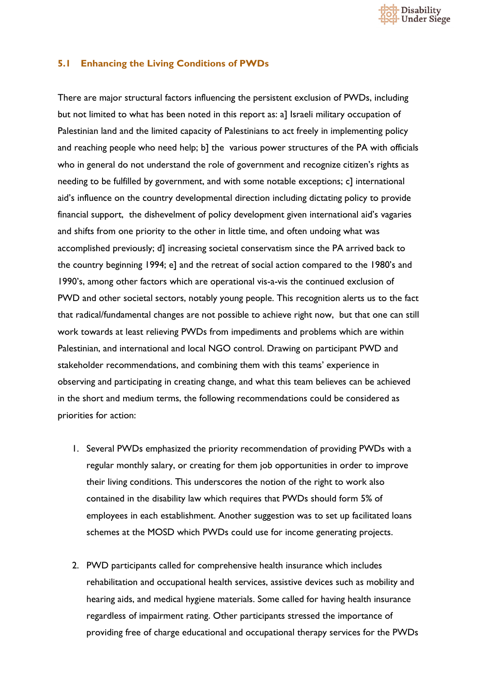

#### **5.1 Enhancing the Living Conditions of PWDs**

There are major structural factors influencing the persistent exclusion of PWDs, including but not limited to what has been noted in this report as: a] Israeli military occupation of Palestinian land and the limited capacity of Palestinians to act freely in implementing policy and reaching people who need help; b] the various power structures of the PA with officials who in general do not understand the role of government and recognize citizen's rights as needing to be fulfilled by government, and with some notable exceptions; c] international aid's influence on the country developmental direction including dictating policy to provide financial support, the dishevelment of policy development given international aid's vagaries and shifts from one priority to the other in little time, and often undoing what was accomplished previously; d] increasing societal conservatism since the PA arrived back to the country beginning 1994; e] and the retreat of social action compared to the 1980's and 1990's, among other factors which are operational vis-a-vis the continued exclusion of PWD and other societal sectors, notably young people. This recognition alerts us to the fact that radical/fundamental changes are not possible to achieve right now, but that one can still work towards at least relieving PWDs from impediments and problems which are within Palestinian, and international and local NGO control. Drawing on participant PWD and stakeholder recommendations, and combining them with this teams' experience in observing and participating in creating change, and what this team believes can be achieved in the short and medium terms, the following recommendations could be considered as priorities for action:

- 1. Several PWDs emphasized the priority recommendation of providing PWDs with a regular monthly salary, or creating for them job opportunities in order to improve their living conditions. This underscores the notion of the right to work also contained in the disability law which requires that PWDs should form 5% of employees in each establishment. Another suggestion was to set up facilitated loans schemes at the MOSD which PWDs could use for income generating projects.
- 2. PWD participants called for comprehensive health insurance which includes rehabilitation and occupational health services, assistive devices such as mobility and hearing aids, and medical hygiene materials. Some called for having health insurance regardless of impairment rating. Other participants stressed the importance of providing free of charge educational and occupational therapy services for the PWDs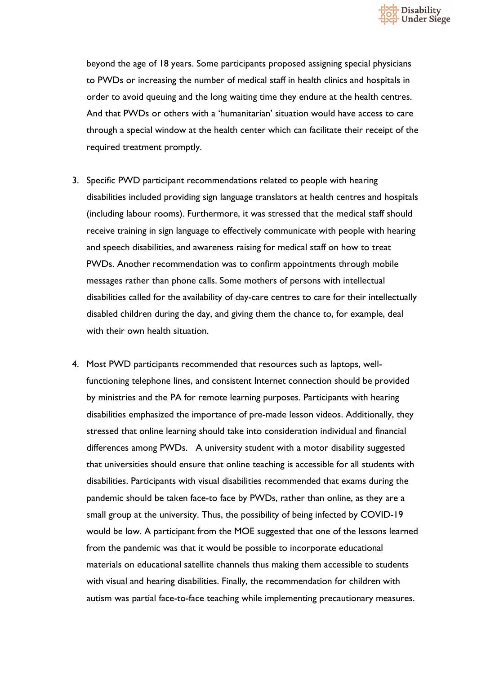

beyond the age of 18 years. Some participants proposed assigning special physicians to PWDs or increasing the number of medical staff in health clinics and hospitals in order to avoid queuing and the long waiting time they endure at the health centres. And that PWDs or others with a 'humanitarian' situation would have access to care through a special window at the health center which can facilitate their receipt of the required treatment promptly.

- 3. Specific PWD participant recommendations related to people with hearing disabilities included providing sign language translators at health centres and hospitals (including labour rooms). Furthermore, it was stressed that the medical staff should receive training in sign language to effectively communicate with people with hearing and speech disabilities, and awareness raising for medical staff on how to treat PWDs. Another recommendation was to confirm appointments through mobile messages rather than phone calls. Some mothers of persons with intellectual disabilities called for the availability of day-care centres to care for their intellectually disabled children during the day, and giving them the chance to, for example, deal with their own health situation.
- 4. Most PWD participants recommended that resources such as laptops, wellfunctioning telephone lines, and consistent Internet connection should be provided by ministries and the PA for remote learning purposes. Participants with hearing disabilities emphasized the importance of pre-made lesson videos. Additionally, they stressed that online learning should take into consideration individual and financial differences among PWDs. A university student with a motor disability suggested that universities should ensure that online teaching is accessible for all students with disabilities. Participants with visual disabilities recommended that exams during the pandemic should be taken face-to face by PWDs, rather than online, as they are a small group at the university. Thus, the possibility of being infected by COVID-19 would be low. A participant from the MOE suggested that one of the lessons learned from the pandemic was that it would be possible to incorporate educational materials on educational satellite channels thus making them accessible to students with visual and hearing disabilities. Finally, the recommendation for children with autism was partial face-to-face teaching while implementing precautionary measures.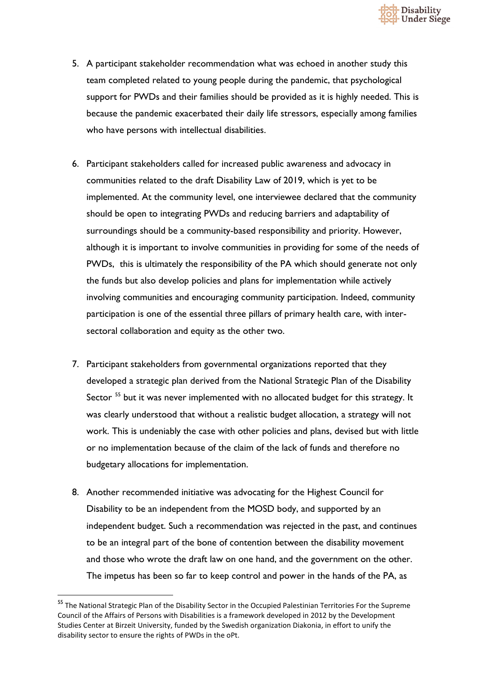

- 5. A participant stakeholder recommendation what was echoed in another study this team completed related to young people during the pandemic, that psychological support for PWDs and their families should be provided as it is highly needed. This is because the pandemic exacerbated their daily life stressors, especially among families who have persons with intellectual disabilities.
- 6. Participant stakeholders called for increased public awareness and advocacy in communities related to the draft Disability Law of 2019, which is yet to be implemented. At the community level, one interviewee declared that the community should be open to integrating PWDs and reducing barriers and adaptability of surroundings should be a community-based responsibility and priority. However, although it is important to involve communities in providing for some of the needs of PWDs, this is ultimately the responsibility of the PA which should generate not only the funds but also develop policies and plans for implementation while actively involving communities and encouraging community participation. Indeed, community participation is one of the essential three pillars of primary health care, with intersectoral collaboration and equity as the other two.
- 7. Participant stakeholders from governmental organizations reported that they developed a strategic plan derived from the National Strategic Plan of the Disability Sector<sup>[55](#page-65-0)</sup> but it was never implemented with no allocated budget for this strategy. It was clearly understood that without a realistic budget allocation, a strategy will not work. This is undeniably the case with other policies and plans, devised but with little or no implementation because of the claim of the lack of funds and therefore no budgetary allocations for implementation.
- 8. Another recommended initiative was advocating for the Highest Council for Disability to be an independent from the MOSD body, and supported by an independent budget. Such a recommendation was rejected in the past, and continues to be an integral part of the bone of contention between the disability movement and those who wrote the draft law on one hand, and the government on the other. The impetus has been so far to keep control and power in the hands of the PA, as

<span id="page-65-0"></span><sup>&</sup>lt;sup>55</sup> The National Strategic Plan of the Disability Sector in the Occupied Palestinian Territories For the Supreme Council of the Affairs of Persons with Disabilities is a framework developed in 2012 by the Development Studies Center at Birzeit University, funded by the Swedish organization Diakonia, in effort to unify the disability sector to ensure the rights of PWDs in the oPt.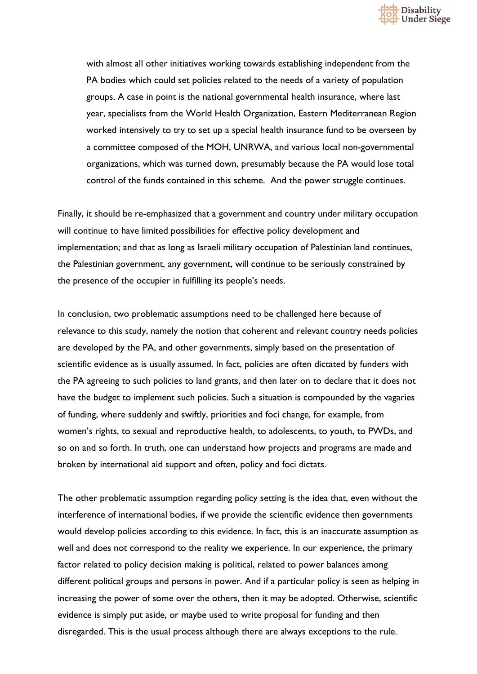

with almost all other initiatives working towards establishing independent from the PA bodies which could set policies related to the needs of a variety of population groups. A case in point is the national governmental health insurance, where last year, specialists from the World Health Organization, Eastern Mediterranean Region worked intensively to try to set up a special health insurance fund to be overseen by a committee composed of the MOH, UNRWA, and various local non-governmental organizations, which was turned down, presumably because the PA would lose total control of the funds contained in this scheme. And the power struggle continues.

Finally, it should be re-emphasized that a government and country under military occupation will continue to have limited possibilities for effective policy development and implementation; and that as long as Israeli military occupation of Palestinian land continues, the Palestinian government, any government, will continue to be seriously constrained by the presence of the occupier in fulfilling its people's needs.

In conclusion, two problematic assumptions need to be challenged here because of relevance to this study, namely the notion that coherent and relevant country needs policies are developed by the PA, and other governments, simply based on the presentation of scientific evidence as is usually assumed. In fact, policies are often dictated by funders with the PA agreeing to such policies to land grants, and then later on to declare that it does not have the budget to implement such policies. Such a situation is compounded by the vagaries of funding, where suddenly and swiftly, priorities and foci change, for example, from women's rights, to sexual and reproductive health, to adolescents, to youth, to PWDs, and so on and so forth. In truth, one can understand how projects and programs are made and broken by international aid support and often, policy and foci dictats.

The other problematic assumption regarding policy setting is the idea that, even without the interference of international bodies, if we provide the scientific evidence then governments would develop policies according to this evidence. In fact, this is an inaccurate assumption as well and does not correspond to the reality we experience. In our experience, the primary factor related to policy decision making is political, related to power balances among different political groups and persons in power. And if a particular policy is seen as helping in increasing the power of some over the others, then it may be adopted. Otherwise, scientific evidence is simply put aside, or maybe used to write proposal for funding and then disregarded. This is the usual process although there are always exceptions to the rule.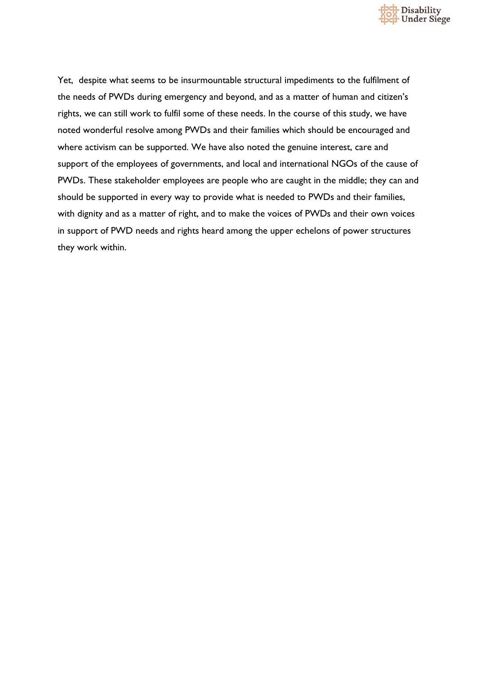

Yet, despite what seems to be insurmountable structural impediments to the fulfilment of the needs of PWDs during emergency and beyond, and as a matter of human and citizen's rights, we can still work to fulfil some of these needs. In the course of this study, we have noted wonderful resolve among PWDs and their families which should be encouraged and where activism can be supported. We have also noted the genuine interest, care and support of the employees of governments, and local and international NGOs of the cause of PWDs. These stakeholder employees are people who are caught in the middle; they can and should be supported in every way to provide what is needed to PWDs and their families, with dignity and as a matter of right, and to make the voices of PWDs and their own voices in support of PWD needs and rights heard among the upper echelons of power structures they work within.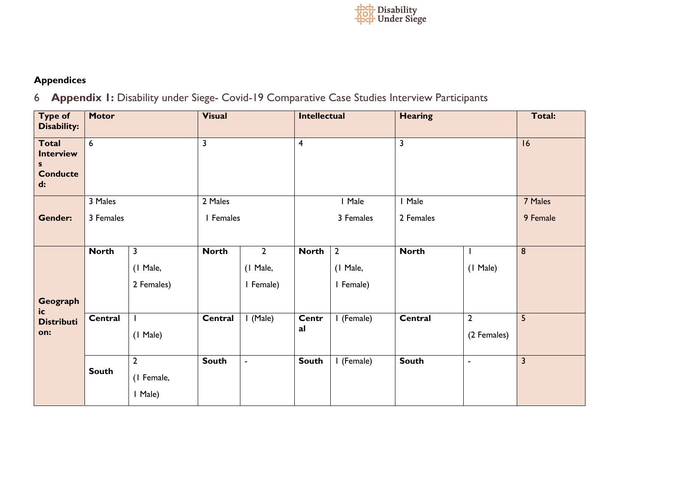

# **Appendices**

6 **Appendix 1:** Disability under Siege- Covid-19 Comparative Case Studies Interview Participants

| <b>Type of</b><br>Disability:                                   | <b>Motor</b>    |                         | <b>Visual</b>           |                | <b>Intellectual</b>     |                | <b>Hearing</b>          |                | Total:                  |
|-----------------------------------------------------------------|-----------------|-------------------------|-------------------------|----------------|-------------------------|----------------|-------------------------|----------------|-------------------------|
| <b>Total</b><br><b>Interview</b><br>S.<br><b>Conducte</b><br>d: | $6\overline{6}$ |                         | $\overline{\mathbf{3}}$ |                | $\overline{\mathbf{4}}$ |                | $\overline{\mathbf{3}}$ |                | 16                      |
|                                                                 | 3 Males         |                         | 2 Males                 |                | I Male                  |                | I Male                  |                | 7 Males                 |
| <b>Gender:</b>                                                  | 3 Females       |                         | I Females               |                | 3 Females               |                | 2 Females               |                | 9 Female                |
|                                                                 | <b>North</b>    | $\overline{\mathbf{3}}$ | <b>North</b>            | $\mathbf{2}$   | <b>North</b>            | $\overline{2}$ | <b>North</b>            |                | 8                       |
|                                                                 |                 | (1 Male,                |                         | (1 Male,       |                         | (1 Male,       |                         | (1 Male)       |                         |
|                                                                 |                 | 2 Females)              |                         | I Female)      |                         | I Female)      |                         |                |                         |
| Geograph<br>ic                                                  |                 |                         |                         |                |                         |                |                         |                |                         |
| <b>Distributi</b>                                               | Central         |                         | Central                 | $I$ (Male)     | <b>Centr</b><br>al      | I (Female)     | Central                 | $\overline{2}$ | 5                       |
| on:                                                             |                 | $(1$ Male)              |                         |                |                         |                |                         | (2 Females)    |                         |
|                                                                 |                 | $\overline{2}$          | <b>South</b>            | $\blacksquare$ | <b>South</b>            | I (Female)     | <b>South</b>            | $\blacksquare$ | $\overline{\mathbf{3}}$ |
|                                                                 | <b>South</b>    | (I Female,              |                         |                |                         |                |                         |                |                         |
|                                                                 |                 | I Male)                 |                         |                |                         |                |                         |                |                         |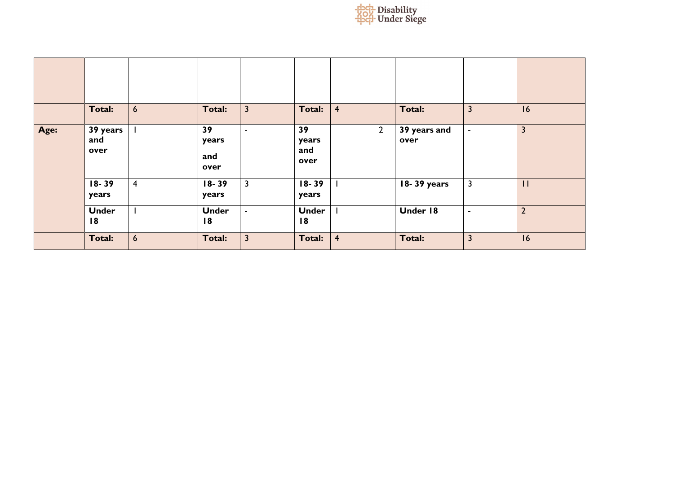

|      | Total:                  | $6\overline{6}$ | Total:                     | $\overline{3}$ | Total:                     | $\overline{4}$ | Total:               | 3              | 16                      |
|------|-------------------------|-----------------|----------------------------|----------------|----------------------------|----------------|----------------------|----------------|-------------------------|
| Age: | 39 years<br>and<br>over |                 | 39<br>years<br>and<br>over | $\blacksquare$ | 39<br>years<br>and<br>over | $\overline{2}$ | 39 years and<br>over | $\blacksquare$ | $\overline{\mathbf{3}}$ |
|      | $18 - 39$<br>years      | $\overline{4}$  | $18 - 39$<br>years         | $\overline{3}$ | $18 - 39$<br>years         |                | 18-39 years          | 3              | $\mathbf{H}$            |
|      | <b>Under</b><br>18      | $\mathbf{I}$    | <b>Under</b><br>18         | $\sim$         | <b>Under</b><br>18         |                | Under 18             | ۰              | $\overline{2}$          |
|      | Total:                  | $6\overline{6}$ | Total:                     | $\overline{3}$ | Total:                     | $\overline{4}$ | Total:               | 3              | 16                      |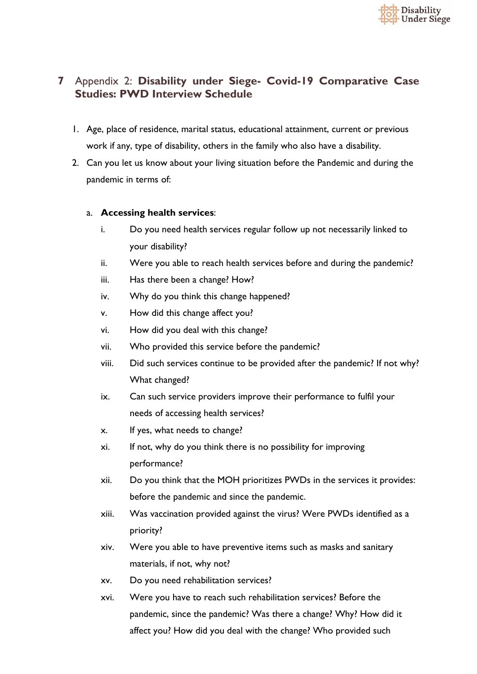

# **7** Appendix 2: **Disability under Siege- Covid-19 Comparative Case Studies: PWD Interview Schedule**

- 1. Age, place of residence, marital status, educational attainment, current or previous work if any, type of disability, others in the family who also have a disability.
- 2. Can you let us know about your living situation before the Pandemic and during the pandemic in terms of:

## a. **Accessing health services**:

- i. Do you need health services regular follow up not necessarily linked to your disability?
- ii. Were you able to reach health services before and during the pandemic?
- iii. Has there been a change? How?
- iv. Why do you think this change happened?
- v. How did this change affect you?
- vi. How did you deal with this change?
- vii. Who provided this service before the pandemic?
- viii. Did such services continue to be provided after the pandemic? If not why? What changed?
- ix. Can such service providers improve their performance to fulfil your needs of accessing health services?
- x. If yes, what needs to change?
- xi. If not, why do you think there is no possibility for improving performance?
- xii. Do you think that the MOH prioritizes PWDs in the services it provides: before the pandemic and since the pandemic.
- xiii. Was vaccination provided against the virus? Were PWDs identified as a priority?
- xiv. Were you able to have preventive items such as masks and sanitary materials, if not, why not?
- xv. Do you need rehabilitation services?
- xvi. Were you have to reach such rehabilitation services? Before the pandemic, since the pandemic? Was there a change? Why? How did it affect you? How did you deal with the change? Who provided such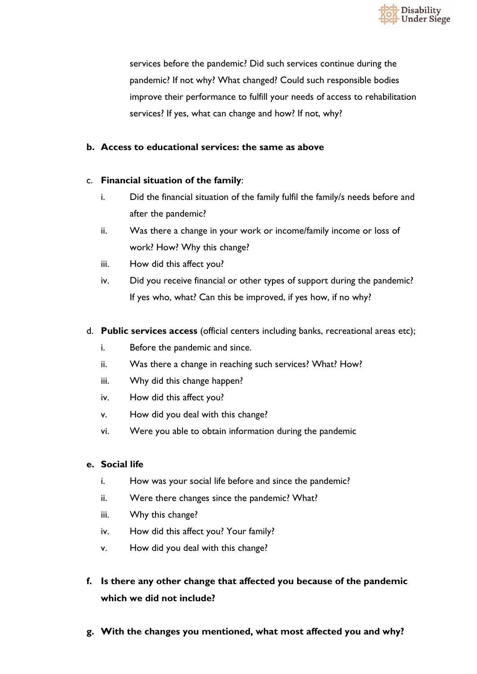

services before the pandemic? Did such services continue during the pandemic? If not why? What changed? Could such responsible bodies improve their performance to fulfill your needs of access to rehabilitation services? If yes, what can change and how? If not, why?

## **b. Access to educational services: the same as above**

## c. **Financial situation of the family**:

- i. Did the financial situation of the family fulfil the family/s needs before and after the pandemic?
- ii. Was there a change in your work or income/family income or loss of work? How? Why this change?
- iii. How did this affect you?
- iv. Did you receive financial or other types of support during the pandemic? If yes who, what? Can this be improved, if yes how, if no why?
- d. **Public services access** (official centers including banks, recreational areas etc);
	- i. Before the pandemic and since.
	- ii. Was there a change in reaching such services? What? How?
	- iii. Why did this change happen?
	- iv. How did this affect you?
	- v. How did you deal with this change?
	- vi. Were you able to obtain information during the pandemic

## **e. Social life**

- i. How was your social life before and since the pandemic?
- ii. Were there changes since the pandemic? What?
- iii. Why this change?
- iv. How did this affect you? Your family?
- v. How did you deal with this change?
- **f. Is there any other change that affected you because of the pandemic which we did not include?**
- **g. With the changes you mentioned, what most affected you and why?**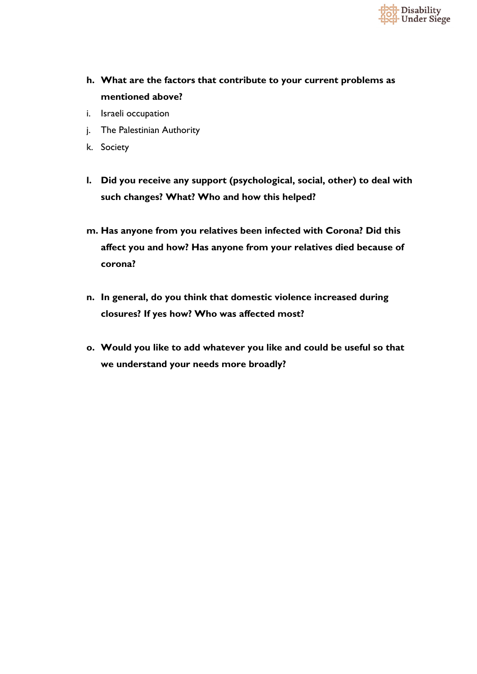

- **h. What are the factors that contribute to your current problems as mentioned above?**
- i. Israeli occupation
- j. The Palestinian Authority
- k. Society
- **l. Did you receive any support (psychological, social, other) to deal with such changes? What? Who and how this helped?**
- **m. Has anyone from you relatives been infected with Corona? Did this affect you and how? Has anyone from your relatives died because of corona?**
- **n. In general, do you think that domestic violence increased during closures? If yes how? Who was affected most?**
- **o. Would you like to add whatever you like and could be useful so that we understand your needs more broadly?**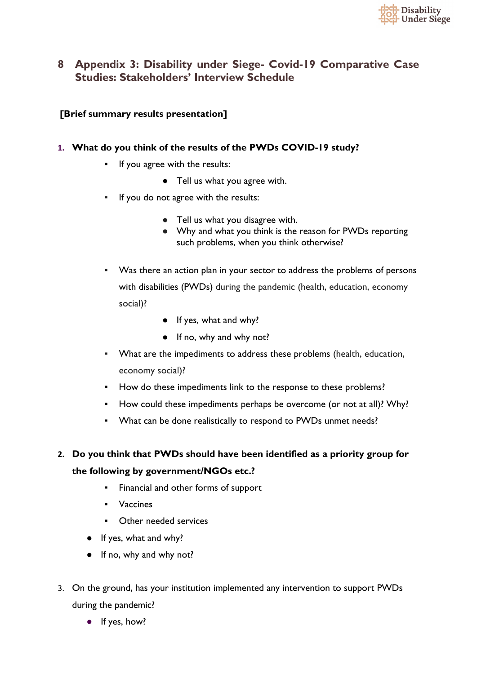

## **8 Appendix 3: Disability under Siege- Covid-19 Comparative Case Studies: Stakeholders' Interview Schedule**

## **[Brief summary results presentation]**

## **1. What do you think of the results of the PWDs COVID-19 study?**

- If you agree with the results:
	- Tell us what you agree with.
- If you do not agree with the results:
	- Tell us what you disagree with.
	- Why and what you think is the reason for PWDs reporting such problems, when you think otherwise?
- Was there an action plan in your sector to address the problems of persons with disabilities (PWDs) during the pandemic (health, education, economy social)?
	- If yes, what and why?
	- If no, why and why not?
- What are the impediments to address these problems (health, education, economy social)?
- How do these impediments link to the response to these problems?
- How could these impediments perhaps be overcome (or not at all)? Why?
- What can be done realistically to respond to PWDs unmet needs?
- **2. Do you think that PWDs should have been identified as a priority group for the following by government/NGOs etc.?** 
	- Financial and other forms of support
	- Vaccines
	- Other needed services
	- If yes, what and why?
	- If no, why and why not?
- 3. On the ground, has your institution implemented any intervention to support PWDs during the pandemic?
	- If yes, how?